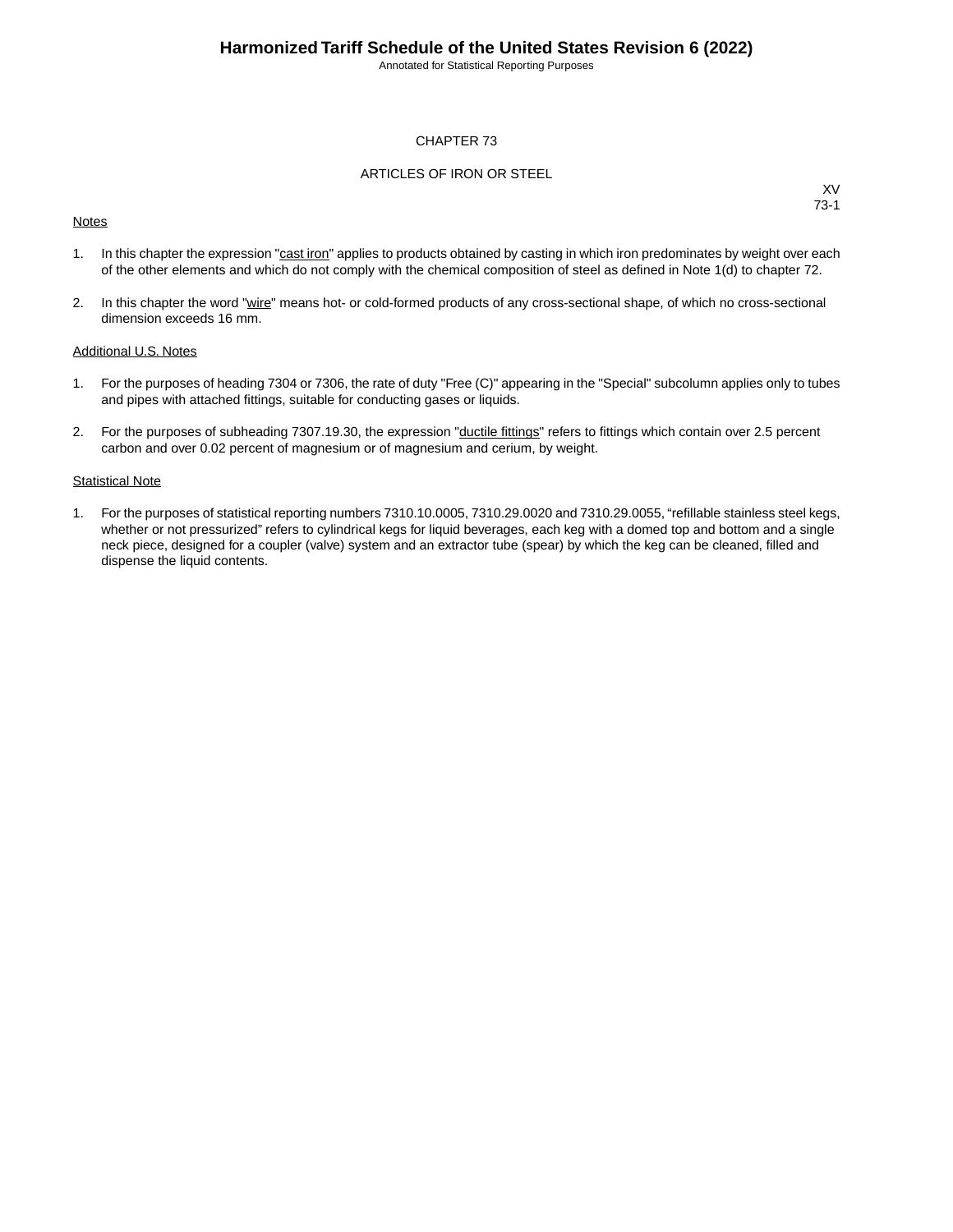Annotated for Statistical Reporting Purposes

#### CHAPTER 73

#### ARTICLES OF IRON OR STEEL

#### **Notes**

XV 73-1

- 1. In this chapter the expression "cast iron" applies to products obtained by casting in which iron predominates by weight over each of the other elements and which do not comply with the chemical composition of steel as defined in Note 1(d) to chapter 72.
- 2. In this chapter the word "wire" means hot- or cold-formed products of any cross-sectional shape, of which no cross-sectional dimension exceeds 16 mm.

#### Additional U.S. Notes

- 1. For the purposes of heading 7304 or 7306, the rate of duty "Free (C)" appearing in the "Special" subcolumn applies only to tubes and pipes with attached fittings, suitable for conducting gases or liquids.
- 2. For the purposes of subheading 7307.19.30, the expression "ductile fittings" refers to fittings which contain over 2.5 percent carbon and over 0.02 percent of magnesium or of magnesium and cerium, by weight.

#### **Statistical Note**

1. For the purposes of statistical reporting numbers 7310.10.0005, 7310.29.0020 and 7310.29.0055, "refillable stainless steel kegs, whether or not pressurized" refers to cylindrical kegs for liquid beverages, each keg with a domed top and bottom and a single neck piece, designed for a coupler (valve) system and an extractor tube (spear) by which the keg can be cleaned, filled and dispense the liquid contents.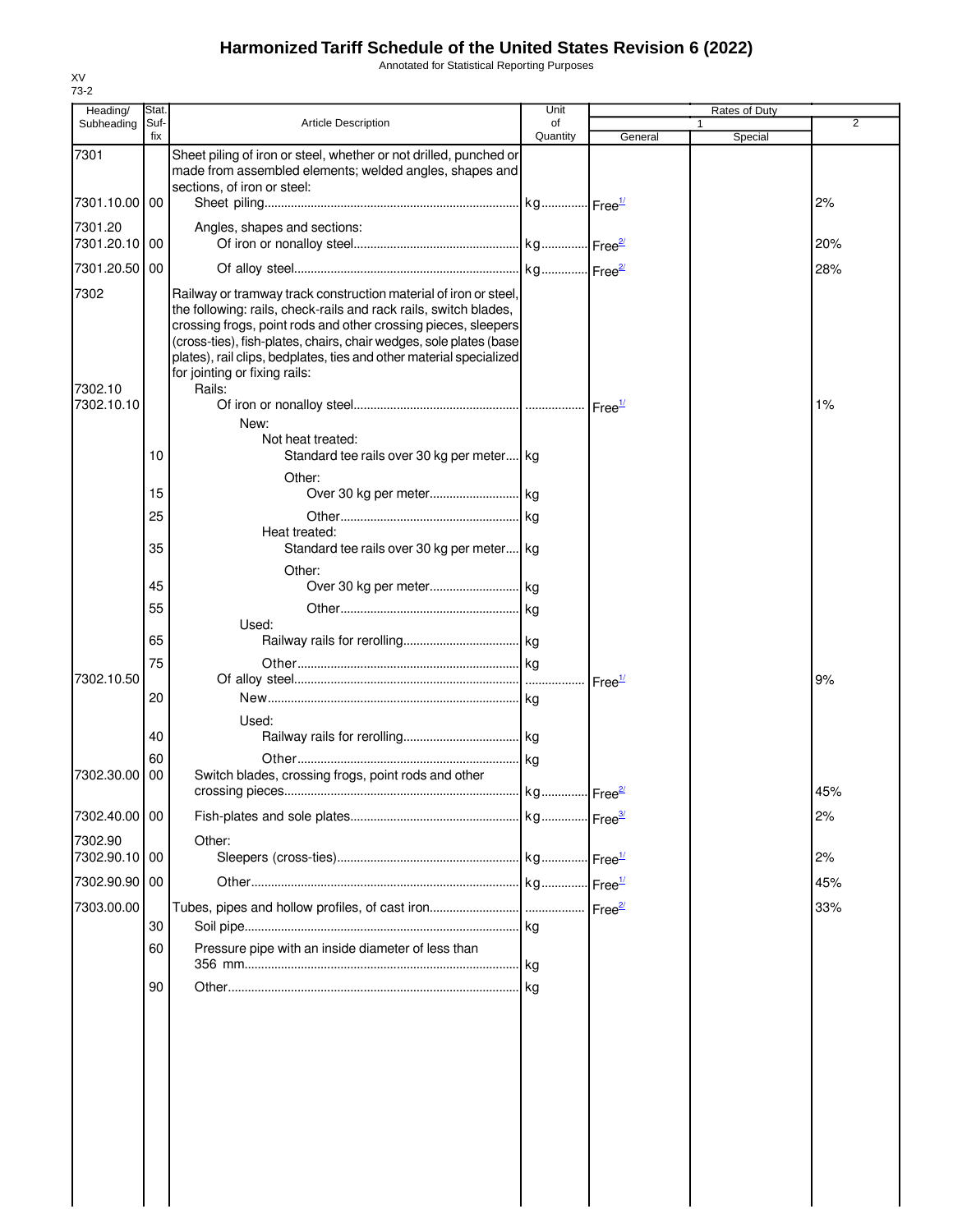Annotated for Statistical Reporting Purposes

| Heading/                 | Stat.       |                                                                                                                                                                                                                                                                                                                                                                                                | Unit           |                    | Rates of Duty |     |
|--------------------------|-------------|------------------------------------------------------------------------------------------------------------------------------------------------------------------------------------------------------------------------------------------------------------------------------------------------------------------------------------------------------------------------------------------------|----------------|--------------------|---------------|-----|
| Subheading               | Suf-<br>fix | <b>Article Description</b>                                                                                                                                                                                                                                                                                                                                                                     | of<br>Quantity | General            | Special       | 2   |
| 7301                     |             | Sheet piling of iron or steel, whether or not drilled, punched or<br>made from assembled elements; welded angles, shapes and                                                                                                                                                                                                                                                                   |                |                    |               |     |
| 7301.10.00 00            |             | sections, of iron or steel:                                                                                                                                                                                                                                                                                                                                                                    |                |                    |               | 2%  |
| 7301.20                  |             | Angles, shapes and sections:                                                                                                                                                                                                                                                                                                                                                                   |                |                    |               |     |
| 7301.20.10 00            |             |                                                                                                                                                                                                                                                                                                                                                                                                |                |                    |               | 20% |
| 7301.20.50 00            |             |                                                                                                                                                                                                                                                                                                                                                                                                |                |                    |               | 28% |
| 7302<br>7302.10          |             | Railway or tramway track construction material of iron or steel,<br>the following: rails, check-rails and rack rails, switch blades,<br>crossing frogs, point rods and other crossing pieces, sleepers<br>(cross-ties), fish-plates, chairs, chair wedges, sole plates (base<br>plates), rail clips, bedplates, ties and other material specialized<br>for jointing or fixing rails:<br>Rails: |                |                    |               |     |
| 7302.10.10               |             | New:                                                                                                                                                                                                                                                                                                                                                                                           |                |                    |               | 1%  |
|                          | 10          | Not heat treated:<br>Standard tee rails over 30 kg per meter kg<br>Other:                                                                                                                                                                                                                                                                                                                      |                |                    |               |     |
|                          | 15          |                                                                                                                                                                                                                                                                                                                                                                                                |                |                    |               |     |
|                          | 25          |                                                                                                                                                                                                                                                                                                                                                                                                |                |                    |               |     |
|                          | 35          | Heat treated:<br>Standard tee rails over 30 kg per meter kg                                                                                                                                                                                                                                                                                                                                    |                |                    |               |     |
|                          | 45          | Other:                                                                                                                                                                                                                                                                                                                                                                                         |                |                    |               |     |
|                          | 55          |                                                                                                                                                                                                                                                                                                                                                                                                |                |                    |               |     |
|                          |             | Used:                                                                                                                                                                                                                                                                                                                                                                                          |                |                    |               |     |
|                          | 65<br>75    |                                                                                                                                                                                                                                                                                                                                                                                                |                |                    |               |     |
| 7302.10.50               |             |                                                                                                                                                                                                                                                                                                                                                                                                |                | Free <sup>1/</sup> |               | 9%  |
|                          | 20          |                                                                                                                                                                                                                                                                                                                                                                                                |                |                    |               |     |
|                          |             | Used:                                                                                                                                                                                                                                                                                                                                                                                          |                |                    |               |     |
|                          | 40<br>60    |                                                                                                                                                                                                                                                                                                                                                                                                |                |                    |               |     |
| 7302.30.00               | 00          | Switch blades, crossing frogs, point rods and other                                                                                                                                                                                                                                                                                                                                            |                |                    |               | 45% |
| 7302.40.00 00            |             |                                                                                                                                                                                                                                                                                                                                                                                                |                |                    |               | 2%  |
| 7302.90<br>7302.90.10 00 |             | Other:                                                                                                                                                                                                                                                                                                                                                                                         |                |                    |               | 2%  |
| 7302.90.90 00            |             |                                                                                                                                                                                                                                                                                                                                                                                                |                |                    |               | 45% |
| 7303.00.00               | 30          |                                                                                                                                                                                                                                                                                                                                                                                                | kg             |                    |               | 33% |
|                          | 60          | Pressure pipe with an inside diameter of less than                                                                                                                                                                                                                                                                                                                                             |                |                    |               |     |
|                          | 90          |                                                                                                                                                                                                                                                                                                                                                                                                | kg             |                    |               |     |
|                          |             |                                                                                                                                                                                                                                                                                                                                                                                                |                |                    |               |     |
|                          |             |                                                                                                                                                                                                                                                                                                                                                                                                |                |                    |               |     |
|                          |             |                                                                                                                                                                                                                                                                                                                                                                                                |                |                    |               |     |
|                          |             |                                                                                                                                                                                                                                                                                                                                                                                                |                |                    |               |     |
|                          |             |                                                                                                                                                                                                                                                                                                                                                                                                |                |                    |               |     |
|                          |             |                                                                                                                                                                                                                                                                                                                                                                                                |                |                    |               |     |
|                          |             |                                                                                                                                                                                                                                                                                                                                                                                                |                |                    |               |     |
|                          |             |                                                                                                                                                                                                                                                                                                                                                                                                |                |                    |               |     |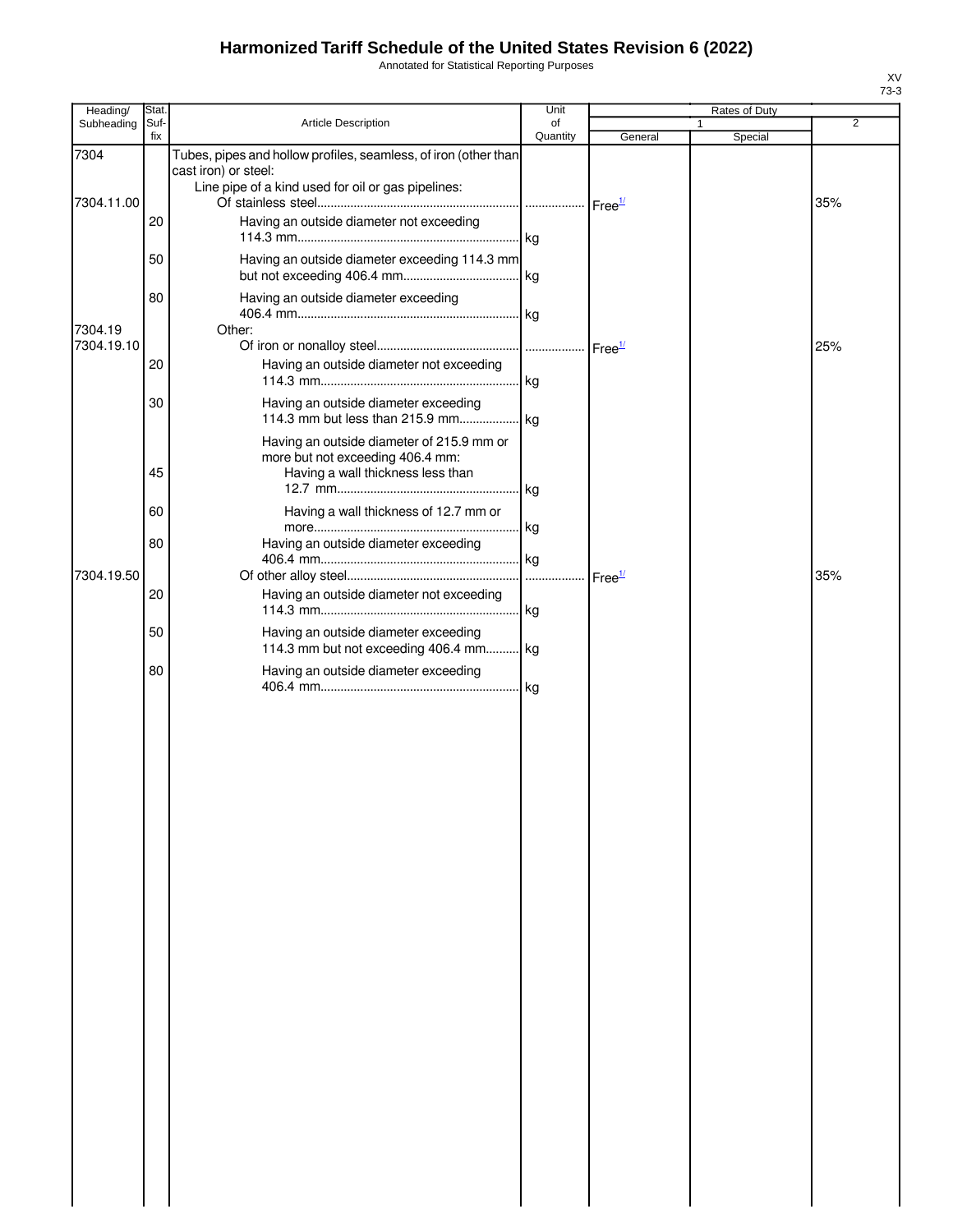Annotated for Statistical Reporting Purposes

| Heading/           | Stat.       |                                                                                                                                               | Unit             |                    | Rates of Duty |                |
|--------------------|-------------|-----------------------------------------------------------------------------------------------------------------------------------------------|------------------|--------------------|---------------|----------------|
| Subheading         | Suf-<br>fix | Article Description                                                                                                                           | of<br>Quantity   | General            | Special       | $\overline{2}$ |
| 7304<br>7304.11.00 |             | Tubes, pipes and hollow profiles, seamless, of iron (other than<br>cast iron) or steel:<br>Line pipe of a kind used for oil or gas pipelines: |                  |                    |               |                |
|                    | 20          | Having an outside diameter not exceeding                                                                                                      | . kg             |                    |               | 35%            |
|                    | 50          | Having an outside diameter exceeding 114.3 mm                                                                                                 | . kg             |                    |               |                |
| 7304.19            | 80          | Having an outside diameter exceeding<br>Other:                                                                                                | . kg             |                    |               |                |
| 7304.19.10         |             |                                                                                                                                               |                  |                    |               | 25%            |
|                    | 20          | Having an outside diameter not exceeding                                                                                                      |                  |                    |               |                |
|                    | 30          | Having an outside diameter exceeding                                                                                                          |                  |                    |               |                |
|                    | 45          | Having an outside diameter of 215.9 mm or<br>more but not exceeding 406.4 mm:<br>Having a wall thickness less than                            |                  |                    |               |                |
|                    | 60          | Having a wall thickness of 12.7 mm or                                                                                                         | kg               |                    |               |                |
|                    | 80          | Having an outside diameter exceeding                                                                                                          | kg               |                    |               |                |
| 7304.19.50         | 20          | Having an outside diameter not exceeding                                                                                                      | $\cdots$<br>. kg | Free <sup>1/</sup> |               | 35%            |
|                    | 50          | Having an outside diameter exceeding<br>114.3 mm but not exceeding 406.4 mm                                                                   | kg               |                    |               |                |
|                    | 80          | Having an outside diameter exceeding                                                                                                          | kg               |                    |               |                |
|                    |             |                                                                                                                                               |                  |                    |               |                |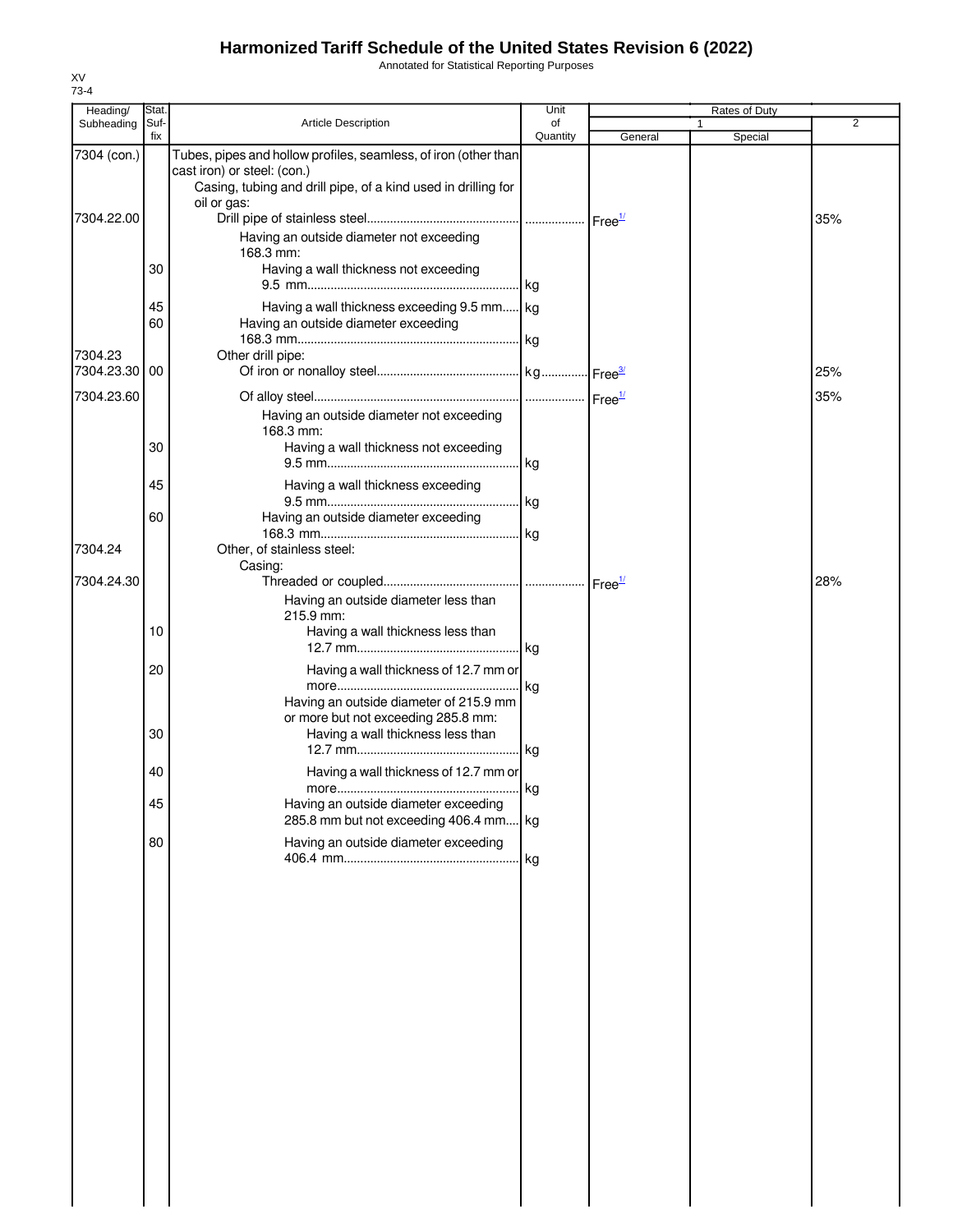Annotated for Statistical Reporting Purposes

| Heading/                 | Stat.       |                                                                                                                                                                 | Unit           |         | Rates of Duty |     |
|--------------------------|-------------|-----------------------------------------------------------------------------------------------------------------------------------------------------------------|----------------|---------|---------------|-----|
| Subheading               | Suf-<br>fix | <b>Article Description</b>                                                                                                                                      | of<br>Quantity |         |               | 2   |
| 7304 (con.)              |             | Tubes, pipes and hollow profiles, seamless, of iron (other than<br>cast iron) or steel: (con.)<br>Casing, tubing and drill pipe, of a kind used in drilling for |                | General | Special       |     |
| 7304.22.00               |             | oil or gas:<br>Having an outside diameter not exceeding<br>168.3 mm:                                                                                            |                |         |               | 35% |
|                          | 30          | Having a wall thickness not exceeding                                                                                                                           |                |         |               |     |
|                          | 45<br>60    | Having a wall thickness exceeding 9.5 mm kg<br>Having an outside diameter exceeding                                                                             |                |         |               |     |
| 7304.23<br>7304.23.30 00 |             | Other drill pipe:                                                                                                                                               |                |         |               | 25% |
| 7304.23.60               |             | Having an outside diameter not exceeding<br>168.3 mm:                                                                                                           |                |         |               | 35% |
|                          | 30          | Having a wall thickness not exceeding                                                                                                                           |                |         |               |     |
|                          | 45          | Having a wall thickness exceeding                                                                                                                               |                |         |               |     |
| 7304.24                  | 60          | Having an outside diameter exceeding<br>Other, of stainless steel:                                                                                              |                |         |               |     |
| 7304.24.30               |             | Casing:                                                                                                                                                         |                |         |               | 28% |
|                          | 10          | Having an outside diameter less than<br>215.9 mm:<br>Having a wall thickness less than                                                                          |                |         |               |     |
|                          | 20          | Having a wall thickness of 12.7 mm or                                                                                                                           |                |         |               |     |
|                          | 30          | Having an outside diameter of 215.9 mm<br>or more but not exceeding 285.8 mm:<br>Having a wall thickness less than                                              |                |         |               |     |
|                          | 40          | Having a wall thickness of 12.7 mm or                                                                                                                           |                |         |               |     |
|                          | 45          | Having an outside diameter exceeding<br>285.8 mm but not exceeding 406.4 mm kg                                                                                  |                |         |               |     |
|                          | 80          | Having an outside diameter exceeding                                                                                                                            |                |         |               |     |
|                          |             |                                                                                                                                                                 |                |         |               |     |
|                          |             |                                                                                                                                                                 |                |         |               |     |
|                          |             |                                                                                                                                                                 |                |         |               |     |
|                          |             |                                                                                                                                                                 |                |         |               |     |
|                          |             |                                                                                                                                                                 |                |         |               |     |
|                          |             |                                                                                                                                                                 |                |         |               |     |
|                          |             |                                                                                                                                                                 |                |         |               |     |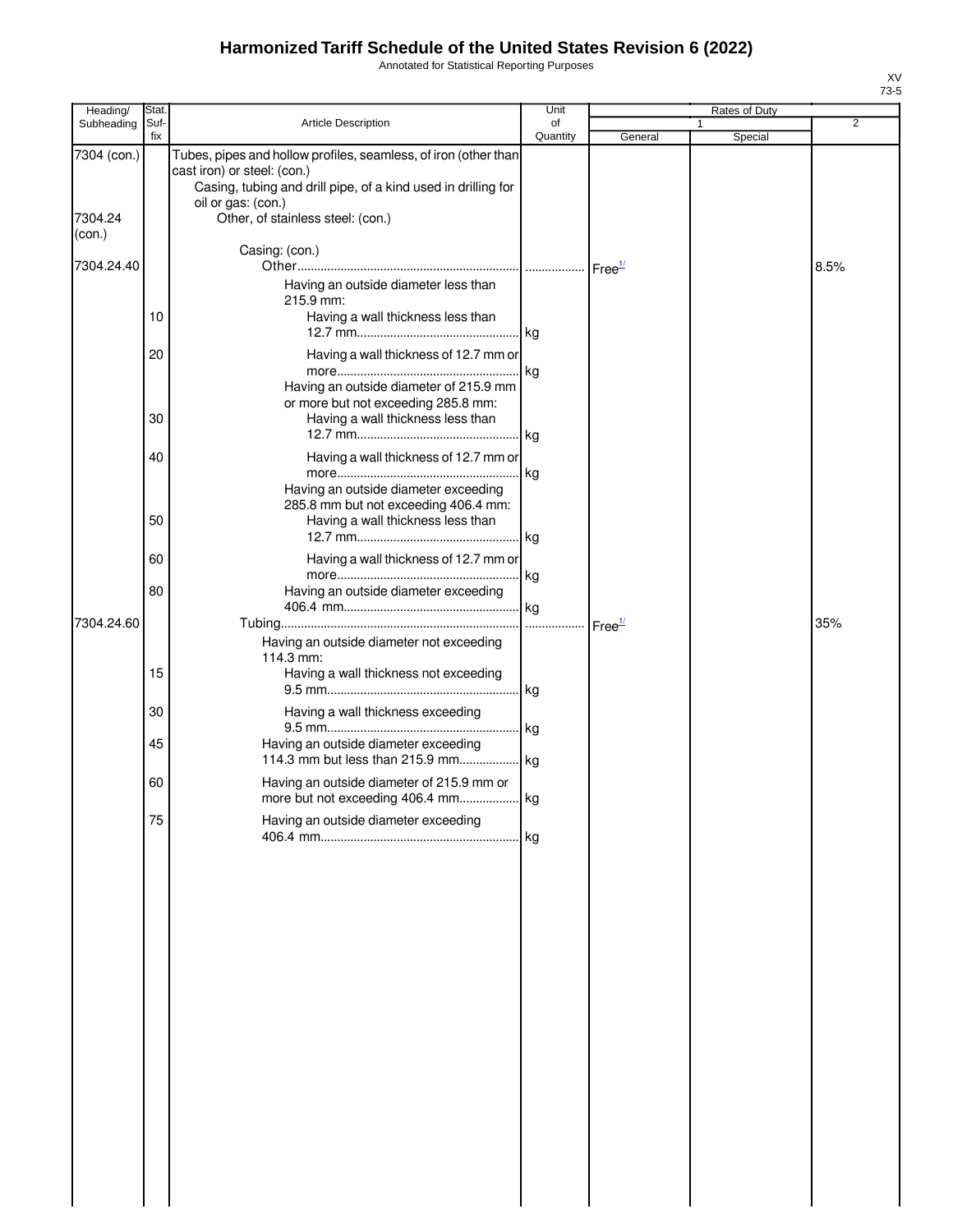Annotated for Statistical Reporting Purposes

| Heading/               | Stat.       |                                                                                                                                                                                                                            | Unit           |                    | Rates of Duty |                |
|------------------------|-------------|----------------------------------------------------------------------------------------------------------------------------------------------------------------------------------------------------------------------------|----------------|--------------------|---------------|----------------|
| Subheading             | Suf-<br>fix | Article Description                                                                                                                                                                                                        | of<br>Quantity | General            | 1<br>Special  | $\overline{2}$ |
| 7304 (con.)<br>7304.24 |             | Tubes, pipes and hollow profiles, seamless, of iron (other than<br>cast iron) or steel: (con.)<br>Casing, tubing and drill pipe, of a kind used in drilling for<br>oil or gas: (con.)<br>Other, of stainless steel: (con.) |                |                    |               |                |
| (con.)                 |             | Casing: (con.)                                                                                                                                                                                                             |                |                    |               |                |
| 7304.24.40             |             | Having an outside diameter less than<br>215.9 mm:                                                                                                                                                                          |                | Free <sup>1/</sup> |               | 8.5%           |
|                        | 10          | Having a wall thickness less than                                                                                                                                                                                          |                |                    |               |                |
|                        | 20          | Having a wall thickness of 12.7 mm or                                                                                                                                                                                      |                |                    |               |                |
|                        | 30          | Having an outside diameter of 215.9 mm<br>or more but not exceeding 285.8 mm:<br>Having a wall thickness less than                                                                                                         |                |                    |               |                |
|                        | 40          | Having a wall thickness of 12.7 mm or<br>Having an outside diameter exceeding                                                                                                                                              | kg             |                    |               |                |
|                        | 50          | 285.8 mm but not exceeding 406.4 mm:<br>Having a wall thickness less than                                                                                                                                                  |                |                    |               |                |
|                        | 60          | Having a wall thickness of 12.7 mm or                                                                                                                                                                                      |                |                    |               |                |
| 7304.24.60             | 80          | Having an outside diameter exceeding                                                                                                                                                                                       | .              |                    |               | 35%            |
|                        |             | Having an outside diameter not exceeding<br>114.3 mm:                                                                                                                                                                      |                | Free <sup>1/</sup> |               |                |
|                        | 15          | Having a wall thickness not exceeding                                                                                                                                                                                      |                |                    |               |                |
|                        | 30<br>45    | Having a wall thickness exceeding<br>Having an outside diameter exceeding                                                                                                                                                  | . kg           |                    |               |                |
|                        | 60          | Having an outside diameter of 215.9 mm or                                                                                                                                                                                  |                |                    |               |                |
|                        | 75          | Having an outside diameter exceeding                                                                                                                                                                                       |                |                    |               |                |
|                        |             |                                                                                                                                                                                                                            |                |                    |               |                |
|                        |             |                                                                                                                                                                                                                            |                |                    |               |                |
|                        |             |                                                                                                                                                                                                                            |                |                    |               |                |
|                        |             |                                                                                                                                                                                                                            |                |                    |               |                |
|                        |             |                                                                                                                                                                                                                            |                |                    |               |                |
|                        |             |                                                                                                                                                                                                                            |                |                    |               |                |
|                        |             |                                                                                                                                                                                                                            |                |                    |               |                |
|                        |             |                                                                                                                                                                                                                            |                |                    |               |                |
|                        |             |                                                                                                                                                                                                                            |                |                    |               |                |
|                        |             |                                                                                                                                                                                                                            |                |                    |               |                |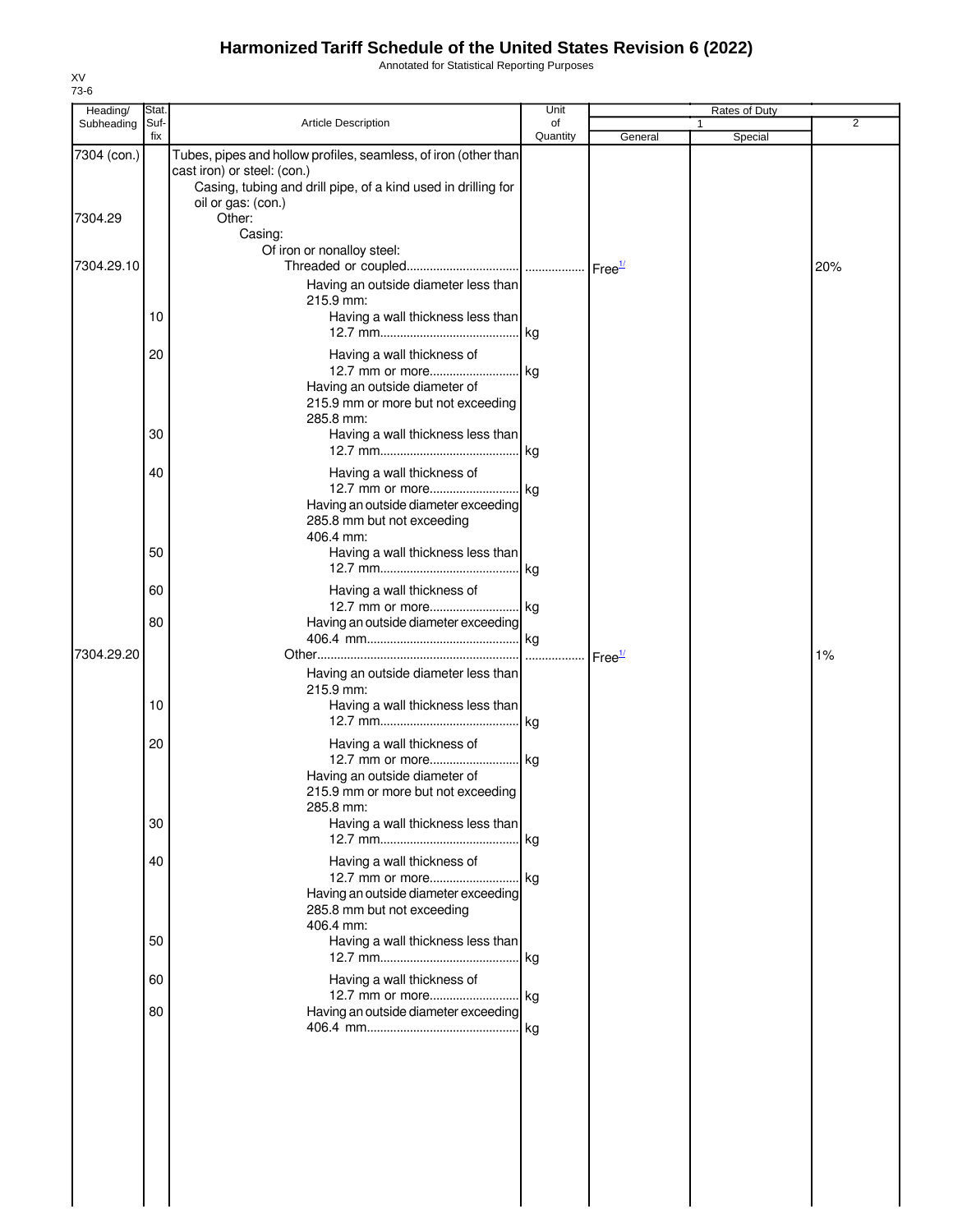Annotated for Statistical Reporting Purposes

| Heading/        | Stat.    |                                                                                                                                                                                       | Unit           |                    | Rates of Duty |                |
|-----------------|----------|---------------------------------------------------------------------------------------------------------------------------------------------------------------------------------------|----------------|--------------------|---------------|----------------|
| Subheading Suf- | fix      | <b>Article Description</b>                                                                                                                                                            | of<br>Quantity | General            | 1<br>Special  | $\overline{2}$ |
| 7304 (con.)     |          | Tubes, pipes and hollow profiles, seamless, of iron (other than<br>cast iron) or steel: (con.)<br>Casing, tubing and drill pipe, of a kind used in drilling for<br>oil or gas: (con.) |                |                    |               |                |
| 7304.29         |          | Other:<br>Casing:<br>Of iron or nonalloy steel:                                                                                                                                       |                |                    |               |                |
| 7304.29.10      |          | Having an outside diameter less than                                                                                                                                                  |                |                    |               | 20%            |
|                 | 10       | 215.9 mm:<br>Having a wall thickness less than                                                                                                                                        |                |                    |               |                |
|                 | 20       | Having a wall thickness of<br>12.7 mm or more kg<br>Having an outside diameter of                                                                                                     |                |                    |               |                |
|                 | 30       | 215.9 mm or more but not exceeding<br>285.8 mm:<br>Having a wall thickness less than                                                                                                  |                |                    |               |                |
|                 | 40       | Having a wall thickness of                                                                                                                                                            |                |                    |               |                |
|                 |          | 12.7 mm or more kg<br>Having an outside diameter exceeding<br>285.8 mm but not exceeding<br>406.4 mm:                                                                                 |                |                    |               |                |
|                 | 50       | Having a wall thickness less than                                                                                                                                                     |                |                    |               |                |
|                 | 60<br>80 | Having a wall thickness of<br>12.7 mm or more kg<br>Having an outside diameter exceeding                                                                                              |                |                    |               |                |
| 7304.29.20      |          |                                                                                                                                                                                       |                | Free <sup>1/</sup> |               | 1%             |
|                 | 10       | Having an outside diameter less than<br>215.9 mm:<br>Having a wall thickness less than                                                                                                |                |                    |               |                |
|                 | 20       | Having a wall thickness of<br>12.7 mm or more kg<br>Having an outside diameter of<br>215.9 mm or more but not exceeding                                                               |                |                    |               |                |
|                 | 30       | 285.8 mm:<br>Having a wall thickness less than                                                                                                                                        | kg             |                    |               |                |
|                 | 40       | Having a wall thickness of<br>12.7 mm or more kg<br>Having an outside diameter exceeding<br>285.8 mm but not exceeding<br>406.4 mm:                                                   |                |                    |               |                |
|                 | 50       | Having a wall thickness less than                                                                                                                                                     |                |                    |               |                |
|                 | 60       | Having a wall thickness of<br>12.7 mm or more kg                                                                                                                                      |                |                    |               |                |
|                 | 80       | Having an outside diameter exceeding                                                                                                                                                  |                |                    |               |                |
|                 |          |                                                                                                                                                                                       |                |                    |               |                |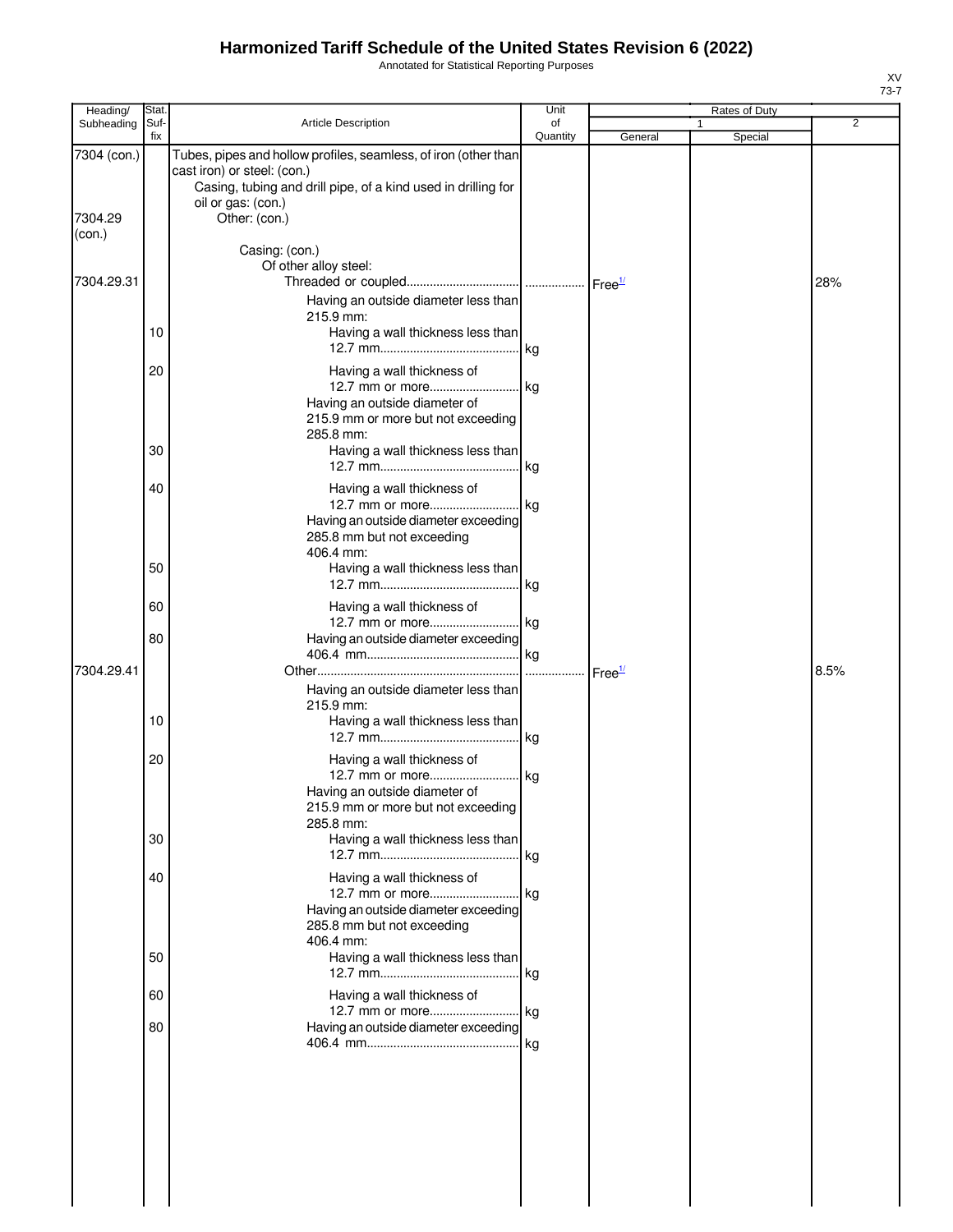Annotated for Statistical Reporting Purposes

| Heading/                         | Stat.       |                                                                                                                                                                                                        | Unit           |                        | Rates of Duty |      |
|----------------------------------|-------------|--------------------------------------------------------------------------------------------------------------------------------------------------------------------------------------------------------|----------------|------------------------|---------------|------|
| Subheading                       | Suf-<br>fix | Article Description                                                                                                                                                                                    | οf<br>Quantity | General                | 1<br>Special  | 2    |
| 7304 (con.)<br>7304.29<br>(con.) |             | Tubes, pipes and hollow profiles, seamless, of iron (other than<br>cast iron) or steel: (con.)<br>Casing, tubing and drill pipe, of a kind used in drilling for<br>oil or gas: (con.)<br>Other: (con.) |                |                        |               |      |
| 7304.29.31                       |             | Casing: (con.)<br>Of other alloy steel:                                                                                                                                                                |                |                        |               | 28%  |
|                                  | 10          | Having an outside diameter less than<br>215.9 mm:<br>Having a wall thickness less than                                                                                                                 |                |                        |               |      |
|                                  | 20          | Having a wall thickness of<br>Having an outside diameter of<br>215.9 mm or more but not exceeding<br>285.8 mm:                                                                                         |                |                        |               |      |
|                                  | 30          | Having a wall thickness less than                                                                                                                                                                      |                |                        |               |      |
|                                  | 40          | Having a wall thickness of<br>12.7 mm or more kg<br>Having an outside diameter exceeding<br>285.8 mm but not exceeding<br>406.4 mm:                                                                    |                |                        |               |      |
|                                  | 50          | Having a wall thickness less than                                                                                                                                                                      |                |                        |               |      |
|                                  | 60          | Having a wall thickness of                                                                                                                                                                             |                |                        |               |      |
| 7304.29.41                       | 80          | Having an outside diameter exceeding                                                                                                                                                                   |                |                        |               | 8.5% |
|                                  | 10          | Having an outside diameter less than<br>215.9 mm:<br>Having a wall thickness less than                                                                                                                 |                | $r$ Free $\frac{1}{2}$ |               |      |
|                                  | 20          | Having a wall thickness of<br>12.7 mm or more kg<br>Having an outside diameter of<br>215.9 mm or more but not exceeding<br>285.8 mm:                                                                   |                |                        |               |      |
|                                  | 30          | Having a wall thickness less than                                                                                                                                                                      |                |                        |               |      |
|                                  | 40          | Having a wall thickness of<br>Having an outside diameter exceeding<br>285.8 mm but not exceeding<br>406.4 mm:                                                                                          |                |                        |               |      |
|                                  | 50          | Having a wall thickness less than                                                                                                                                                                      |                |                        |               |      |
|                                  | 60<br>80    | Having a wall thickness of<br>12.7 mm or more kg<br>Having an outside diameter exceeding                                                                                                               |                |                        |               |      |
|                                  |             |                                                                                                                                                                                                        |                |                        |               |      |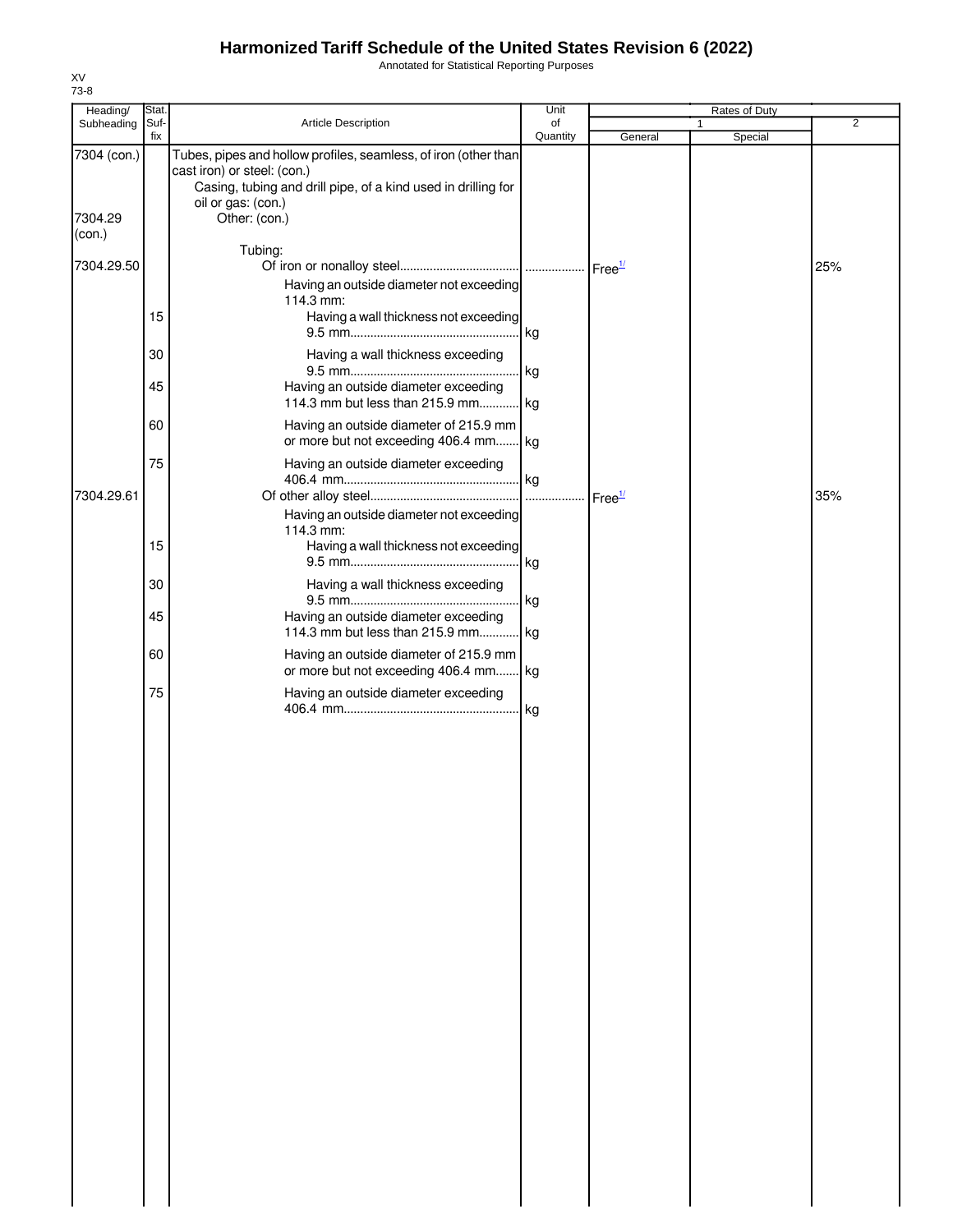Annotated for Statistical Reporting Purposes

| Heading/          | Stat. |                                                                                                                                                                 | Unit     |                    | Rates of Duty |                |
|-------------------|-------|-----------------------------------------------------------------------------------------------------------------------------------------------------------------|----------|--------------------|---------------|----------------|
| Subheading        | Suf-  | Article Description                                                                                                                                             | of       |                    | 1             | $\overline{2}$ |
| 7304 (con.)       | fix   | Tubes, pipes and hollow profiles, seamless, of iron (other than<br>cast iron) or steel: (con.)<br>Casing, tubing and drill pipe, of a kind used in drilling for | Quantity | General            | Special       |                |
| 7304.29<br>(con.) |       | oil or gas: (con.)<br>Other: (con.)                                                                                                                             |          |                    |               |                |
| 7304.29.50        |       | Tubing:                                                                                                                                                         |          | Free <sup>1/</sup> |               | 25%            |
|                   | 15    | Having an outside diameter not exceeding<br>114.3 mm:<br>Having a wall thickness not exceeding                                                                  | kg       |                    |               |                |
|                   | 30    | Having a wall thickness exceeding                                                                                                                               | kg       |                    |               |                |
|                   | 45    | Having an outside diameter exceeding<br>114.3 mm but less than 215.9 mm kg                                                                                      |          |                    |               |                |
|                   | 60    | Having an outside diameter of 215.9 mm<br>or more but not exceeding 406.4 mm kg                                                                                 |          |                    |               |                |
| 7304.29.61        | 75    | Having an outside diameter exceeding                                                                                                                            |          | Free <sup>1/</sup> |               | 35%            |
|                   | 15    | Having an outside diameter not exceeding<br>114.3 mm:<br>Having a wall thickness not exceeding                                                                  | kg       |                    |               |                |
|                   | 30    | Having a wall thickness exceeding                                                                                                                               | kg       |                    |               |                |
|                   | 45    | Having an outside diameter exceeding<br>114.3 mm but less than 215.9 mm kg                                                                                      |          |                    |               |                |
|                   | 60    | Having an outside diameter of 215.9 mm<br>or more but not exceeding 406.4 mm kg                                                                                 |          |                    |               |                |
|                   | 75    | Having an outside diameter exceeding                                                                                                                            |          |                    |               |                |
|                   |       |                                                                                                                                                                 |          |                    |               |                |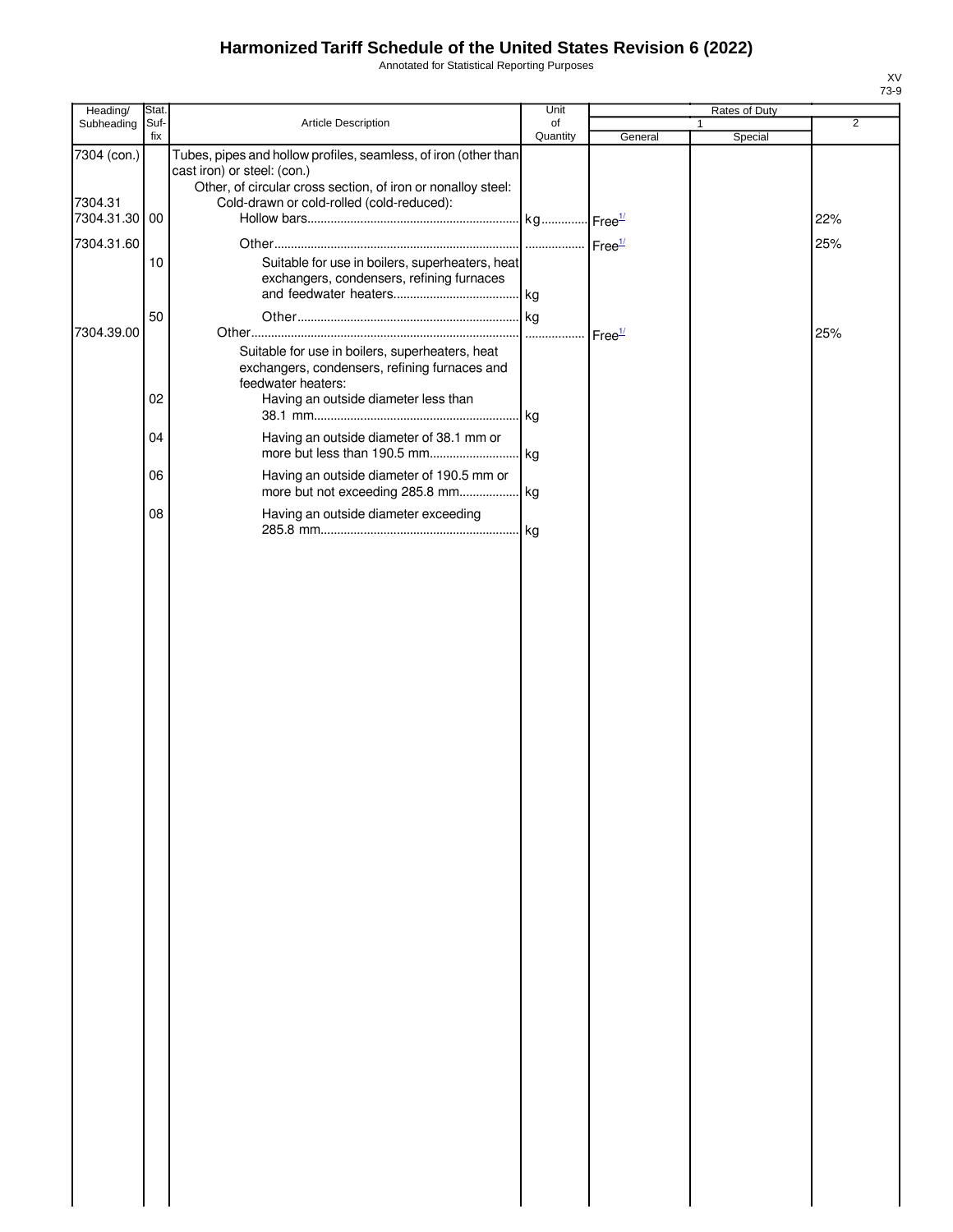Annotated for Statistical Reporting Purposes

| Heading/                 | Stat.       |                                                                                                                                                                | Unit           |         | Rates of Duty           |                |
|--------------------------|-------------|----------------------------------------------------------------------------------------------------------------------------------------------------------------|----------------|---------|-------------------------|----------------|
| Subheading               | Suf-<br>fix | Article Description                                                                                                                                            | of<br>Quantity | General | $\mathbf{1}$<br>Special | $\overline{2}$ |
| 7304 (con.)              |             | Tubes, pipes and hollow profiles, seamless, of iron (other than<br>cast iron) or steel: (con.)<br>Other, of circular cross section, of iron or nonalloy steel: |                |         |                         |                |
| 7304.31<br>7304.31.30 00 |             | Cold-drawn or cold-rolled (cold-reduced):                                                                                                                      |                |         |                         | 22%            |
| 7304.31.60               |             |                                                                                                                                                                |                |         |                         | 25%            |
|                          | 10          | Suitable for use in boilers, superheaters, heat<br>exchangers, condensers, refining furnaces                                                                   |                |         |                         |                |
| 7304.39.00               | 50          |                                                                                                                                                                |                |         |                         | 25%            |
|                          | 02          | Suitable for use in boilers, superheaters, heat<br>exchangers, condensers, refining furnaces and<br>feedwater heaters:<br>Having an outside diameter less than |                |         |                         |                |
|                          | 04          | Having an outside diameter of 38.1 mm or                                                                                                                       |                |         |                         |                |
|                          | 06          | Having an outside diameter of 190.5 mm or                                                                                                                      |                |         |                         |                |
|                          | 08          | Having an outside diameter exceeding                                                                                                                           |                |         |                         |                |
|                          |             |                                                                                                                                                                |                |         |                         |                |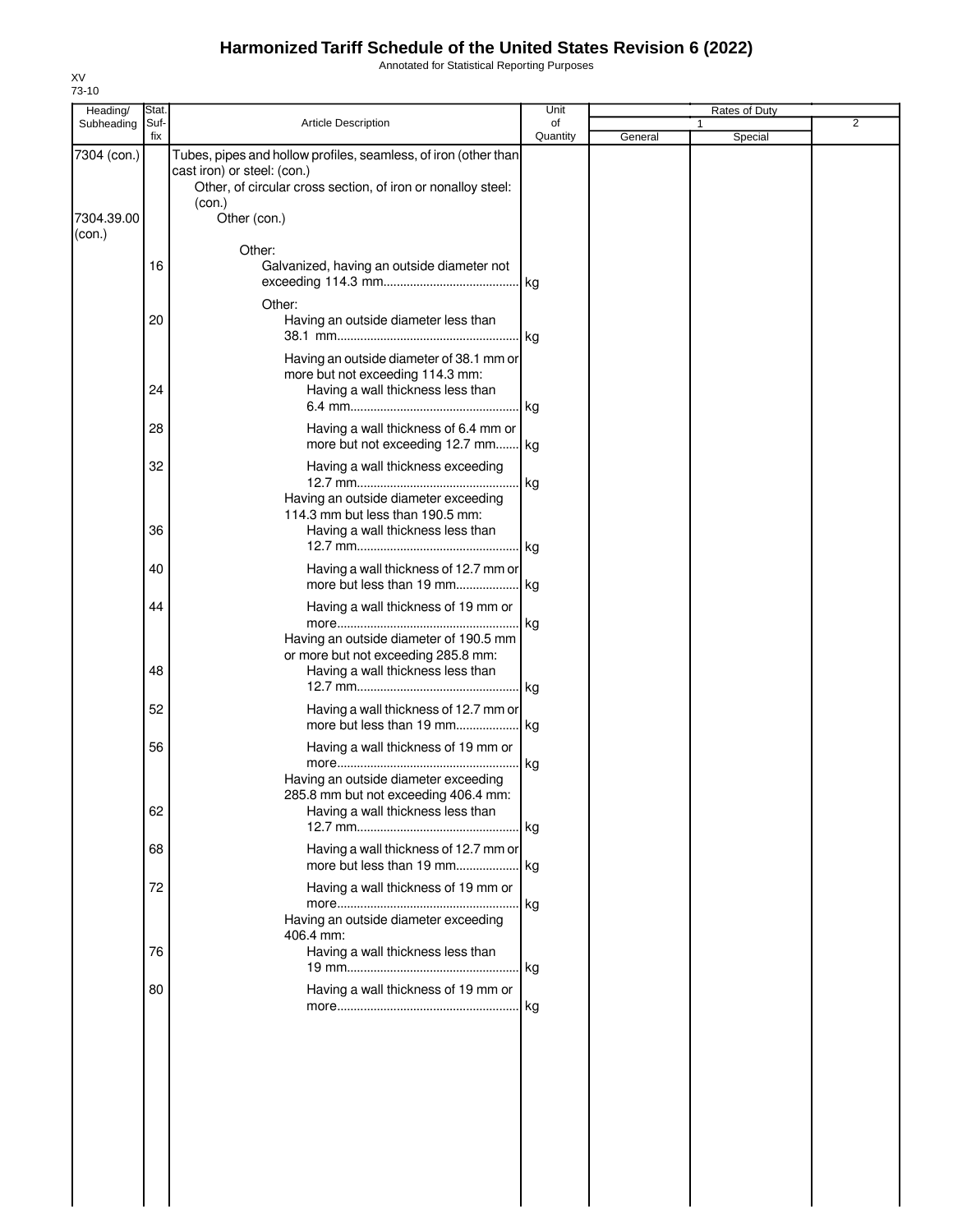Annotated for Statistical Reporting Purposes

| Heading/                  | Stat.       |                                                                                                                                                                                          | Unit           |         | Rates of Duty |                |
|---------------------------|-------------|------------------------------------------------------------------------------------------------------------------------------------------------------------------------------------------|----------------|---------|---------------|----------------|
| Subheading                | Suf-<br>fix | <b>Article Description</b>                                                                                                                                                               | of<br>Quantity | General | Special       | $\overline{2}$ |
| 7304 (con.)<br>7304.39.00 |             | Tubes, pipes and hollow profiles, seamless, of iron (other than<br>cast iron) or steel: (con.)<br>Other, of circular cross section, of iron or nonalloy steel:<br>(con.)<br>Other (con.) |                |         |               |                |
| (con.)                    | 16          | Other:<br>Galvanized, having an outside diameter not                                                                                                                                     | . kg           |         |               |                |
|                           | 20          | Other:<br>Having an outside diameter less than                                                                                                                                           | . kg           |         |               |                |
|                           | 24          | Having an outside diameter of 38.1 mm or<br>more but not exceeding 114.3 mm:<br>Having a wall thickness less than                                                                        |                |         |               |                |
|                           | 28          | Having a wall thickness of 6.4 mm or<br>more but not exceeding 12.7 mm kg                                                                                                                |                |         |               |                |
|                           | 32          | Having a wall thickness exceeding<br>Having an outside diameter exceeding<br>114.3 mm but less than 190.5 mm:                                                                            | kg             |         |               |                |
|                           | 36          | Having a wall thickness less than                                                                                                                                                        | . kg           |         |               |                |
|                           | 40          | Having a wall thickness of 12.7 mm or<br>more but less than 19 mm kg                                                                                                                     |                |         |               |                |
|                           | 44          | Having a wall thickness of 19 mm or<br>Having an outside diameter of 190.5 mm<br>or more but not exceeding 285.8 mm:                                                                     | kg             |         |               |                |
|                           | 48<br>52    | Having a wall thickness less than<br>Having a wall thickness of 12.7 mm or                                                                                                               |                |         |               |                |
|                           | 56          | more but less than 19 mm kg<br>Having a wall thickness of 19 mm or                                                                                                                       |                |         |               |                |
|                           | 62          | Having an outside diameter exceeding<br>285.8 mm but not exceeding 406.4 mm:<br>Having a wall thickness less than                                                                        | kg             |         |               |                |
|                           | 68          | Having a wall thickness of 12.7 mm or<br>more but less than 19 mm kg                                                                                                                     | . kg           |         |               |                |
|                           | 72          | Having a wall thickness of 19 mm or<br>Having an outside diameter exceeding<br>406.4 mm:                                                                                                 | .  kg          |         |               |                |
|                           | 76          | Having a wall thickness less than                                                                                                                                                        |                |         |               |                |
|                           | 80          | Having a wall thickness of 19 mm or                                                                                                                                                      | .  kg          |         |               |                |
|                           |             |                                                                                                                                                                                          |                |         |               |                |
|                           |             |                                                                                                                                                                                          |                |         |               |                |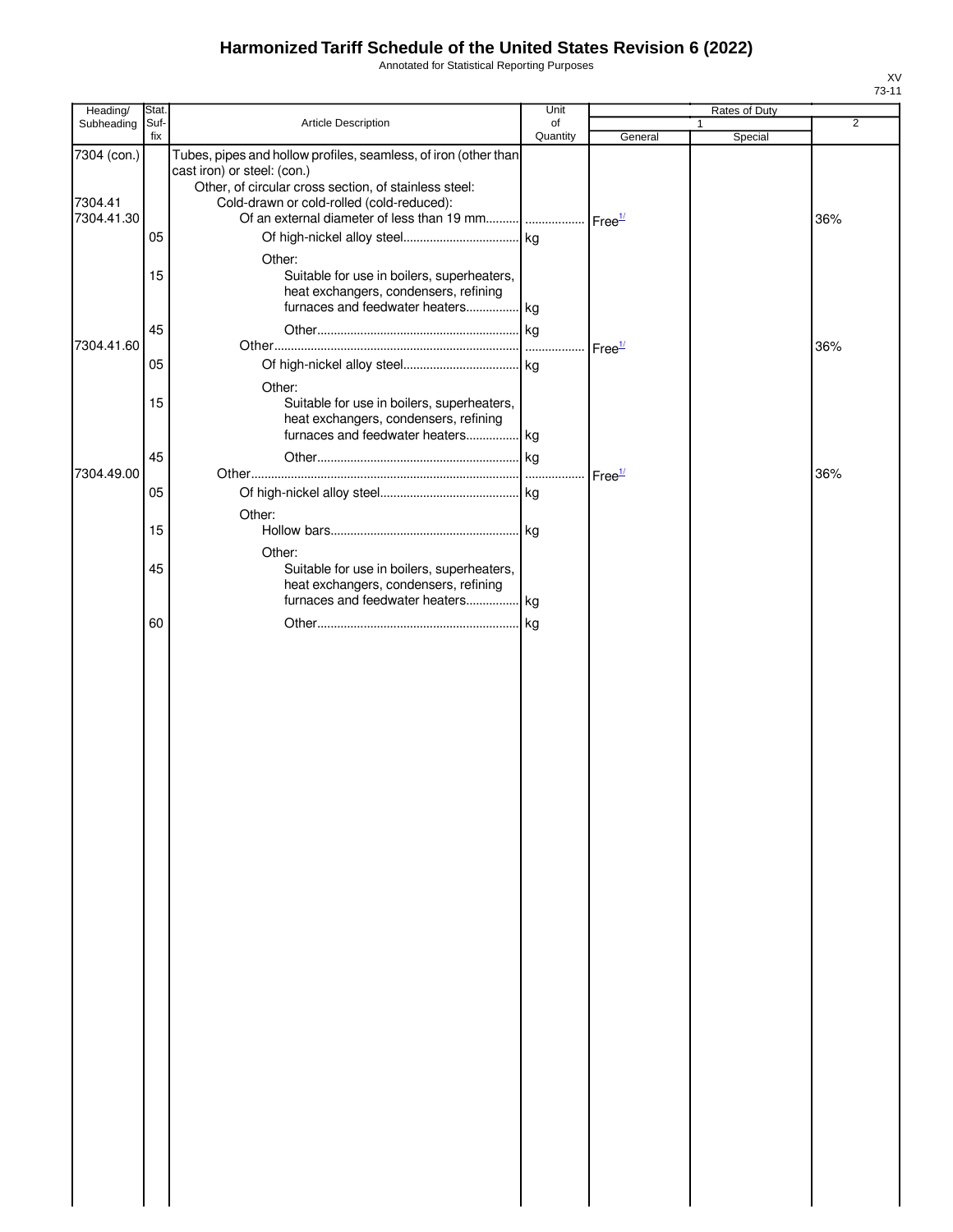Annotated for Statistical Reporting Purposes

| Heading/                             | Stat.                |                                                                                                                                                                                                      | Unit           |                    | Rates of Duty           |                |
|--------------------------------------|----------------------|------------------------------------------------------------------------------------------------------------------------------------------------------------------------------------------------------|----------------|--------------------|-------------------------|----------------|
| Subheading                           | Suf-<br>fix          | Article Description                                                                                                                                                                                  | of<br>Quantity | General            | $\mathbf{1}$<br>Special | $\overline{2}$ |
| 7304 (con.)<br>7304.41<br>7304.41.30 | 05                   | Tubes, pipes and hollow profiles, seamless, of iron (other than<br>cast iron) or steel: (con.)<br>Other, of circular cross section, of stainless steel:<br>Cold-drawn or cold-rolled (cold-reduced): |                |                    |                         | 36%            |
| 7304.41.60                           | 15<br>45<br>05<br>15 | Other:<br>Suitable for use in boilers, superheaters,<br>heat exchangers, condensers, refining<br>furnaces and feedwater heaters kg<br>Other:<br>Suitable for use in boilers, superheaters,           |                | Free <sup>1/</sup> |                         | 36%            |
| 7304.49.00                           | 45                   | heat exchangers, condensers, refining<br>furnaces and feedwater heaters kg                                                                                                                           |                | Free <sup>1/</sup> |                         | 36%            |
|                                      | 05<br>15             | Other:                                                                                                                                                                                               |                |                    |                         |                |
|                                      | 45                   | Other:<br>Suitable for use in boilers, superheaters,<br>heat exchangers, condensers, refining<br>furnaces and feedwater heaters kg                                                                   |                |                    |                         |                |
|                                      | 60                   |                                                                                                                                                                                                      | kg             |                    |                         |                |
|                                      |                      |                                                                                                                                                                                                      |                |                    |                         |                |
|                                      |                      |                                                                                                                                                                                                      |                |                    |                         |                |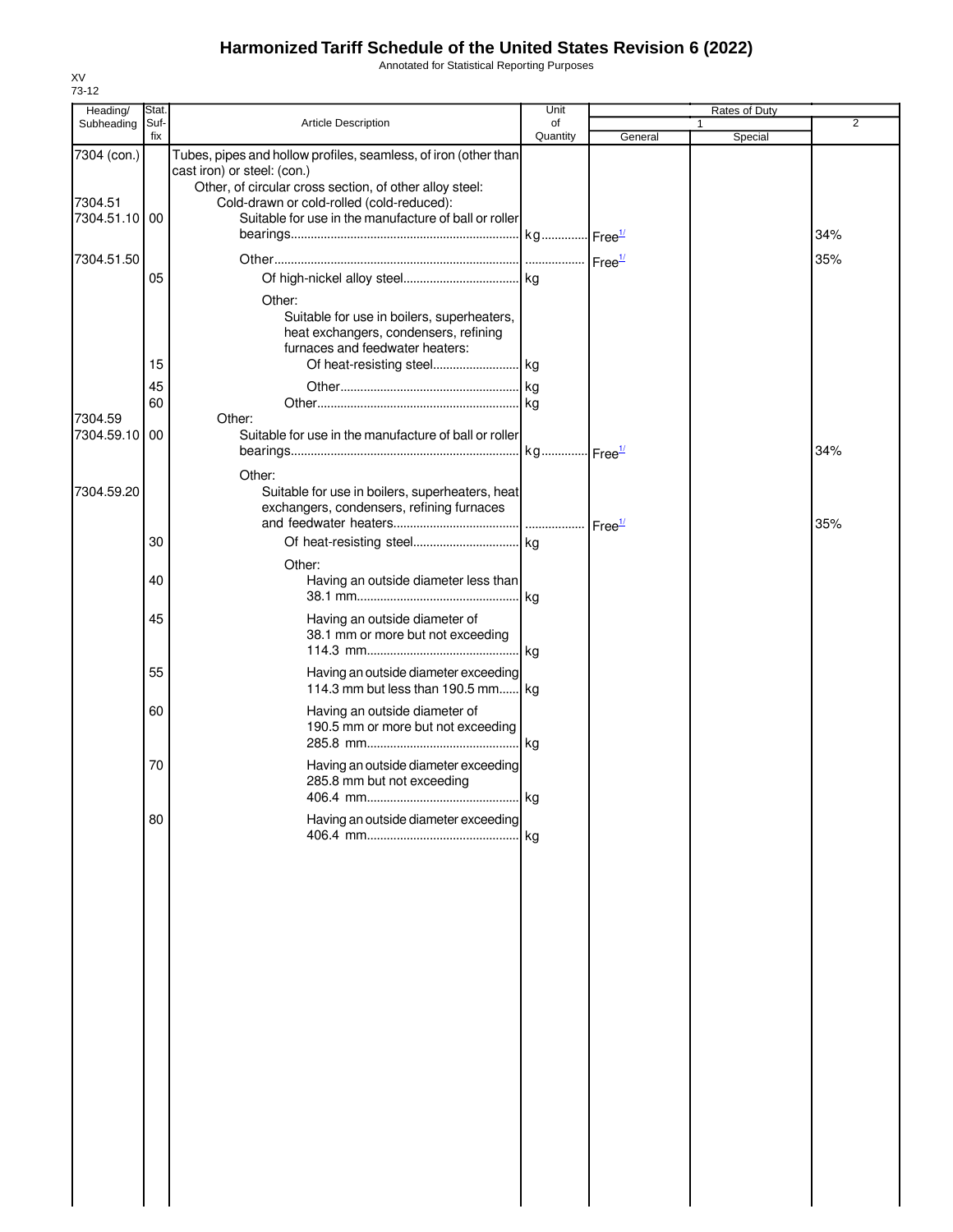Annotated for Statistical Reporting Purposes

| Heading/                 | Stat.       |                                                                                                    | Unit           |         | <b>Rates of Duty</b> |                |
|--------------------------|-------------|----------------------------------------------------------------------------------------------------|----------------|---------|----------------------|----------------|
| Subheading               | Suf-<br>fix | <b>Article Description</b>                                                                         | of<br>Quantity | General | 1<br>Special         | $\overline{2}$ |
| 7304 (con.)              |             | Tubes, pipes and hollow profiles, seamless, of iron (other than                                    |                |         |                      |                |
|                          |             | cast iron) or steel: (con.)                                                                        |                |         |                      |                |
|                          |             | Other, of circular cross section, of other alloy steel:                                            |                |         |                      |                |
| 7304.51<br>7304.51.10 00 |             | Cold-drawn or cold-rolled (cold-reduced):<br>Suitable for use in the manufacture of ball or roller |                |         |                      |                |
|                          |             |                                                                                                    |                |         |                      | 34%            |
| 7304.51.50               |             |                                                                                                    |                |         |                      | 35%            |
|                          | 05          |                                                                                                    |                |         |                      |                |
|                          |             |                                                                                                    |                |         |                      |                |
|                          |             | Other:<br>Suitable for use in boilers, superheaters,                                               |                |         |                      |                |
|                          |             | heat exchangers, condensers, refining                                                              |                |         |                      |                |
|                          |             | furnaces and feedwater heaters:                                                                    |                |         |                      |                |
|                          | 15          |                                                                                                    |                |         |                      |                |
|                          | 45          |                                                                                                    |                |         |                      |                |
| 7304.59                  | 60          | Other:                                                                                             |                |         |                      |                |
| 7304.59.10               | 00          | Suitable for use in the manufacture of ball or roller                                              |                |         |                      |                |
|                          |             |                                                                                                    |                |         |                      | 34%            |
|                          |             | Other:                                                                                             |                |         |                      |                |
| 7304.59.20               |             | Suitable for use in boilers, superheaters, heat                                                    |                |         |                      |                |
|                          |             | exchangers, condensers, refining furnaces                                                          |                |         |                      |                |
|                          |             |                                                                                                    |                |         |                      | 35%            |
|                          | 30          |                                                                                                    |                |         |                      |                |
|                          |             | Other:                                                                                             |                |         |                      |                |
|                          | 40          | Having an outside diameter less than                                                               |                |         |                      |                |
|                          |             |                                                                                                    |                |         |                      |                |
|                          | 45          | Having an outside diameter of<br>38.1 mm or more but not exceeding                                 |                |         |                      |                |
|                          |             |                                                                                                    |                |         |                      |                |
|                          | 55          | Having an outside diameter exceeding                                                               |                |         |                      |                |
|                          |             | 114.3 mm but less than 190.5 mm kg                                                                 |                |         |                      |                |
|                          | 60          | Having an outside diameter of                                                                      |                |         |                      |                |
|                          |             | 190.5 mm or more but not exceeding                                                                 |                |         |                      |                |
|                          |             |                                                                                                    |                |         |                      |                |
|                          | 70          | Having an outside diameter exceeding                                                               |                |         |                      |                |
|                          |             | 285.8 mm but not exceeding                                                                         |                |         |                      |                |
|                          |             |                                                                                                    |                |         |                      |                |
|                          | 80          | Having an outside diameter exceeding                                                               | kg             |         |                      |                |
|                          |             |                                                                                                    |                |         |                      |                |
|                          |             |                                                                                                    |                |         |                      |                |
|                          |             |                                                                                                    |                |         |                      |                |
|                          |             |                                                                                                    |                |         |                      |                |
|                          |             |                                                                                                    |                |         |                      |                |
|                          |             |                                                                                                    |                |         |                      |                |
|                          |             |                                                                                                    |                |         |                      |                |
|                          |             |                                                                                                    |                |         |                      |                |
|                          |             |                                                                                                    |                |         |                      |                |
|                          |             |                                                                                                    |                |         |                      |                |
|                          |             |                                                                                                    |                |         |                      |                |
|                          |             |                                                                                                    |                |         |                      |                |
|                          |             |                                                                                                    |                |         |                      |                |
|                          |             |                                                                                                    |                |         |                      |                |
|                          |             |                                                                                                    |                |         |                      |                |
|                          |             |                                                                                                    |                |         |                      |                |
|                          |             |                                                                                                    |                |         |                      |                |
|                          |             |                                                                                                    |                |         |                      |                |
|                          |             |                                                                                                    |                |         |                      |                |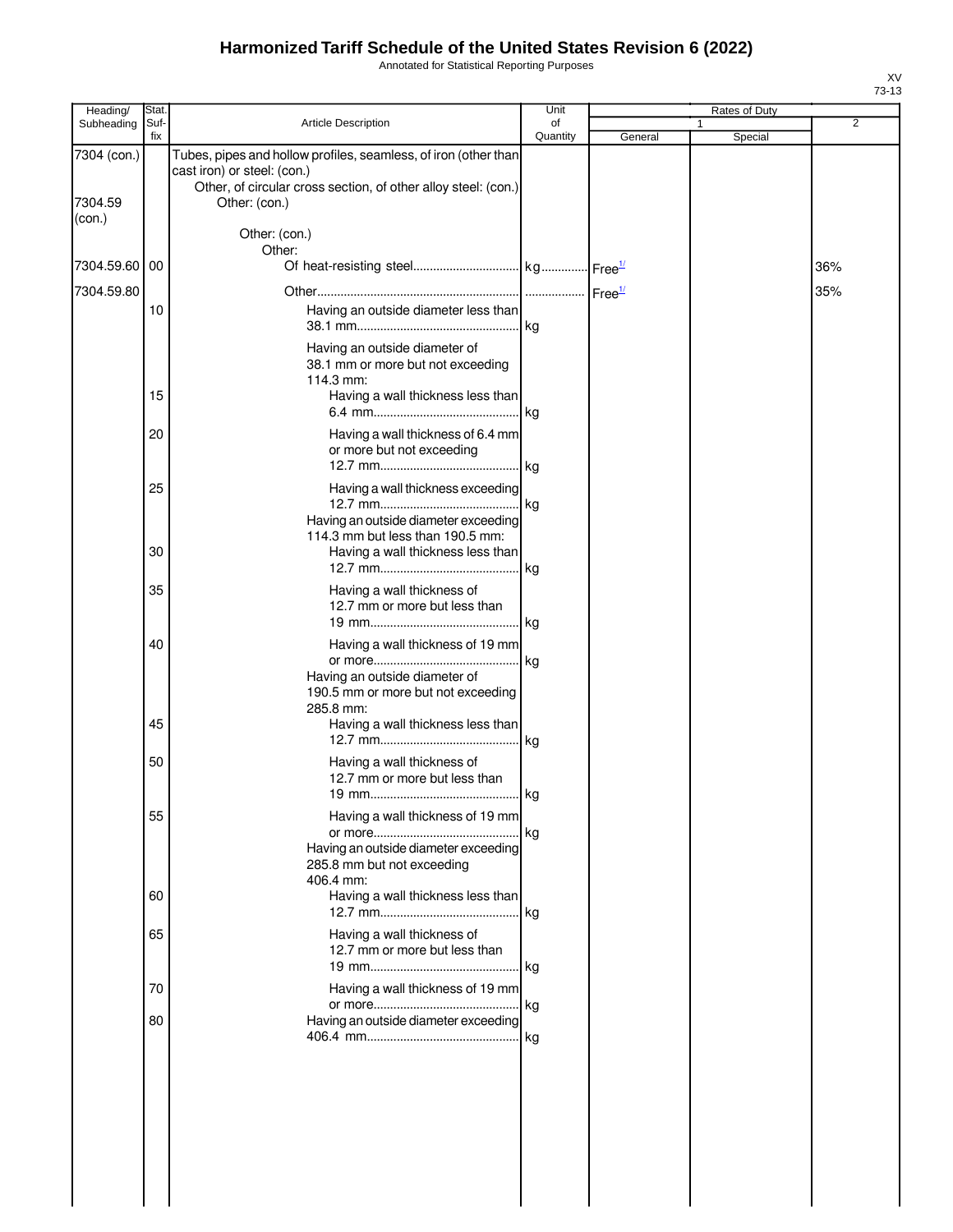Annotated for Statistical Reporting Purposes

| Heading/                         | Stat.       |                                                                                                                                                                                                    | Unit           |         | Rates of Duty |     |
|----------------------------------|-------------|----------------------------------------------------------------------------------------------------------------------------------------------------------------------------------------------------|----------------|---------|---------------|-----|
| Subheading                       | Suf-<br>fix | <b>Article Description</b>                                                                                                                                                                         | of<br>Quantity | General | 1<br>Special  | 2   |
| 7304 (con.)<br>7304.59<br>(con.) |             | Tubes, pipes and hollow profiles, seamless, of iron (other than<br>cast iron) or steel: (con.)<br>Other, of circular cross section, of other alloy steel: (con.)<br>Other: (con.)<br>Other: (con.) |                |         |               |     |
|                                  |             | Other:                                                                                                                                                                                             |                |         |               |     |
| 7304.59.60                       | 00          |                                                                                                                                                                                                    |                |         |               | 36% |
| 7304.59.80                       | 10          | Having an outside diameter less than<br>Having an outside diameter of<br>38.1 mm or more but not exceeding                                                                                         | . kg           |         |               | 35% |
|                                  | 15          | 114.3 mm:<br>Having a wall thickness less than                                                                                                                                                     |                |         |               |     |
|                                  | 20          | Having a wall thickness of 6.4 mm<br>or more but not exceeding                                                                                                                                     |                |         |               |     |
|                                  | 25          | Having a wall thickness exceeding<br>Having an outside diameter exceeding                                                                                                                          | .  kg          |         |               |     |
|                                  | 30          | 114.3 mm but less than 190.5 mm:<br>Having a wall thickness less than                                                                                                                              | kg             |         |               |     |
|                                  | 35          | Having a wall thickness of<br>12.7 mm or more but less than                                                                                                                                        |                |         |               |     |
|                                  | 40          | Having a wall thickness of 19 mm<br>Having an outside diameter of<br>190.5 mm or more but not exceeding                                                                                            | kg             |         |               |     |
|                                  | 45          | 285.8 mm:<br>Having a wall thickness less than                                                                                                                                                     | kg             |         |               |     |
|                                  | 50          | Having a wall thickness of<br>12.7 mm or more but less than<br>19 mm                                                                                                                               | kg             |         |               |     |
|                                  | 55          | Having a wall thickness of 19 mm<br>Having an outside diameter exceeding<br>285.8 mm but not exceeding                                                                                             | . kg           |         |               |     |
|                                  | 60          | 406.4 mm:<br>Having a wall thickness less than                                                                                                                                                     | . kg           |         |               |     |
|                                  | 65          | Having a wall thickness of<br>12.7 mm or more but less than                                                                                                                                        |                |         |               |     |
|                                  | 70          | Having a wall thickness of 19 mm                                                                                                                                                                   |                |         |               |     |
|                                  | 80          | Having an outside diameter exceeding                                                                                                                                                               |                |         |               |     |
|                                  |             |                                                                                                                                                                                                    |                |         |               |     |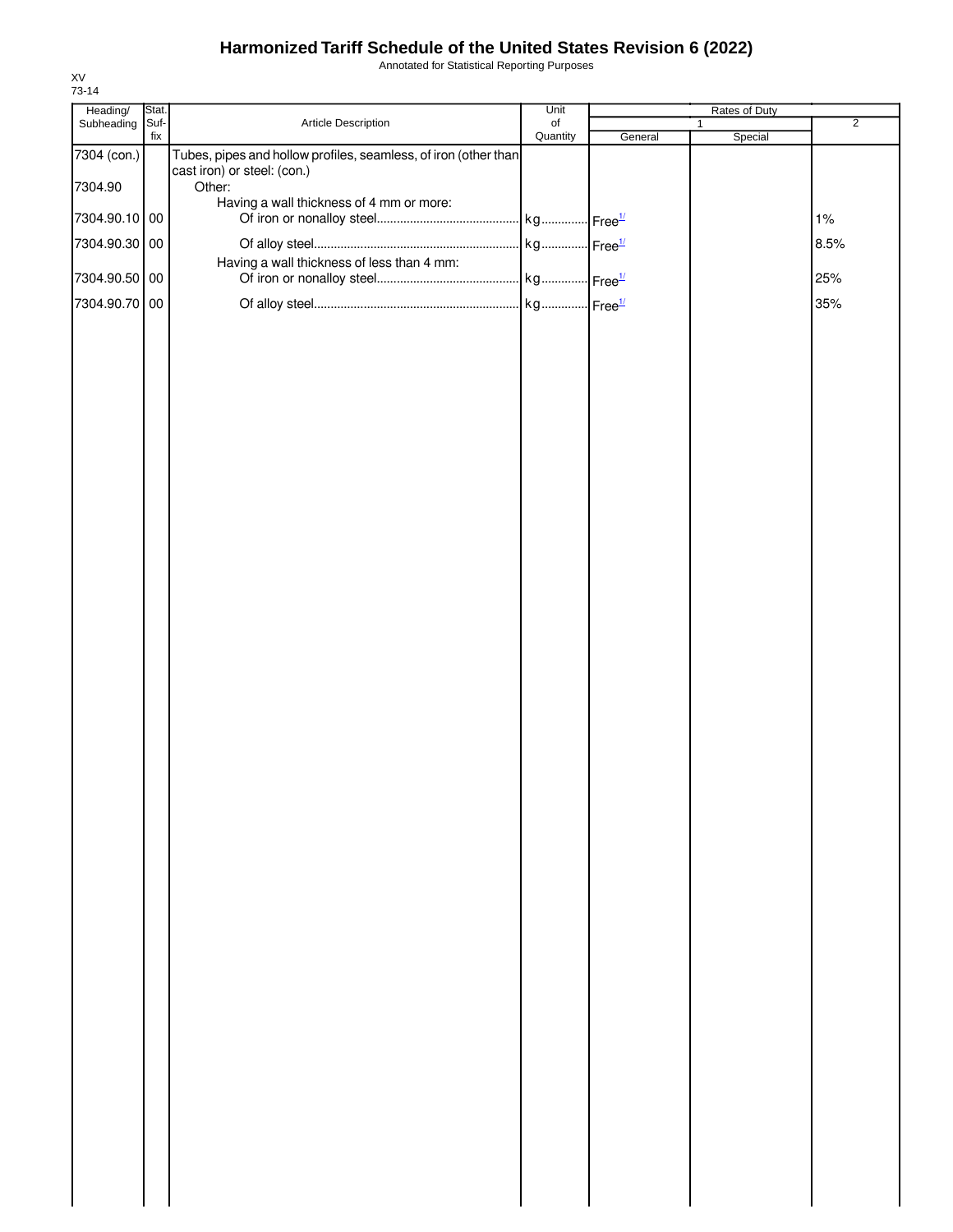Annotated for Statistical Reporting Purposes

| Heading/      | Stat.       |                                                                 | Unit                  |         | Rates of Duty |                |
|---------------|-------------|-----------------------------------------------------------------|-----------------------|---------|---------------|----------------|
| Subheading    | Suf-<br>fix | Article Description                                             | $\circ$ f<br>Quantity | General | 1             | $\overline{2}$ |
| 7304 (con.)   |             | Tubes, pipes and hollow profiles, seamless, of iron (other than |                       |         | Special       |                |
| 7304.90       |             | cast iron) or steel: (con.)<br>Other:                           |                       |         |               |                |
| 7304.90.10 00 |             | Having a wall thickness of 4 mm or more:                        |                       |         |               | 1%             |
| 7304.90.30 00 |             |                                                                 |                       |         |               | 8.5%           |
| 7304.90.50 00 |             | Having a wall thickness of less than 4 mm:                      |                       |         |               | 25%            |
| 7304.90.70 00 |             |                                                                 |                       |         |               | 35%            |
|               |             |                                                                 |                       |         |               |                |
|               |             |                                                                 |                       |         |               |                |
|               |             |                                                                 |                       |         |               |                |
|               |             |                                                                 |                       |         |               |                |
|               |             |                                                                 |                       |         |               |                |
|               |             |                                                                 |                       |         |               |                |
|               |             |                                                                 |                       |         |               |                |
|               |             |                                                                 |                       |         |               |                |
|               |             |                                                                 |                       |         |               |                |
|               |             |                                                                 |                       |         |               |                |
|               |             |                                                                 |                       |         |               |                |
|               |             |                                                                 |                       |         |               |                |
|               |             |                                                                 |                       |         |               |                |
|               |             |                                                                 |                       |         |               |                |
|               |             |                                                                 |                       |         |               |                |
|               |             |                                                                 |                       |         |               |                |
|               |             |                                                                 |                       |         |               |                |
|               |             |                                                                 |                       |         |               |                |
|               |             |                                                                 |                       |         |               |                |
|               |             |                                                                 |                       |         |               |                |
|               |             |                                                                 |                       |         |               |                |
|               |             |                                                                 |                       |         |               |                |
|               |             |                                                                 |                       |         |               |                |
|               |             |                                                                 |                       |         |               |                |
|               |             |                                                                 |                       |         |               |                |
|               |             |                                                                 |                       |         |               |                |
|               |             |                                                                 |                       |         |               |                |
|               |             |                                                                 |                       |         |               |                |
|               |             |                                                                 |                       |         |               |                |
|               |             |                                                                 |                       |         |               |                |
|               |             |                                                                 |                       |         |               |                |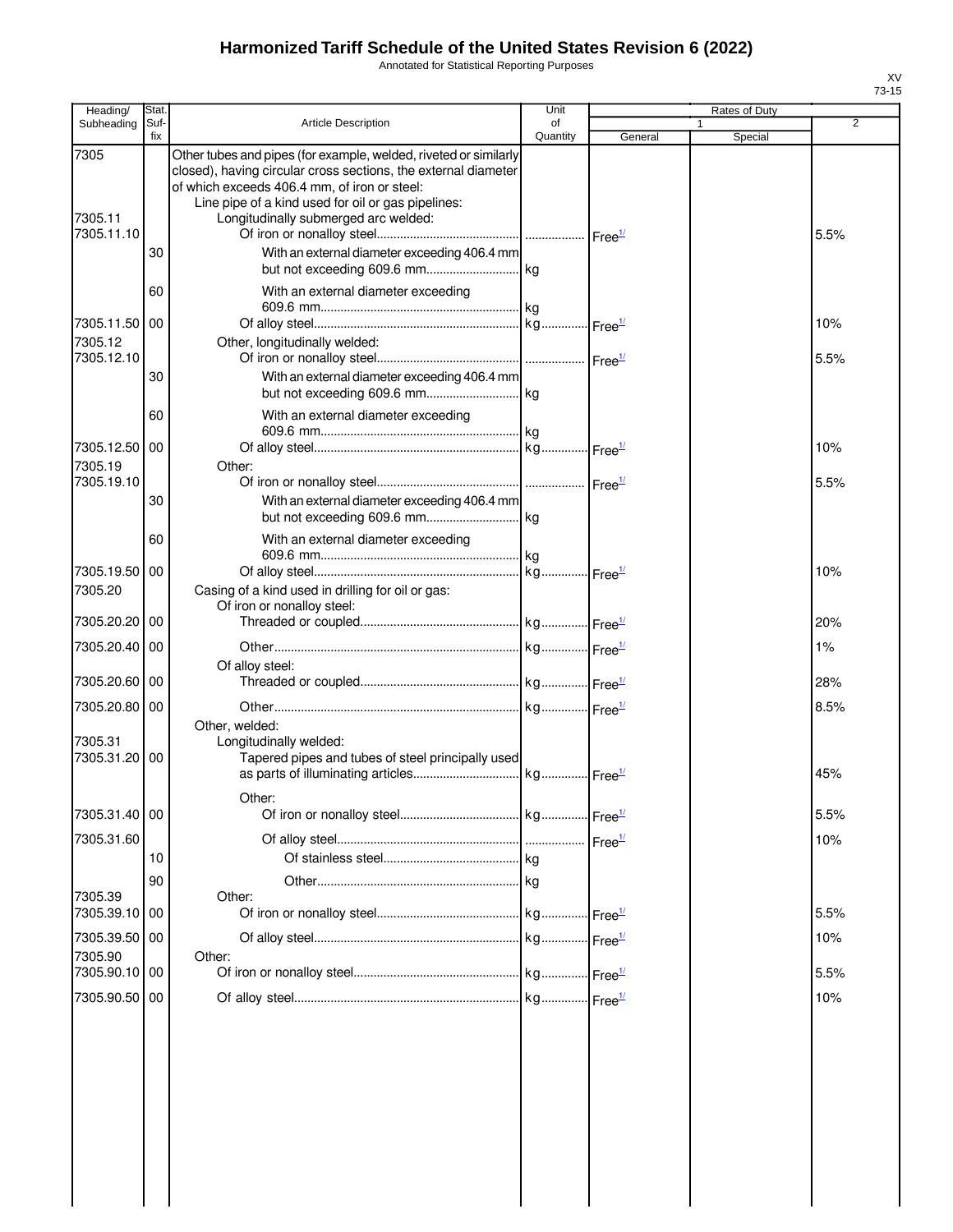Annotated for Statistical Reporting Purposes

| Heading/                               | Stat     |                                                                                                                                                                                                                                                                                  | Unit     |                        | Rates of Duty |      |
|----------------------------------------|----------|----------------------------------------------------------------------------------------------------------------------------------------------------------------------------------------------------------------------------------------------------------------------------------|----------|------------------------|---------------|------|
| Subheading                             | Suf-     | <b>Article Description</b>                                                                                                                                                                                                                                                       | of       |                        |               | 2    |
| 7305<br>7305.11                        | fix      | Other tubes and pipes (for example, welded, riveted or similarly<br>closed), having circular cross sections, the external diameter<br>of which exceeds 406.4 mm, of iron or steel:<br>Line pipe of a kind used for oil or gas pipelines:<br>Longitudinally submerged arc welded: | Quantity | General                | Special       |      |
| 7305.11.10                             | 30       | With an external diameter exceeding 406.4 mm                                                                                                                                                                                                                                     |          |                        |               | 5.5% |
|                                        | 60       | With an external diameter exceeding                                                                                                                                                                                                                                              |          |                        |               |      |
| 7305.11.50 00<br>7305.12               |          | Other, longitudinally welded:                                                                                                                                                                                                                                                    |          |                        |               | 10%  |
| 7305.12.10                             | 30       | With an external diameter exceeding 406.4 mm                                                                                                                                                                                                                                     |          |                        |               | 5.5% |
| 7305.12.50                             | 60<br>00 | With an external diameter exceeding                                                                                                                                                                                                                                              |          |                        |               | 10%  |
| 7305.19<br>7305.19.10                  | 30       | Other:<br>With an external diameter exceeding 406.4 mm                                                                                                                                                                                                                           |          |                        |               | 5.5% |
|                                        | 60       | With an external diameter exceeding                                                                                                                                                                                                                                              |          |                        |               |      |
| 7305.19.50 00<br>7305.20               |          | Casing of a kind used in drilling for oil or gas:<br>Of iron or nonalloy steel:                                                                                                                                                                                                  |          |                        |               | 10%  |
| 7305.20.20                             | 00       |                                                                                                                                                                                                                                                                                  |          |                        |               | 20%  |
| 7305.20.40 00                          |          | Of alloy steel:                                                                                                                                                                                                                                                                  |          |                        |               | 1%   |
| 7305.20.60 00                          |          |                                                                                                                                                                                                                                                                                  |          |                        |               | 28%  |
| 7305.20.80 00<br>7305.31<br>7305.31.20 | 00       | Other, welded:<br>Longitudinally welded:<br>Tapered pipes and tubes of steel principally used                                                                                                                                                                                    |          |                        |               | 8.5% |
|                                        |          | Other:                                                                                                                                                                                                                                                                           |          |                        |               | 45%  |
| 7305.31.40 00                          |          |                                                                                                                                                                                                                                                                                  |          |                        |               | 5.5% |
| 7305.31.60                             | 10       |                                                                                                                                                                                                                                                                                  | kg       | $I$ Free <sup>1/</sup> |               | 10%  |
| 7305.39<br>7305.39.10                  | 90<br>00 | Other:                                                                                                                                                                                                                                                                           |          |                        |               | 5.5% |
| 7305.39.50 00<br>7305.90               |          | Other:                                                                                                                                                                                                                                                                           |          |                        |               | 10%  |
| 7305.90.10                             | l 00     |                                                                                                                                                                                                                                                                                  |          |                        |               | 5.5% |
| 7305.90.50                             | 00       |                                                                                                                                                                                                                                                                                  |          |                        |               | 10%  |
|                                        |          |                                                                                                                                                                                                                                                                                  |          |                        |               |      |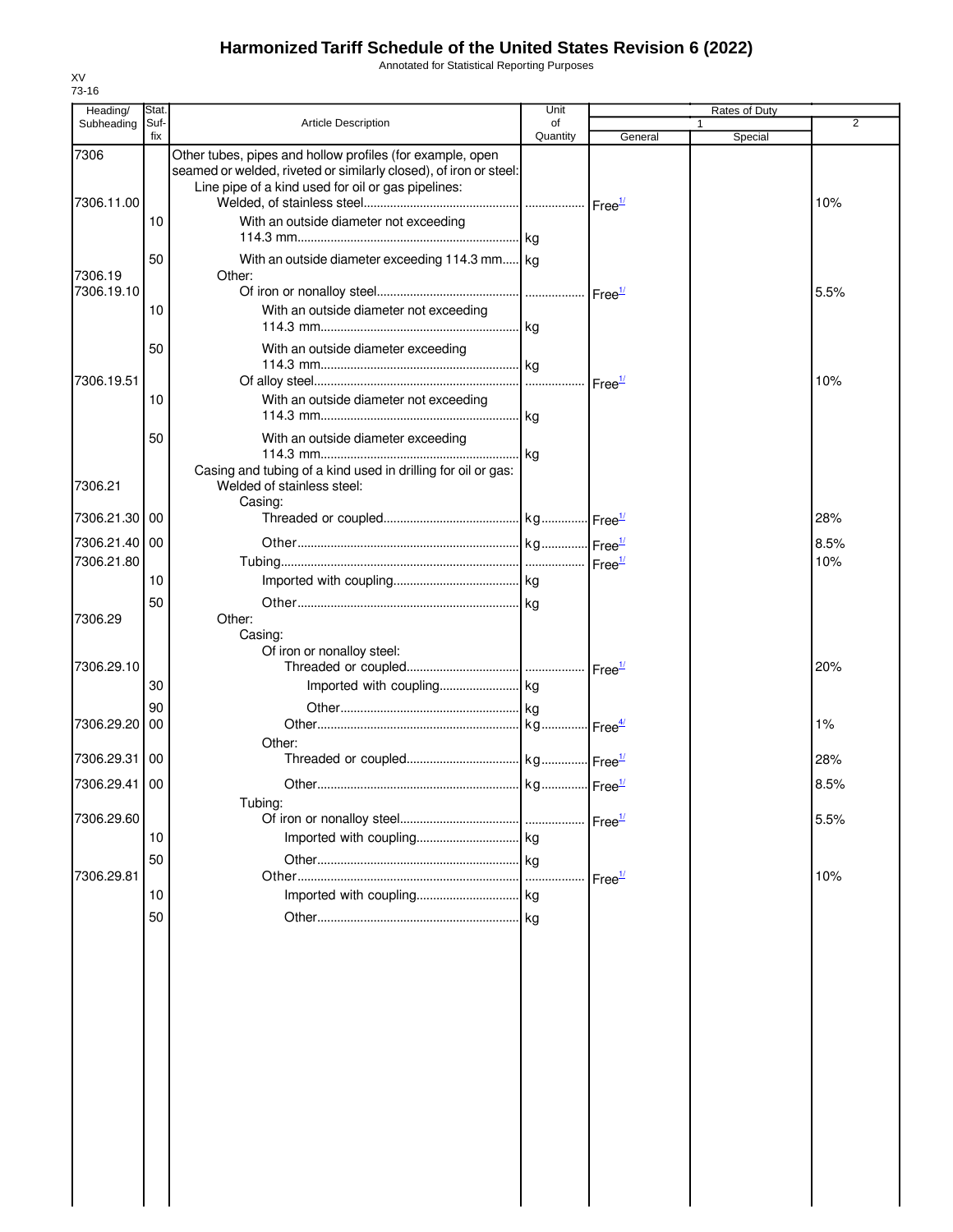Annotated for Statistical Reporting Purposes

| Stat.            |                                                                                                                 | Unit                                                                                                                                    |                                                                  | Rates of Duty                                       |                |
|------------------|-----------------------------------------------------------------------------------------------------------------|-----------------------------------------------------------------------------------------------------------------------------------------|------------------------------------------------------------------|-----------------------------------------------------|----------------|
|                  |                                                                                                                 |                                                                                                                                         |                                                                  | 1                                                   | $\overline{2}$ |
|                  | Other tubes, pipes and hollow profiles (for example, open<br>Line pipe of a kind used for oil or gas pipelines: |                                                                                                                                         |                                                                  |                                                     |                |
| 10               | With an outside diameter not exceeding                                                                          |                                                                                                                                         |                                                                  |                                                     | 10%            |
| 50               | Other:                                                                                                          |                                                                                                                                         |                                                                  |                                                     |                |
| 10               | With an outside diameter not exceeding                                                                          |                                                                                                                                         |                                                                  |                                                     | 5.5%           |
| 50               | With an outside diameter exceeding                                                                              |                                                                                                                                         |                                                                  |                                                     | 10%            |
| 10               | With an outside diameter not exceeding                                                                          |                                                                                                                                         |                                                                  |                                                     |                |
| 50               | With an outside diameter exceeding<br>Casing and tubing of a kind used in drilling for oil or gas:              |                                                                                                                                         |                                                                  |                                                     |                |
| 7306.21.30<br>00 | Casing:                                                                                                         |                                                                                                                                         |                                                                  |                                                     | 28%            |
| 7306.21.40 00    |                                                                                                                 |                                                                                                                                         |                                                                  |                                                     | 8.5%<br>10%    |
| 10<br>50         |                                                                                                                 |                                                                                                                                         |                                                                  |                                                     |                |
|                  | Casing:<br>Of iron or nonalloy steel:                                                                           |                                                                                                                                         |                                                                  |                                                     |                |
| 30               |                                                                                                                 |                                                                                                                                         |                                                                  |                                                     | 20%            |
| 7306.29.20<br>00 | Other:                                                                                                          |                                                                                                                                         |                                                                  |                                                     | 1%             |
| 00               |                                                                                                                 |                                                                                                                                         |                                                                  |                                                     | 28%            |
| 7306.29.41 00    | Tubing:                                                                                                         |                                                                                                                                         |                                                                  |                                                     | 8.5%           |
| 10               |                                                                                                                 |                                                                                                                                         |                                                                  |                                                     | 5.5%           |
| 10               |                                                                                                                 |                                                                                                                                         |                                                                  |                                                     | 10%            |
| 50               |                                                                                                                 |                                                                                                                                         |                                                                  |                                                     |                |
|                  |                                                                                                                 |                                                                                                                                         |                                                                  |                                                     |                |
|                  |                                                                                                                 |                                                                                                                                         |                                                                  |                                                     |                |
|                  |                                                                                                                 |                                                                                                                                         |                                                                  |                                                     |                |
|                  |                                                                                                                 |                                                                                                                                         |                                                                  |                                                     |                |
|                  |                                                                                                                 |                                                                                                                                         |                                                                  |                                                     |                |
|                  | Suf-<br>fix<br>90<br>50                                                                                         | <b>Article Description</b><br>seamed or welded, riveted or similarly closed), of iron or steel:<br>Welded of stainless steel:<br>Other: | of<br>Quantity<br>With an outside diameter exceeding 114.3 mm kg | General<br>Free <sup>1/</sup><br>Free <sup>1/</sup> | Special        |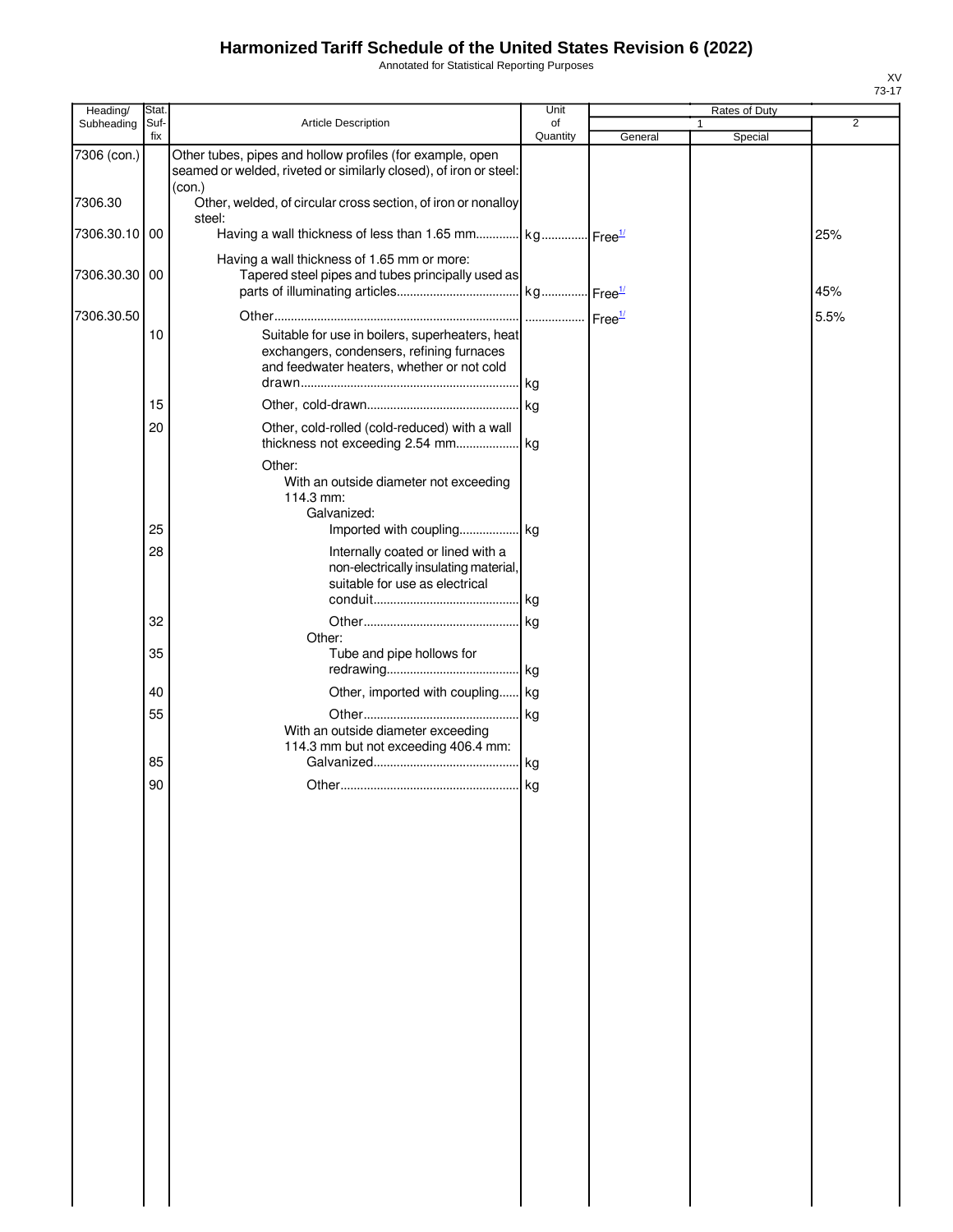Annotated for Statistical Reporting Purposes

| Heading/      | Stat.       |                                                                                                                                            | Unit           |         | Rates of Duty |                |
|---------------|-------------|--------------------------------------------------------------------------------------------------------------------------------------------|----------------|---------|---------------|----------------|
| Subheading    | Suf-<br>fix | Article Description                                                                                                                        | of<br>Quantity | General | 1<br>Special  | $\overline{2}$ |
| 7306 (con.)   |             | Other tubes, pipes and hollow profiles (for example, open<br>seamed or welded, riveted or similarly closed), of iron or steel:             |                |         |               |                |
| 7306.30       |             | (con.)<br>Other, welded, of circular cross section, of iron or nonalloy<br>steel:                                                          |                |         |               |                |
| 7306.30.10 00 |             | Having a wall thickness of less than 1.65 mm kg Free <sup>1/</sup>                                                                         |                |         |               | 25%            |
| 7306.30.30 00 |             | Having a wall thickness of 1.65 mm or more:<br>Tapered steel pipes and tubes principally used as                                           |                |         |               |                |
|               |             |                                                                                                                                            |                |         |               | 45%            |
| 7306.30.50    |             |                                                                                                                                            |                |         |               | 5.5%           |
|               | 10          | Suitable for use in boilers, superheaters, heat<br>exchangers, condensers, refining furnaces<br>and feedwater heaters, whether or not cold | .lkg           |         |               |                |
|               | 15          |                                                                                                                                            |                |         |               |                |
|               |             |                                                                                                                                            |                |         |               |                |
|               | 20          | Other, cold-rolled (cold-reduced) with a wall                                                                                              |                |         |               |                |
|               |             | Other:<br>With an outside diameter not exceeding<br>114.3 mm:<br>Galvanized:                                                               |                |         |               |                |
|               | 25          |                                                                                                                                            |                |         |               |                |
|               | 28          | Internally coated or lined with a<br>non-electrically insulating material,<br>suitable for use as electrical                               |                |         |               |                |
|               |             |                                                                                                                                            |                |         |               |                |
|               | 32          |                                                                                                                                            |                |         |               |                |
|               |             | Other:                                                                                                                                     |                |         |               |                |
|               | 35          | Tube and pipe hollows for                                                                                                                  |                |         |               |                |
|               | 40          | Other, imported with coupling kg                                                                                                           |                |         |               |                |
|               | 55          |                                                                                                                                            |                |         |               |                |
|               |             | With an outside diameter exceeding                                                                                                         |                |         |               |                |
|               |             | 114.3 mm but not exceeding 406.4 mm:                                                                                                       |                |         |               |                |
|               | 85          |                                                                                                                                            |                |         |               |                |
|               | 90          |                                                                                                                                            |                |         |               |                |
|               |             |                                                                                                                                            |                |         |               |                |
|               |             |                                                                                                                                            |                |         |               |                |
|               |             |                                                                                                                                            |                |         |               |                |
|               |             |                                                                                                                                            |                |         |               |                |
|               |             |                                                                                                                                            |                |         |               |                |
|               |             |                                                                                                                                            |                |         |               |                |
|               |             |                                                                                                                                            |                |         |               |                |
|               |             |                                                                                                                                            |                |         |               |                |
|               |             |                                                                                                                                            |                |         |               |                |
|               |             |                                                                                                                                            |                |         |               |                |
|               |             |                                                                                                                                            |                |         |               |                |
|               |             |                                                                                                                                            |                |         |               |                |
|               |             |                                                                                                                                            |                |         |               |                |
|               |             |                                                                                                                                            |                |         |               |                |
|               |             |                                                                                                                                            |                |         |               |                |
|               |             |                                                                                                                                            |                |         |               |                |
|               |             |                                                                                                                                            |                |         |               |                |
|               |             |                                                                                                                                            |                |         |               |                |
|               |             |                                                                                                                                            |                |         |               |                |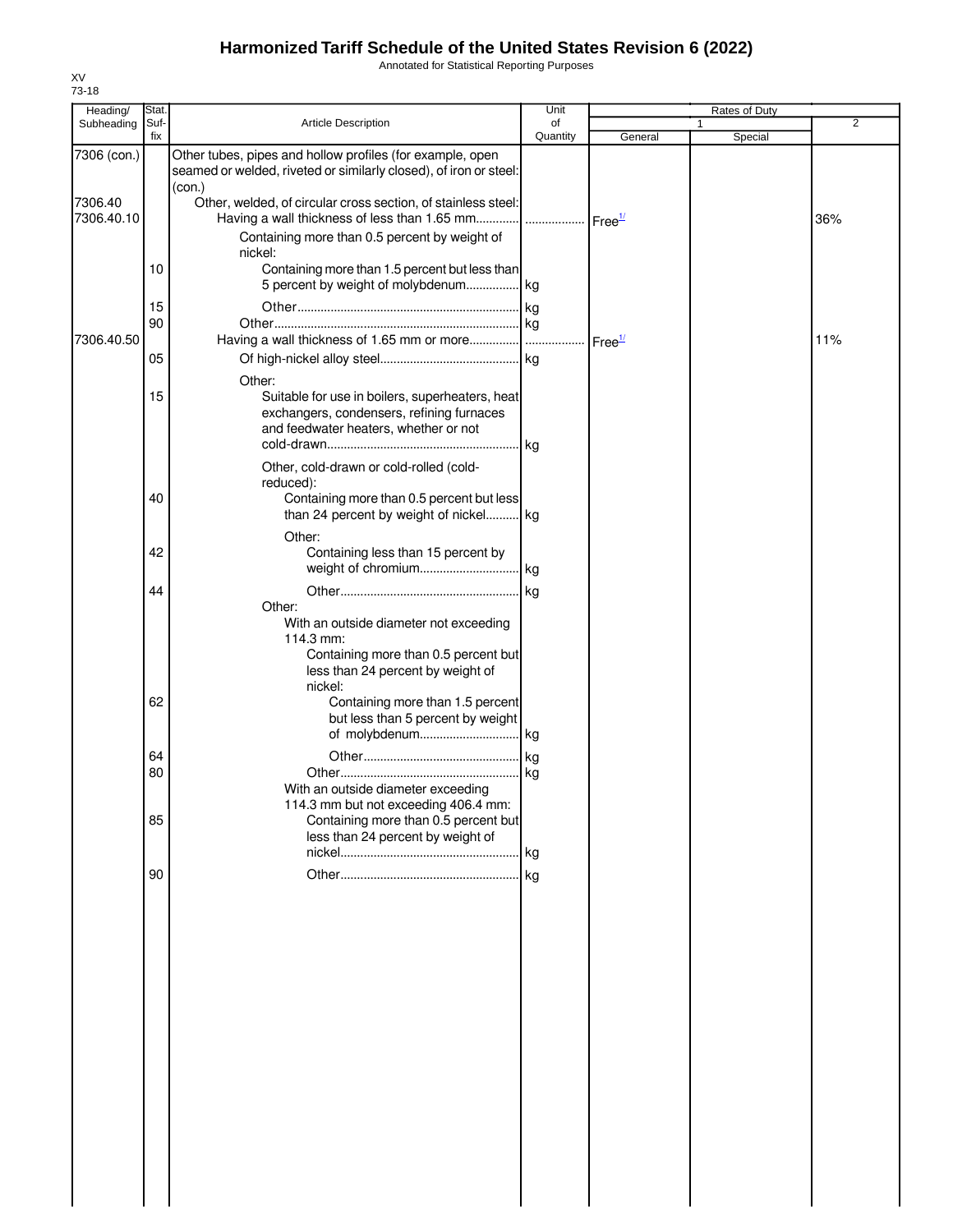Annotated for Statistical Reporting Purposes

| Heading/              | Stat.       |                                                                                                                                                       | Unit           |                    | Rates of Duty |         |                |
|-----------------------|-------------|-------------------------------------------------------------------------------------------------------------------------------------------------------|----------------|--------------------|---------------|---------|----------------|
| Subheading            | Suf-<br>fix | <b>Article Description</b>                                                                                                                            | of<br>Quantity | General            | 1             | Special | $\overline{2}$ |
| 7306 (con.)           |             | Other tubes, pipes and hollow profiles (for example, open<br>seamed or welded, riveted or similarly closed), of iron or steel:<br>(con.)              |                |                    |               |         |                |
| 7306.40<br>7306.40.10 |             | Other, welded, of circular cross section, of stainless steel:<br>Having a wall thickness of less than 1.65 mm   Free <sup>1/</sup>                    |                |                    |               |         | 36%            |
|                       |             | Containing more than 0.5 percent by weight of<br>nickel:                                                                                              |                |                    |               |         |                |
|                       | 10          | Containing more than 1.5 percent but less than<br>5 percent by weight of molybdenum kg                                                                |                |                    |               |         |                |
|                       | 15<br>90    |                                                                                                                                                       |                |                    |               |         |                |
| 7306.40.50            |             |                                                                                                                                                       |                | Free <sup>1/</sup> |               |         | 11%            |
|                       | 05          | Other:                                                                                                                                                |                |                    |               |         |                |
|                       | 15          | Suitable for use in boilers, superheaters, heat<br>exchangers, condensers, refining furnaces<br>and feedwater heaters, whether or not                 |                |                    |               |         |                |
|                       | 40          | Other, cold-drawn or cold-rolled (cold-<br>reduced):<br>Containing more than 0.5 percent but less<br>than 24 percent by weight of nickel kg           |                |                    |               |         |                |
|                       |             | Other:                                                                                                                                                |                |                    |               |         |                |
|                       | 42          | Containing less than 15 percent by                                                                                                                    |                |                    |               |         |                |
|                       | 44          |                                                                                                                                                       |                |                    |               |         |                |
|                       |             | Other:<br>With an outside diameter not exceeding<br>114.3 mm:<br>Containing more than 0.5 percent but<br>less than 24 percent by weight of<br>nickel: |                |                    |               |         |                |
|                       | 62          | Containing more than 1.5 percent<br>but less than 5 percent by weight                                                                                 |                |                    |               |         |                |
|                       |             |                                                                                                                                                       |                |                    |               |         |                |
|                       | 64<br>80    |                                                                                                                                                       |                |                    |               |         |                |
|                       |             | With an outside diameter exceeding<br>114.3 mm but not exceeding 406.4 mm:                                                                            |                |                    |               |         |                |
|                       | 85          | Containing more than 0.5 percent but<br>less than 24 percent by weight of                                                                             |                |                    |               |         |                |
|                       | 90          |                                                                                                                                                       |                |                    |               |         |                |
|                       |             |                                                                                                                                                       |                |                    |               |         |                |
|                       |             |                                                                                                                                                       |                |                    |               |         |                |
|                       |             |                                                                                                                                                       |                |                    |               |         |                |
|                       |             |                                                                                                                                                       |                |                    |               |         |                |
|                       |             |                                                                                                                                                       |                |                    |               |         |                |
|                       |             |                                                                                                                                                       |                |                    |               |         |                |
|                       |             |                                                                                                                                                       |                |                    |               |         |                |
|                       |             |                                                                                                                                                       |                |                    |               |         |                |
|                       |             |                                                                                                                                                       |                |                    |               |         |                |
|                       |             |                                                                                                                                                       |                |                    |               |         |                |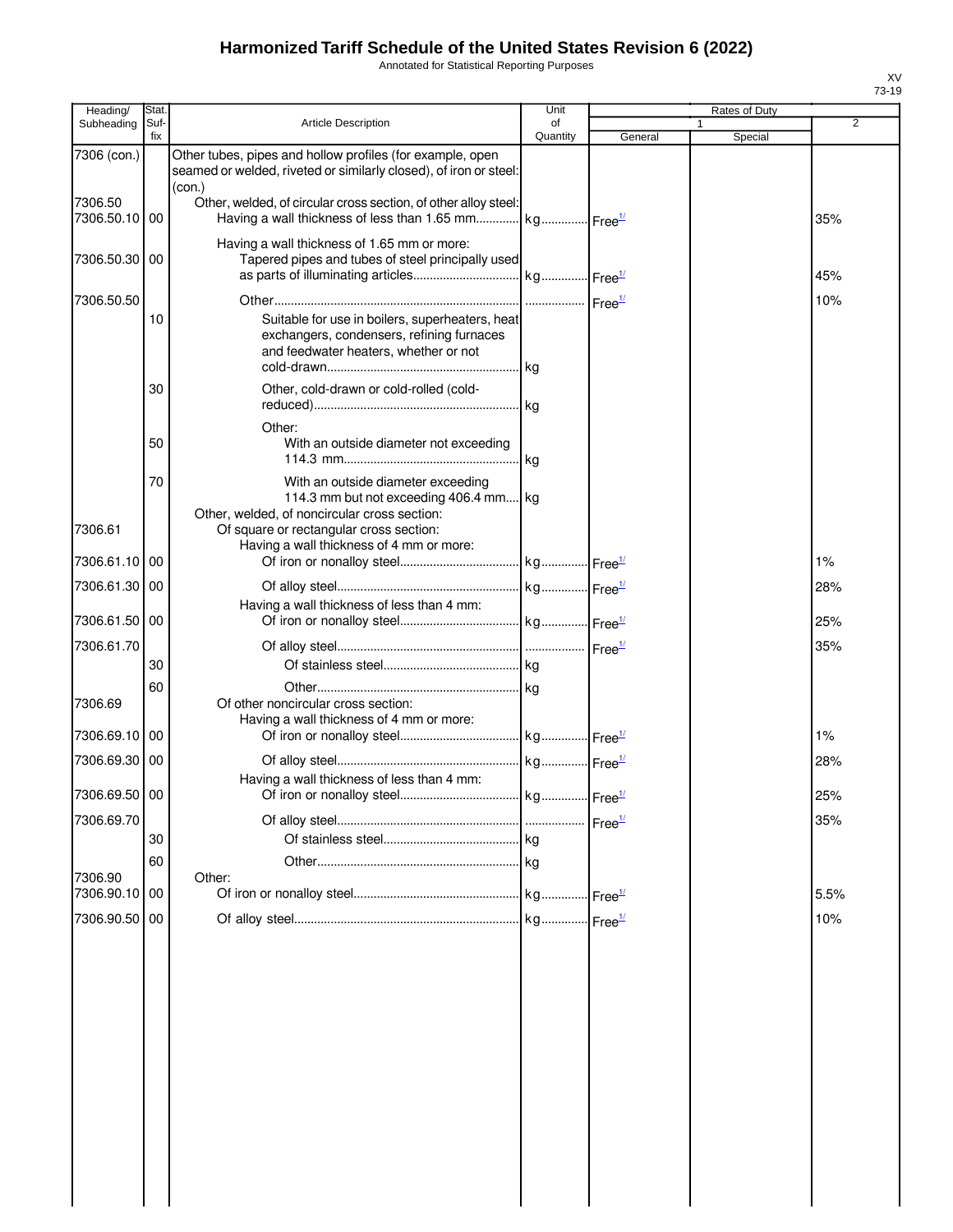Annotated for Statistical Reporting Purposes

| Heading/                 | Stat.       |                                                                                                                                          | Unit           |         | Rates of Duty |      |
|--------------------------|-------------|------------------------------------------------------------------------------------------------------------------------------------------|----------------|---------|---------------|------|
| Subheading               | Suf-<br>fix | <b>Article Description</b>                                                                                                               | of<br>Quantity | General | Special       | 2    |
| 7306 (con.)              |             | Other tubes, pipes and hollow profiles (for example, open<br>seamed or welded, riveted or similarly closed), of iron or steel:<br>(con.) |                |         |               |      |
| 7306.50<br>7306.50.10 00 |             | Other, welded, of circular cross section, of other alloy steel:<br>Having a wall thickness of less than 1.65 mm kg Free <sup>1/</sup>    |                |         |               | 35%  |
| 7306.50.30 00            |             | Having a wall thickness of 1.65 mm or more:<br>Tapered pipes and tubes of steel principally used                                         |                |         |               | 45%  |
| 7306.50.50               |             |                                                                                                                                          |                |         |               | 10%  |
|                          | 10          | Suitable for use in boilers, superheaters, heat<br>exchangers, condensers, refining furnaces<br>and feedwater heaters, whether or not    |                |         |               |      |
|                          | 30          | Other, cold-drawn or cold-rolled (cold-                                                                                                  |                |         |               |      |
|                          | 50          | Other:<br>With an outside diameter not exceeding                                                                                         |                |         |               |      |
|                          | 70          | With an outside diameter exceeding<br>114.3 mm but not exceeding 406.4 mm kg<br>Other, welded, of noncircular cross section:             |                |         |               |      |
| 7306.61                  |             | Of square or rectangular cross section:<br>Having a wall thickness of 4 mm or more:                                                      |                |         |               |      |
| 7306.61.10               | 00          |                                                                                                                                          |                |         |               | 1%   |
| 7306.61.30               | 00          |                                                                                                                                          |                |         |               | 28%  |
| 7306.61.50 00            |             | Having a wall thickness of less than 4 mm:                                                                                               |                |         |               | 25%  |
| 7306.61.70               |             |                                                                                                                                          |                |         |               | 35%  |
|                          | 30          |                                                                                                                                          |                |         |               |      |
| 7306.69                  | 60          | Of other noncircular cross section:                                                                                                      |                |         |               |      |
| 7306.69.10               | 00          | Having a wall thickness of 4 mm or more:                                                                                                 |                |         |               | 1%   |
| 7306.69.30 00            |             |                                                                                                                                          |                |         |               | 28%  |
| 7306.69.50 00            |             | Having a wall thickness of less than 4 mm:                                                                                               |                |         |               | 25%  |
| 7306.69.70               |             |                                                                                                                                          |                |         |               | 35%  |
|                          | 30          |                                                                                                                                          |                |         |               |      |
|                          | 60          |                                                                                                                                          |                |         |               |      |
| 7306.90<br>7306.90.10    |             | Other:                                                                                                                                   |                |         |               |      |
|                          | 00          |                                                                                                                                          |                |         |               | 5.5% |
| 7306.90.50 00            |             |                                                                                                                                          |                |         |               | 10%  |
|                          |             |                                                                                                                                          |                |         |               |      |
|                          |             |                                                                                                                                          |                |         |               |      |
|                          |             |                                                                                                                                          |                |         |               |      |
|                          |             |                                                                                                                                          |                |         |               |      |
|                          |             |                                                                                                                                          |                |         |               |      |
|                          |             |                                                                                                                                          |                |         |               |      |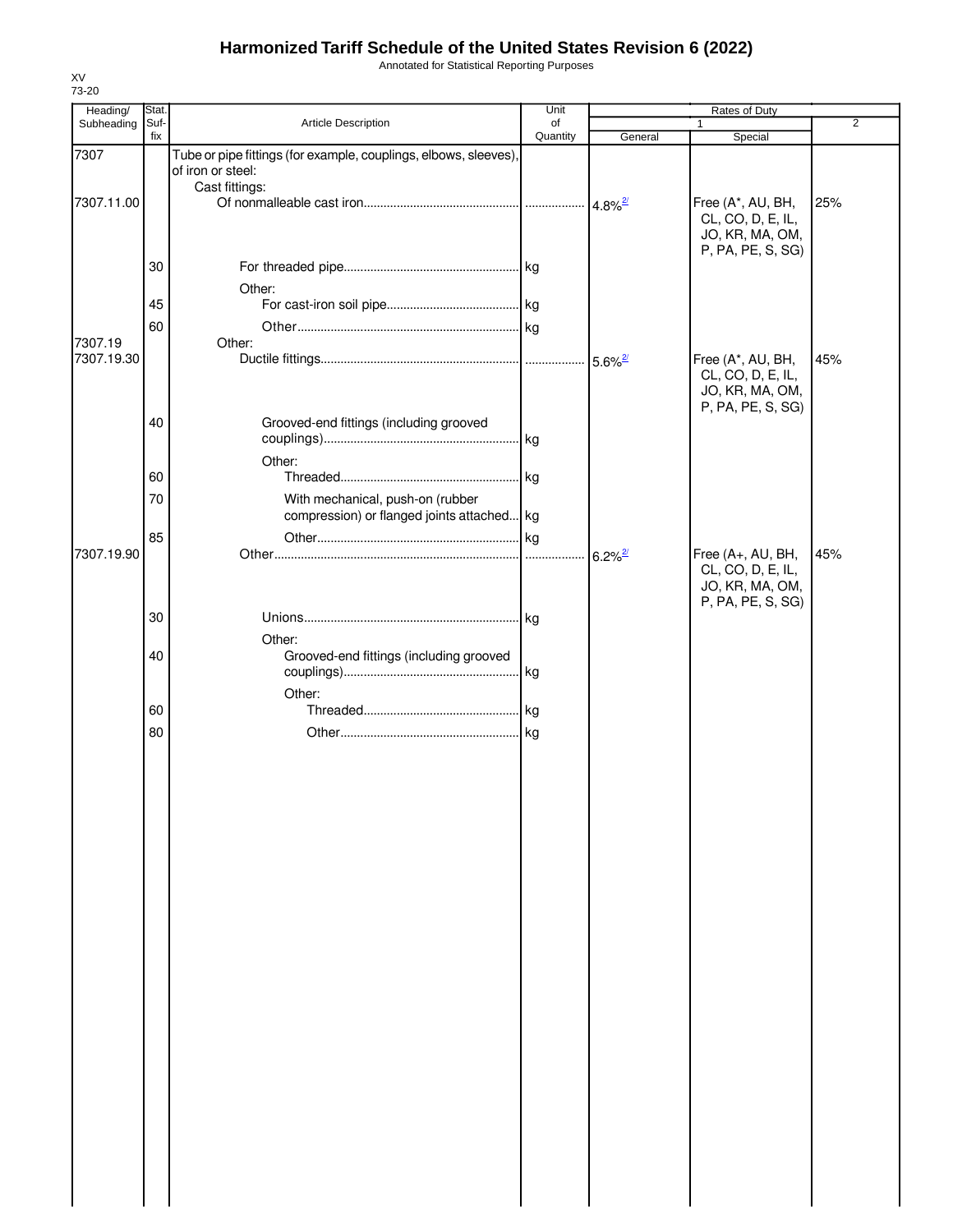Annotated for Statistical Reporting Purposes

| Heading/   | Stat. |                                                                                                         | Unit     |                       | Rates of Duty                                             |                |
|------------|-------|---------------------------------------------------------------------------------------------------------|----------|-----------------------|-----------------------------------------------------------|----------------|
| Subheading | Suf-  | Article Description                                                                                     | of       |                       | 1                                                         | $\overline{2}$ |
|            | fix   |                                                                                                         | Quantity | General               | Special                                                   |                |
| 7307       |       | Tube or pipe fittings (for example, couplings, elbows, sleeves),<br>of iron or steel:<br>Cast fittings: |          |                       |                                                           |                |
| 7307.11.00 |       |                                                                                                         |          |                       | Free (A*, AU, BH,                                         | 25%            |
|            |       |                                                                                                         |          |                       | CL, CO, D, E, IL,<br>JO, KR, MA, OM,<br>P, PA, PE, S, SG) |                |
|            | 30    |                                                                                                         |          |                       |                                                           |                |
|            |       | Other:                                                                                                  |          |                       |                                                           |                |
|            | 45    |                                                                                                         |          |                       |                                                           |                |
|            |       |                                                                                                         |          |                       |                                                           |                |
| 7307.19    | 60    | Other:                                                                                                  |          |                       |                                                           |                |
| 7307.19.30 |       |                                                                                                         |          |                       | Free (A*, AU, BH,                                         | 45%            |
|            |       |                                                                                                         |          |                       | CL, CO, D, E, IL,<br>JO, KR, MA, OM,<br>P, PA, PE, S, SG) |                |
|            | 40    | Grooved-end fittings (including grooved                                                                 |          |                       |                                                           |                |
|            |       |                                                                                                         |          |                       |                                                           |                |
|            |       | Other:                                                                                                  |          |                       |                                                           |                |
|            | 60    |                                                                                                         |          |                       |                                                           |                |
|            | 70    | With mechanical, push-on (rubber                                                                        |          |                       |                                                           |                |
|            |       | compression) or flanged joints attached kg                                                              |          |                       |                                                           |                |
|            | 85    |                                                                                                         |          |                       |                                                           |                |
| 7307.19.90 |       |                                                                                                         |          | $6.2\%$ <sup>2/</sup> | Free (A+, AU, BH,                                         | 45%            |
|            |       |                                                                                                         |          |                       | CL, CO, D, E, IL,<br>JO, KR, MA, OM,<br>P, PA, PE, S, SG) |                |
|            | 30    |                                                                                                         |          |                       |                                                           |                |
|            |       | Other:                                                                                                  |          |                       |                                                           |                |
|            | 40    | Grooved-end fittings (including grooved                                                                 |          |                       |                                                           |                |
|            |       |                                                                                                         |          |                       |                                                           |                |
|            |       | Other:                                                                                                  |          |                       |                                                           |                |
|            | 60    |                                                                                                         |          |                       |                                                           |                |
|            | 80    |                                                                                                         |          |                       |                                                           |                |
|            |       |                                                                                                         |          |                       |                                                           |                |
|            |       |                                                                                                         |          |                       |                                                           |                |
|            |       |                                                                                                         |          |                       |                                                           |                |
|            |       |                                                                                                         |          |                       |                                                           |                |
|            |       |                                                                                                         |          |                       |                                                           |                |
|            |       |                                                                                                         |          |                       |                                                           |                |
|            |       |                                                                                                         |          |                       |                                                           |                |
|            |       |                                                                                                         |          |                       |                                                           |                |
|            |       |                                                                                                         |          |                       |                                                           |                |
|            |       |                                                                                                         |          |                       |                                                           |                |
|            |       |                                                                                                         |          |                       |                                                           |                |
|            |       |                                                                                                         |          |                       |                                                           |                |
|            |       |                                                                                                         |          |                       |                                                           |                |
|            |       |                                                                                                         |          |                       |                                                           |                |
|            |       |                                                                                                         |          |                       |                                                           |                |
|            |       |                                                                                                         |          |                       |                                                           |                |
|            |       |                                                                                                         |          |                       |                                                           |                |
|            |       |                                                                                                         |          |                       |                                                           |                |
|            |       |                                                                                                         |          |                       |                                                           |                |
|            |       |                                                                                                         |          |                       |                                                           |                |
|            |       |                                                                                                         |          |                       |                                                           |                |
|            |       |                                                                                                         |          |                       |                                                           |                |
|            |       |                                                                                                         |          |                       |                                                           |                |
|            |       |                                                                                                         |          |                       |                                                           |                |
|            |       |                                                                                                         |          |                       |                                                           |                |
|            |       |                                                                                                         |          |                       |                                                           |                |
|            |       |                                                                                                         |          |                       |                                                           |                |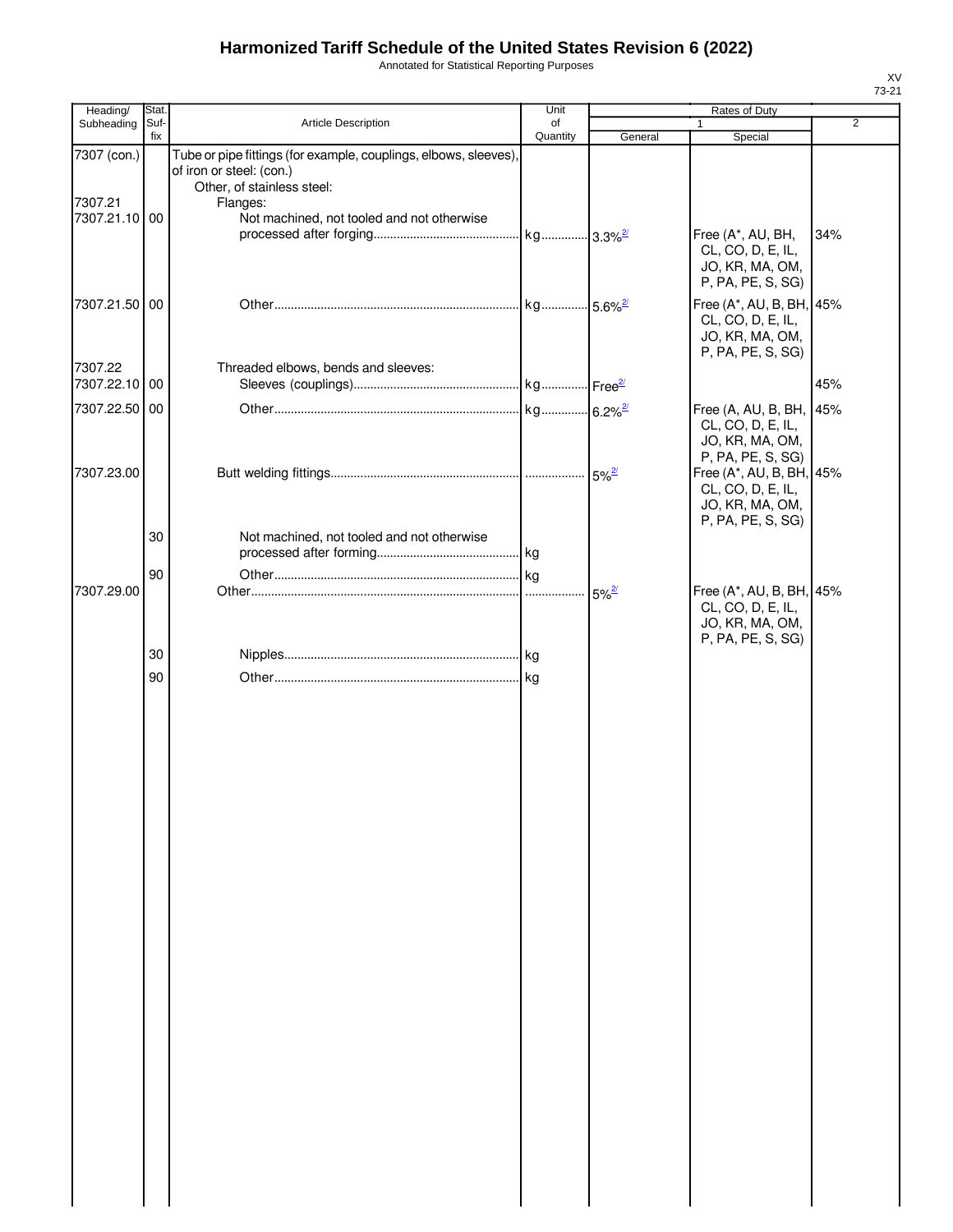Annotated for Statistical Reporting Purposes

| Heading/                 | Stat.       |                                                                                                                                        | Unit           |            | Rates of Duty                                                                                                |                |
|--------------------------|-------------|----------------------------------------------------------------------------------------------------------------------------------------|----------------|------------|--------------------------------------------------------------------------------------------------------------|----------------|
| Subheading               | Suf-<br>fix | Article Description                                                                                                                    | of<br>Quantity | General    | $\mathbf{1}$<br>Special                                                                                      | $\overline{2}$ |
| 7307 (con.)<br>7307.21   |             | Tube or pipe fittings (for example, couplings, elbows, sleeves),<br>of iron or steel: (con.)<br>Other, of stainless steel:<br>Flanges: |                |            |                                                                                                              |                |
| 7307.21.10 00            |             | Not machined, not tooled and not otherwise                                                                                             |                |            | Free (A*, AU, BH,<br>CL, CO, D, E, IL,<br>JO, KR, MA, OM,<br>P, PA, PE, S, SG)                               | 34%            |
| 7307.21.50 00            |             |                                                                                                                                        |                |            | Free (A*, AU, B, BH, 45%<br>CL, CO, D, E, IL,<br>JO, KR, MA, OM,<br>P, PA, PE, S, SG)                        |                |
| 7307.22<br>7307.22.10 00 |             | Threaded elbows, bends and sleeves:                                                                                                    |                |            |                                                                                                              | 45%            |
| 7307.22.50 00            |             |                                                                                                                                        |                |            |                                                                                                              |                |
| 7307.23.00               |             |                                                                                                                                        |                |            | Free (A, AU, B, BH,<br>CL, CO, D, E, IL,<br>JO, KR, MA, OM,<br>P, PA, PE, S, SG)<br>Free (A*, AU, B, BH, 45% | 45%            |
|                          | 30          | Not machined, not tooled and not otherwise                                                                                             |                |            | CL, CO, D, E, IL,<br>JO, KR, MA, OM,<br>P, PA, PE, S, SG)                                                    |                |
|                          |             |                                                                                                                                        |                |            |                                                                                                              |                |
|                          | 90          |                                                                                                                                        |                |            |                                                                                                              |                |
| 7307.29.00               |             |                                                                                                                                        |                | $5%^{2/2}$ | Free (A*, AU, B, BH, 45%<br>CL, CO, D, E, IL,<br>JO, KR, MA, OM,<br>P, PA, PE, S, SG)                        |                |
|                          | 30          |                                                                                                                                        |                |            |                                                                                                              |                |
|                          | 90          |                                                                                                                                        |                |            |                                                                                                              |                |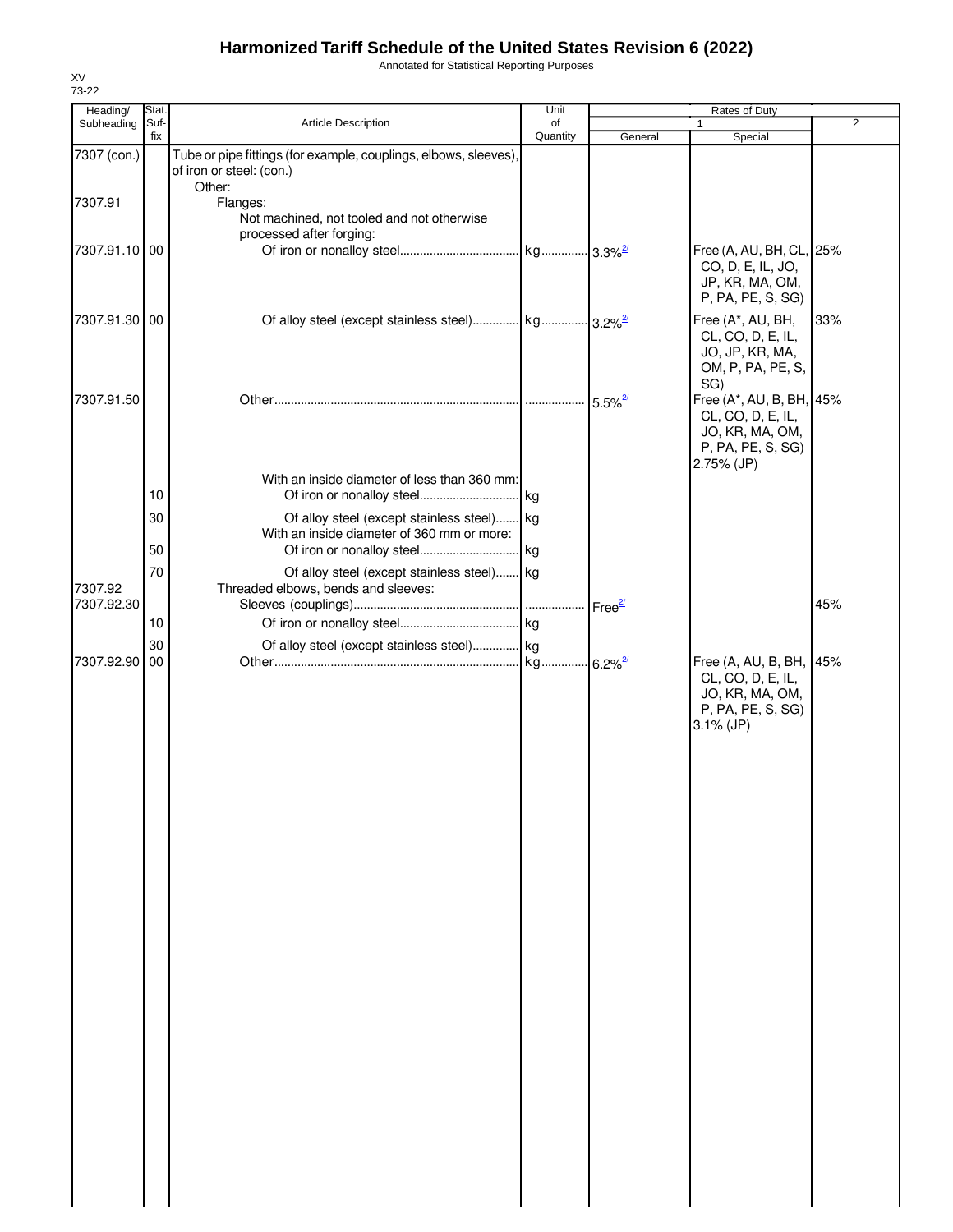Annotated for Statistical Reporting Purposes

| Heading/<br>Subheading | Stat.<br>Suf- | Article Description                                                                                    | Unit<br>of |                            | Rates of Duty                                                                                        | 2   |
|------------------------|---------------|--------------------------------------------------------------------------------------------------------|------------|----------------------------|------------------------------------------------------------------------------------------------------|-----|
|                        | fix           |                                                                                                        | Quantity   | General                    | Special                                                                                              |     |
| 7307 (con.)            |               | Tube or pipe fittings (for example, couplings, elbows, sleeves),<br>of iron or steel: (con.)<br>Other: |            |                            |                                                                                                      |     |
| 7307.91                |               | Flanges:<br>Not machined, not tooled and not otherwise<br>processed after forging:                     |            |                            |                                                                                                      |     |
| 7307.91.10 00          |               |                                                                                                        |            |                            | Free (A, AU, BH, CL, 25%<br>CO, D, E, IL, JO,<br>JP, KR, MA, OM,<br>P, PA, PE, S, SG)                |     |
| 7307.91.30 00          |               | Of alloy steel (except stainless steel) kg 3.2% <sup>2/</sup>                                          |            |                            | Free (A*, AU, BH,<br>CL, CO, D, E, IL,<br>JO, JP, KR, MA,<br>OM, P, PA, PE, S,<br>SG)                | 33% |
| 7307.91.50             |               |                                                                                                        |            | $\cdot$ 5.5% $\frac{2}{3}$ | Free (A*, AU, B, BH, 45%<br>CL, CO, D, E, IL,<br>JO, KR, MA, OM,<br>P, PA, PE, S, SG)<br>2.75% (JP)  |     |
|                        |               | With an inside diameter of less than 360 mm:                                                           |            |                            |                                                                                                      |     |
|                        | 10            |                                                                                                        |            |                            |                                                                                                      |     |
|                        | 30<br>50      | Of alloy steel (except stainless steel) kg<br>With an inside diameter of 360 mm or more:               |            |                            |                                                                                                      |     |
|                        | 70            | Of alloy steel (except stainless steel) kg                                                             |            |                            |                                                                                                      |     |
| 7307.92<br>7307.92.30  |               | Threaded elbows, bends and sleeves:                                                                    |            |                            |                                                                                                      | 45% |
|                        | 10            |                                                                                                        |            |                            |                                                                                                      |     |
|                        | 30            | Of alloy steel (except stainless steel) kg                                                             |            |                            |                                                                                                      |     |
| 7307.92.90             | 00            |                                                                                                        |            |                            | Free (A, AU, B, BH, 45%<br>CL, CO, D, E, IL,<br>JO, KR, MA, OM,<br>P, PA, PE, S, SG)<br>$3.1\%$ (JP) |     |

XV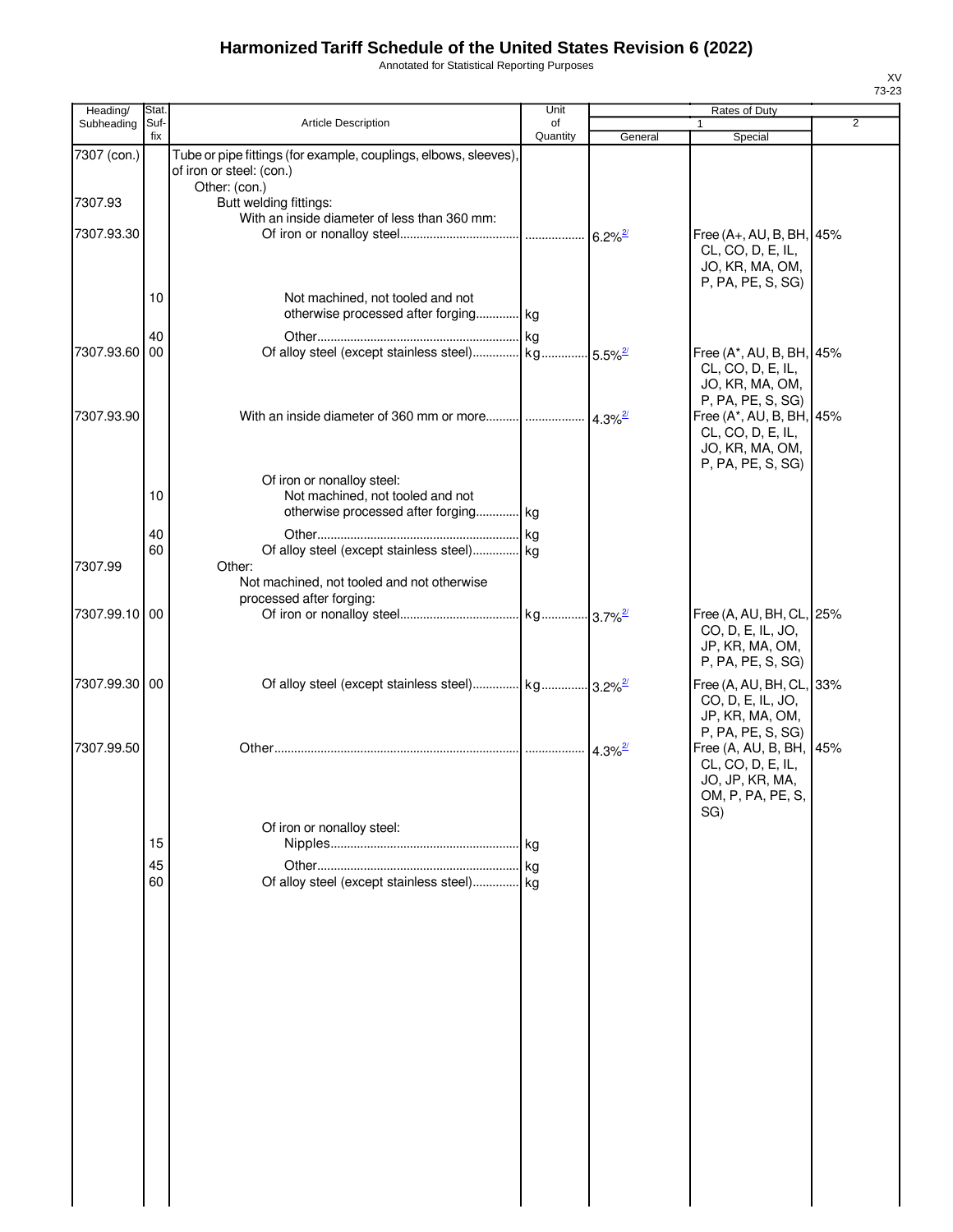Annotated for Statistical Reporting Purposes

| Heading/      | Stat.       |                                                                                                        | Unit           |                      | Rates of Duty                                                                                             |                |
|---------------|-------------|--------------------------------------------------------------------------------------------------------|----------------|----------------------|-----------------------------------------------------------------------------------------------------------|----------------|
| Subheading    | Suf-<br>fix | Article Description                                                                                    | of<br>Quantity | General              | 1<br>Special                                                                                              | $\overline{2}$ |
| 7307 (con.)   |             | Tube or pipe fittings (for example, couplings, elbows, sleeves),<br>of iron or steel: (con.)           |                |                      |                                                                                                           |                |
| 7307.93       |             | Other: (con.)<br>Butt welding fittings:                                                                |                |                      |                                                                                                           |                |
| 7307.93.30    |             | With an inside diameter of less than 360 mm:                                                           |                |                      | Free (A+, AU, B, BH, 45%                                                                                  |                |
|               |             |                                                                                                        |                |                      | CL, CO, D, E, IL,<br>JO, KR, MA, OM,<br>P, PA, PE, S, SG)                                                 |                |
|               | 10          | Not machined, not tooled and not<br>otherwise processed after forging kg                               |                |                      |                                                                                                           |                |
| 7307.93.60    | 40<br>00    | Of alloy steel (except stainless steel)  kg  5.5% <sup>2</sup>                                         |                |                      | Free (A*, AU, B, BH, 45%<br>CL, CO, D, E, IL,                                                             |                |
| 7307.93.90    |             | With an inside diameter of 360 mm or more $\frac{1}{4.3\%^{2}}$                                        |                |                      | JO, KR, MA, OM,<br>P, PA, PE, S, SG)<br>Free (A*, AU, B, BH, 45%<br>CL, CO, D, E, IL,<br>JO, KR, MA, OM,  |                |
|               | 10          | Of iron or nonalloy steel:<br>Not machined, not tooled and not<br>otherwise processed after forging kg |                |                      | P, PA, PE, S, SG)                                                                                         |                |
| 7307.99       | 40<br>60    | Of alloy steel (except stainless steel) kg<br>Other:                                                   |                |                      |                                                                                                           |                |
|               |             | Not machined, not tooled and not otherwise<br>processed after forging:                                 |                |                      |                                                                                                           |                |
| 7307.99.10 00 |             |                                                                                                        |                |                      | Free (A, AU, BH, CL, 25%<br>CO, D, E, IL, JO,<br>JP, KR, MA, OM,<br>P, PA, PE, S, SG)                     |                |
| 7307.99.30 00 |             |                                                                                                        |                |                      | Free (A, AU, BH, CL, 33%<br>CO, D, E, IL, JO,<br>JP, KR, MA, OM,                                          |                |
| 7307.99.50    |             |                                                                                                        |                | $4.3\%$ <sup>2</sup> | P, PA, PE, S, SG)<br>Free (A, AU, B, BH, 45%<br>CL, CO, D, E, IL,<br>JO, JP, KR, MA,<br>OM, P, PA, PE, S, |                |
|               |             | Of iron or nonalloy steel:                                                                             |                |                      | SG)                                                                                                       |                |
|               | 15          |                                                                                                        |                |                      |                                                                                                           |                |
|               | 45          |                                                                                                        |                |                      |                                                                                                           |                |
|               | 60          | Of alloy steel (except stainless steel) kg                                                             |                |                      |                                                                                                           |                |
|               |             |                                                                                                        |                |                      |                                                                                                           |                |
|               |             |                                                                                                        |                |                      |                                                                                                           |                |
|               |             |                                                                                                        |                |                      |                                                                                                           |                |
|               |             |                                                                                                        |                |                      |                                                                                                           |                |
|               |             |                                                                                                        |                |                      |                                                                                                           |                |
|               |             |                                                                                                        |                |                      |                                                                                                           |                |
|               |             |                                                                                                        |                |                      |                                                                                                           |                |
|               |             |                                                                                                        |                |                      |                                                                                                           |                |
|               |             |                                                                                                        |                |                      |                                                                                                           |                |
|               |             |                                                                                                        |                |                      |                                                                                                           |                |
|               |             |                                                                                                        |                |                      |                                                                                                           |                |
|               |             |                                                                                                        |                |                      |                                                                                                           |                |
|               |             |                                                                                                        |                |                      |                                                                                                           |                |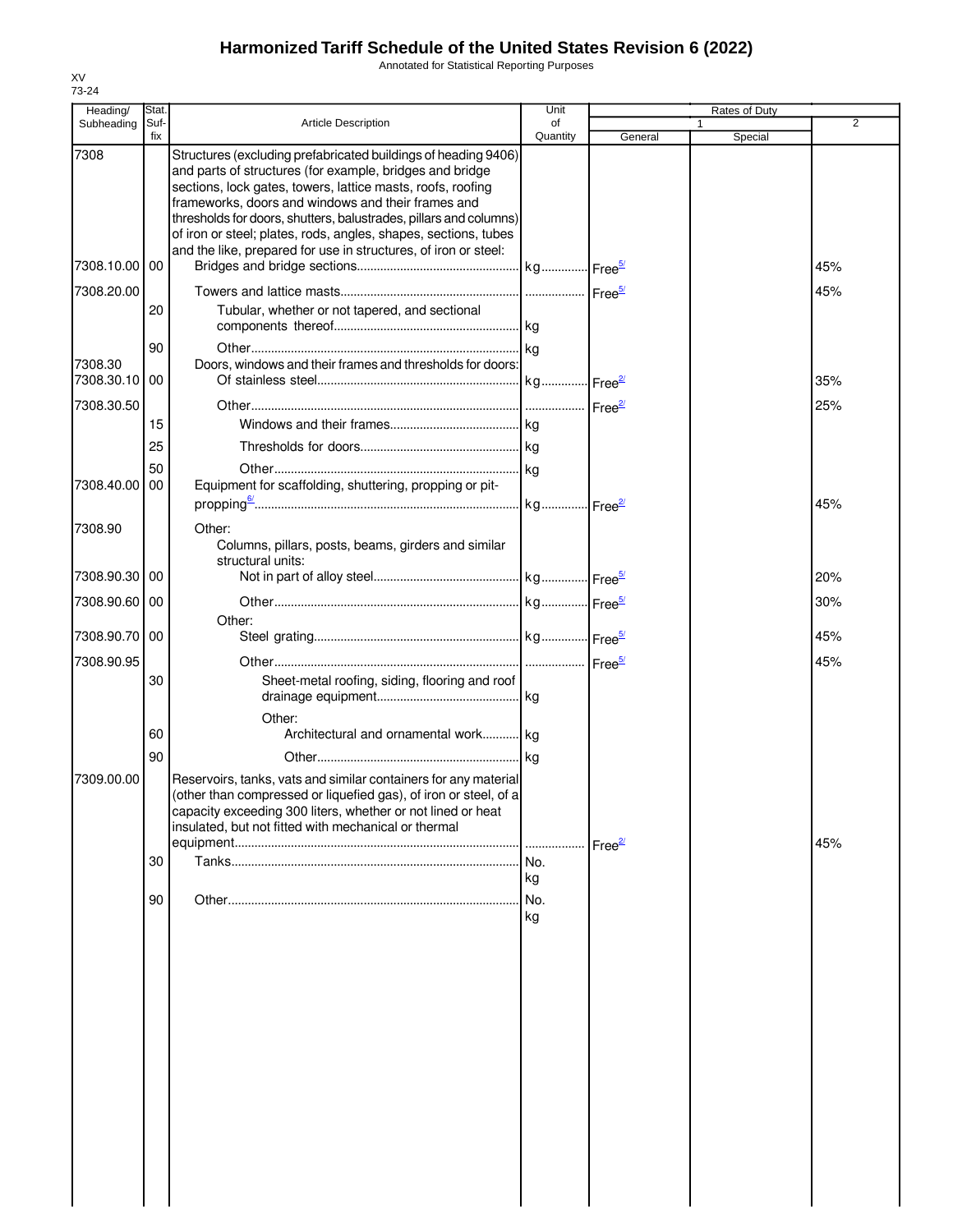Annotated for Statistical Reporting Purposes

| Heading/              | Stat.       |                                                                                                                                                                                                                                                                                                                                                                                                                                                            | Unit           |                    | Rates of Duty           |     |
|-----------------------|-------------|------------------------------------------------------------------------------------------------------------------------------------------------------------------------------------------------------------------------------------------------------------------------------------------------------------------------------------------------------------------------------------------------------------------------------------------------------------|----------------|--------------------|-------------------------|-----|
| Subheading            | Suf-<br>fix | <b>Article Description</b>                                                                                                                                                                                                                                                                                                                                                                                                                                 | of<br>Quantity | General            | $\mathbf{1}$<br>Special | 2   |
| 7308                  |             | Structures (excluding prefabricated buildings of heading 9406)<br>and parts of structures (for example, bridges and bridge<br>sections, lock gates, towers, lattice masts, roofs, roofing<br>frameworks, doors and windows and their frames and<br>thresholds for doors, shutters, balustrades, pillars and columns)<br>of iron or steel; plates, rods, angles, shapes, sections, tubes<br>and the like, prepared for use in structures, of iron or steel: |                |                    |                         |     |
| 7308.10.00 00         |             |                                                                                                                                                                                                                                                                                                                                                                                                                                                            |                |                    |                         | 45% |
| 7308.20.00            | 20          | Tubular, whether or not tapered, and sectional                                                                                                                                                                                                                                                                                                                                                                                                             |                |                    |                         | 45% |
| 7308.30<br>7308.30.10 | 90<br>00    | Doors, windows and their frames and thresholds for doors:                                                                                                                                                                                                                                                                                                                                                                                                  |                |                    |                         | 35% |
| 7308.30.50            | 15<br>25    |                                                                                                                                                                                                                                                                                                                                                                                                                                                            |                |                    |                         | 25% |
| 7308.40.00            | 50<br>00    | Equipment for scaffolding, shuttering, propping or pit-                                                                                                                                                                                                                                                                                                                                                                                                    |                |                    |                         | 45% |
| 7308.90               |             | Other:<br>Columns, pillars, posts, beams, girders and similar<br>structural units:                                                                                                                                                                                                                                                                                                                                                                         |                |                    |                         |     |
| 7308.90.30   00       |             |                                                                                                                                                                                                                                                                                                                                                                                                                                                            |                |                    |                         | 20% |
| 7308.90.60 00         |             |                                                                                                                                                                                                                                                                                                                                                                                                                                                            |                |                    |                         | 30% |
| 7308.90.70 00         |             | Other:                                                                                                                                                                                                                                                                                                                                                                                                                                                     |                |                    |                         | 45% |
| 7308.90.95            | 30          | Sheet-metal roofing, siding, flooring and roof                                                                                                                                                                                                                                                                                                                                                                                                             |                |                    |                         | 45% |
|                       | 60<br>90    | Other:<br>Architectural and ornamental work kg                                                                                                                                                                                                                                                                                                                                                                                                             |                |                    |                         |     |
| 7309.00.00            |             | Reservoirs, tanks, vats and similar containers for any material<br>(other than compressed or liquefied gas), of iron or steel, of a<br>capacity exceeding 300 liters, whether or not lined or heat<br>insulated, but not fitted with mechanical or thermal                                                                                                                                                                                                 |                | Free <sup>27</sup> |                         | 45% |
|                       | 30          |                                                                                                                                                                                                                                                                                                                                                                                                                                                            | kg             |                    |                         |     |
|                       | 90          |                                                                                                                                                                                                                                                                                                                                                                                                                                                            | kg             |                    |                         |     |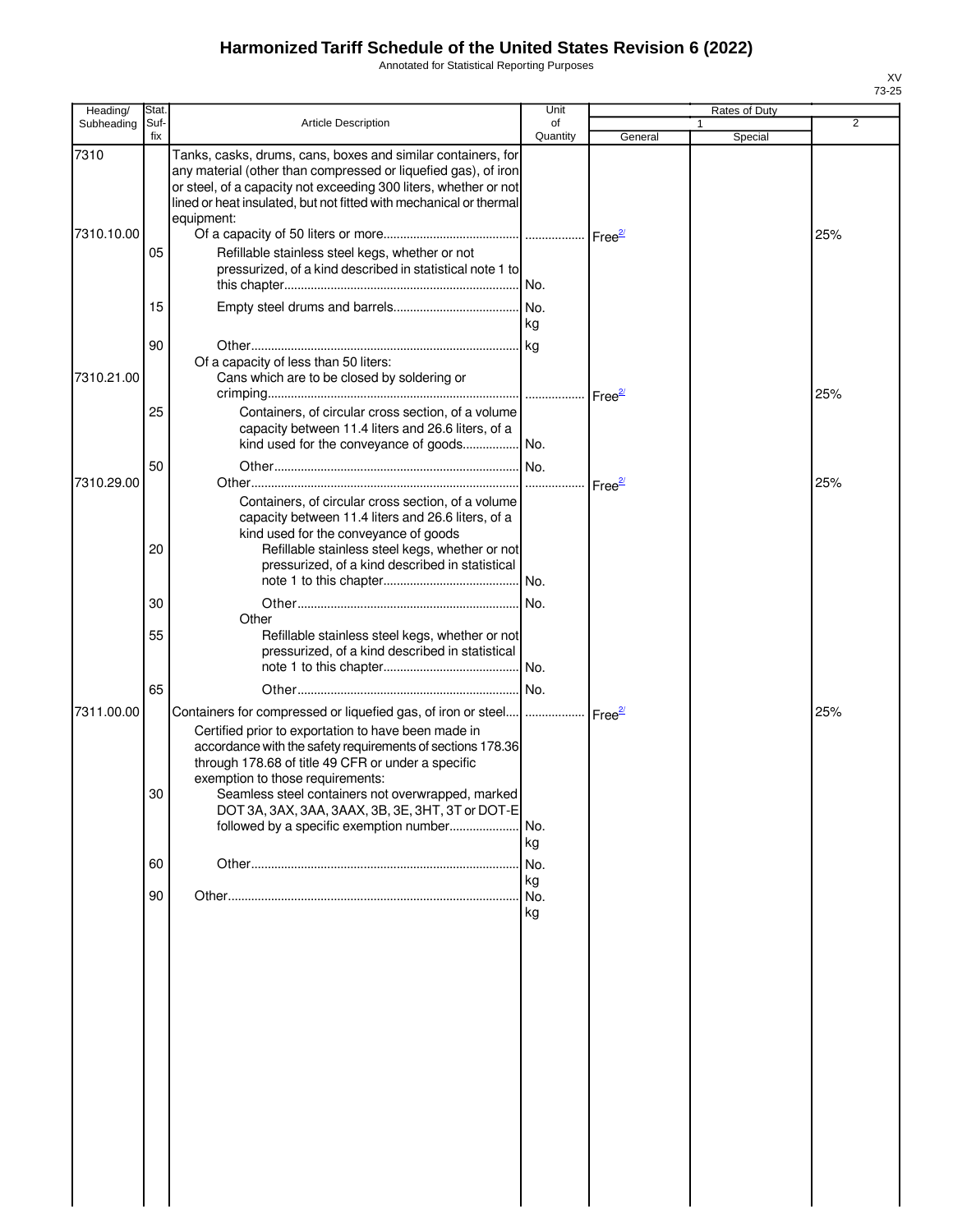Annotated for Statistical Reporting Purposes

| Heading/           | Stat.       |                                                                                                                                                                                                                                                                                                                                                                                                                                                         | Unit            |                     |   | Rates of Duty |     |
|--------------------|-------------|---------------------------------------------------------------------------------------------------------------------------------------------------------------------------------------------------------------------------------------------------------------------------------------------------------------------------------------------------------------------------------------------------------------------------------------------------------|-----------------|---------------------|---|---------------|-----|
| Subheading         | Suf-<br>fix | <b>Article Description</b>                                                                                                                                                                                                                                                                                                                                                                                                                              | of<br>Quantity  | General             | 1 | Special       | 2   |
| 7310<br>7310.10.00 | 05          | Tanks, casks, drums, cans, boxes and similar containers, for<br>any material (other than compressed or liquefied gas), of iron<br>or steel, of a capacity not exceeding 300 liters, whether or not<br>lined or heat insulated, but not fitted with mechanical or thermal<br>equipment:<br>Refillable stainless steel kegs, whether or not<br>pressurized, of a kind described in statistical note 1 to                                                  |                 |                     |   |               | 25% |
|                    | 15          |                                                                                                                                                                                                                                                                                                                                                                                                                                                         |                 |                     |   |               |     |
|                    |             |                                                                                                                                                                                                                                                                                                                                                                                                                                                         | kg              |                     |   |               |     |
| 7310.21.00         | 90          | Of a capacity of less than 50 liters:<br>Cans which are to be closed by soldering or                                                                                                                                                                                                                                                                                                                                                                    |                 | Free <sup>27</sup>  |   |               | 25% |
|                    | 25          | Containers, of circular cross section, of a volume<br>capacity between 11.4 liters and 26.6 liters, of a                                                                                                                                                                                                                                                                                                                                                |                 |                     |   |               |     |
| 7310.29.00         | 50          |                                                                                                                                                                                                                                                                                                                                                                                                                                                         |                 | Free $\frac{27}{2}$ |   |               | 25% |
|                    | 20          | Containers, of circular cross section, of a volume<br>capacity between 11.4 liters and 26.6 liters, of a<br>kind used for the conveyance of goods<br>Refillable stainless steel kegs, whether or not<br>pressurized, of a kind described in statistical                                                                                                                                                                                                 |                 |                     |   |               |     |
|                    | 30          |                                                                                                                                                                                                                                                                                                                                                                                                                                                         | I No.           |                     |   |               |     |
|                    | 55          | Other<br>Refillable stainless steel kegs, whether or not<br>pressurized, of a kind described in statistical                                                                                                                                                                                                                                                                                                                                             |                 |                     |   |               |     |
|                    | 65          |                                                                                                                                                                                                                                                                                                                                                                                                                                                         |                 |                     |   |               |     |
| 7311.00.00         | 30          | Containers for compressed or liquefied gas, of iron or steel      Free <sup>2/</sup><br>Certified prior to exportation to have been made in<br>accordance with the safety requirements of sections 178.36<br>through 178.68 of title 49 CFR or under a specific<br>exemption to those requirements:<br>Seamless steel containers not overwrapped, marked<br>DOT 3A, 3AX, 3AA, 3AAX, 3B, 3E, 3HT, 3T or DOT-E<br>followed by a specific exemption number | No.             |                     |   |               | 25% |
|                    | 60          |                                                                                                                                                                                                                                                                                                                                                                                                                                                         | kg<br>No.       |                     |   |               |     |
|                    | 90          |                                                                                                                                                                                                                                                                                                                                                                                                                                                         | kg<br>No.<br>kg |                     |   |               |     |
|                    |             |                                                                                                                                                                                                                                                                                                                                                                                                                                                         |                 |                     |   |               |     |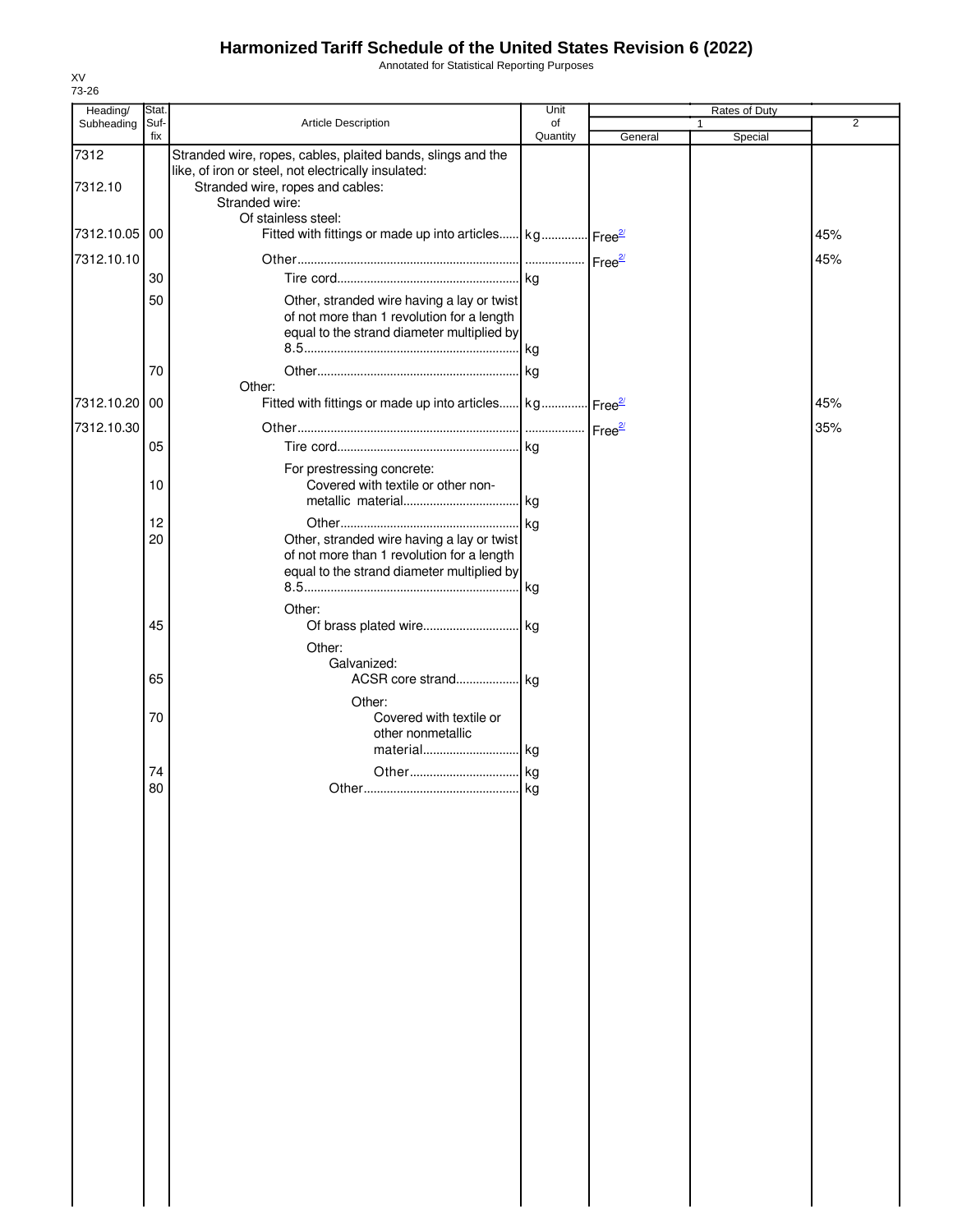Annotated for Statistical Reporting Purposes

| Heading/        | Stat.       |                                                                                                                                                                                                 | Unit           |         | Rates of Duty |                |
|-----------------|-------------|-------------------------------------------------------------------------------------------------------------------------------------------------------------------------------------------------|----------------|---------|---------------|----------------|
| Subheading      | Suf-<br>fix | Article Description                                                                                                                                                                             | of<br>Quantity | General | 1<br>Special  | $\overline{2}$ |
| 7312<br>7312.10 |             | Stranded wire, ropes, cables, plaited bands, slings and the<br>like, of iron or steel, not electrically insulated:<br>Stranded wire, ropes and cables:<br>Stranded wire:<br>Of stainless steel: |                |         |               |                |
| 7312.10.05      | 00          | Fitted with fittings or made up into articles kg Free <sup>21</sup>                                                                                                                             |                |         |               | 45%            |
| 7312.10.10      |             |                                                                                                                                                                                                 |                |         |               | 45%            |
|                 | 30          |                                                                                                                                                                                                 |                |         |               |                |
|                 | 50<br>70    | Other, stranded wire having a lay or twist<br>of not more than 1 revolution for a length<br>equal to the strand diameter multiplied by                                                          |                |         |               |                |
|                 |             | Other:                                                                                                                                                                                          |                |         |               |                |
| 7312.10.20      | 00          | Fitted with fittings or made up into articles kg Free <sup>27</sup>                                                                                                                             |                |         |               | 45%            |
| 7312.10.30      |             |                                                                                                                                                                                                 |                |         |               | 35%            |
|                 | 05          |                                                                                                                                                                                                 |                |         |               |                |
|                 | 10          | For prestressing concrete:<br>Covered with textile or other non-                                                                                                                                |                |         |               |                |
|                 | 12          |                                                                                                                                                                                                 |                |         |               |                |
|                 | 20          | Other, stranded wire having a lay or twist<br>of not more than 1 revolution for a length<br>equal to the strand diameter multiplied by                                                          | kg             |         |               |                |
|                 |             | Other:                                                                                                                                                                                          |                |         |               |                |
|                 | 45          |                                                                                                                                                                                                 |                |         |               |                |
|                 | 65          | Other:<br>Galvanized:                                                                                                                                                                           |                |         |               |                |
|                 | 70          | Other:<br>Covered with textile or<br>other nonmetallic<br>material kg                                                                                                                           |                |         |               |                |
|                 | 74          |                                                                                                                                                                                                 |                |         |               |                |
|                 | 80          |                                                                                                                                                                                                 |                |         |               |                |
|                 |             |                                                                                                                                                                                                 |                |         |               |                |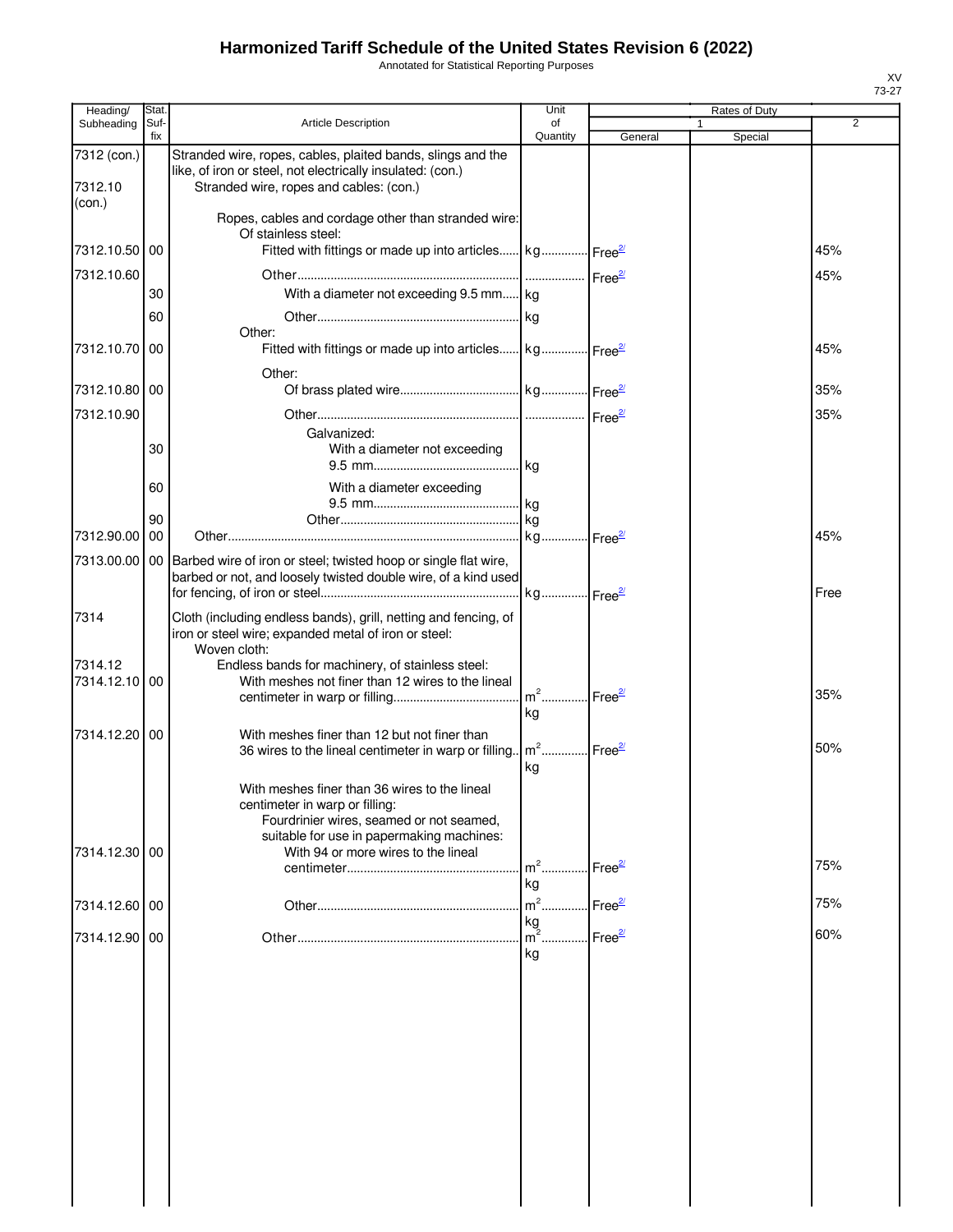Annotated for Statistical Reporting Purposes

| Heading/        | Stat.       |                                                                            | Unit                              |                    | Rates of Duty           |      |
|-----------------|-------------|----------------------------------------------------------------------------|-----------------------------------|--------------------|-------------------------|------|
| Subheading      | Suf-<br>fix | <b>Article Description</b>                                                 | of<br>Quantity                    | General            | $\mathbf{1}$<br>Special | 2    |
| 7312 (con.)     |             | Stranded wire, ropes, cables, plaited bands, slings and the                |                                   |                    |                         |      |
|                 |             | like, of iron or steel, not electrically insulated: (con.)                 |                                   |                    |                         |      |
| 7312.10         |             | Stranded wire, ropes and cables: (con.)                                    |                                   |                    |                         |      |
| (con.)          |             |                                                                            |                                   |                    |                         |      |
|                 |             | Ropes, cables and cordage other than stranded wire:<br>Of stainless steel: |                                   |                    |                         |      |
| 7312.10.50      | 00          | Fitted with fittings or made up into articles kg Free <sup>2</sup>         |                                   |                    |                         | 45%  |
| 7312.10.60      |             |                                                                            |                                   |                    |                         | 45%  |
|                 | 30          | With a diameter not exceeding 9.5 mm kg                                    |                                   |                    |                         |      |
|                 |             |                                                                            |                                   |                    |                         |      |
|                 | 60          | Other:                                                                     |                                   |                    |                         |      |
| 7312.10.70      | 00          | Fitted with fittings or made up into articles kg Free <sup>2</sup>         |                                   |                    |                         | 45%  |
|                 |             |                                                                            |                                   |                    |                         |      |
| 7312.10.80   00 |             | Other:                                                                     |                                   |                    |                         | 35%  |
|                 |             |                                                                            |                                   |                    |                         |      |
| 7312.10.90      |             |                                                                            |                                   |                    |                         | 35%  |
|                 | 30          | Galvanized:                                                                |                                   |                    |                         |      |
|                 |             | With a diameter not exceeding                                              |                                   |                    |                         |      |
|                 |             |                                                                            |                                   |                    |                         |      |
|                 | 60          | With a diameter exceeding                                                  |                                   |                    |                         |      |
|                 | 90          |                                                                            |                                   |                    |                         |      |
| 7312.90.00      | 00          |                                                                            |                                   |                    |                         | 45%  |
| 7313.00.00      |             | 00 Barbed wire of iron or steel; twisted hoop or single flat wire,         |                                   |                    |                         |      |
|                 |             | barbed or not, and loosely twisted double wire, of a kind used             |                                   |                    |                         |      |
|                 |             |                                                                            |                                   |                    |                         | Free |
| 7314            |             | Cloth (including endless bands), grill, netting and fencing, of            |                                   |                    |                         |      |
|                 |             | iron or steel wire; expanded metal of iron or steel:                       |                                   |                    |                         |      |
|                 |             | Woven cloth:                                                               |                                   |                    |                         |      |
| 7314.12         |             | Endless bands for machinery, of stainless steel:                           |                                   |                    |                         |      |
| 7314.12.10 00   |             | With meshes not finer than 12 wires to the lineal                          | m <sup>2</sup> Free <sup>2/</sup> |                    |                         | 35%  |
|                 |             |                                                                            | kg                                |                    |                         |      |
| 7314.12.20      |             | With meshes finer than 12 but not finer than                               |                                   |                    |                         |      |
|                 | 00          | 36 wires to the lineal centimeter in warp or filling                       | m <sup>2</sup> Free <sup>2/</sup> |                    |                         | 50%  |
|                 |             |                                                                            | kg                                |                    |                         |      |
|                 |             | With meshes finer than 36 wires to the lineal                              |                                   |                    |                         |      |
|                 |             | centimeter in warp or filling:                                             |                                   |                    |                         |      |
|                 |             | Fourdrinier wires, seamed or not seamed,                                   |                                   |                    |                         |      |
|                 |             | suitable for use in papermaking machines:                                  |                                   |                    |                         |      |
| 7314.12.30 00   |             | With 94 or more wires to the lineal                                        | $m2$                              | Free <sup>2/</sup> |                         | 75%  |
|                 |             |                                                                            | kg                                |                    |                         |      |
|                 |             |                                                                            | $m^2$                             | $Free^2$           |                         | 75%  |
| 7314.12.60 00   |             |                                                                            | kg                                |                    |                         |      |
| 7314.12.90 00   |             |                                                                            | $\mathsf{Im}^2$ .                 | Free <sup>2/</sup> |                         | 60%  |
|                 |             |                                                                            | kg                                |                    |                         |      |
|                 |             |                                                                            |                                   |                    |                         |      |
|                 |             |                                                                            |                                   |                    |                         |      |
|                 |             |                                                                            |                                   |                    |                         |      |
|                 |             |                                                                            |                                   |                    |                         |      |
|                 |             |                                                                            |                                   |                    |                         |      |
|                 |             |                                                                            |                                   |                    |                         |      |
|                 |             |                                                                            |                                   |                    |                         |      |
|                 |             |                                                                            |                                   |                    |                         |      |
|                 |             |                                                                            |                                   |                    |                         |      |
|                 |             |                                                                            |                                   |                    |                         |      |
|                 |             |                                                                            |                                   |                    |                         |      |
|                 |             |                                                                            |                                   |                    |                         |      |
|                 |             |                                                                            |                                   |                    |                         |      |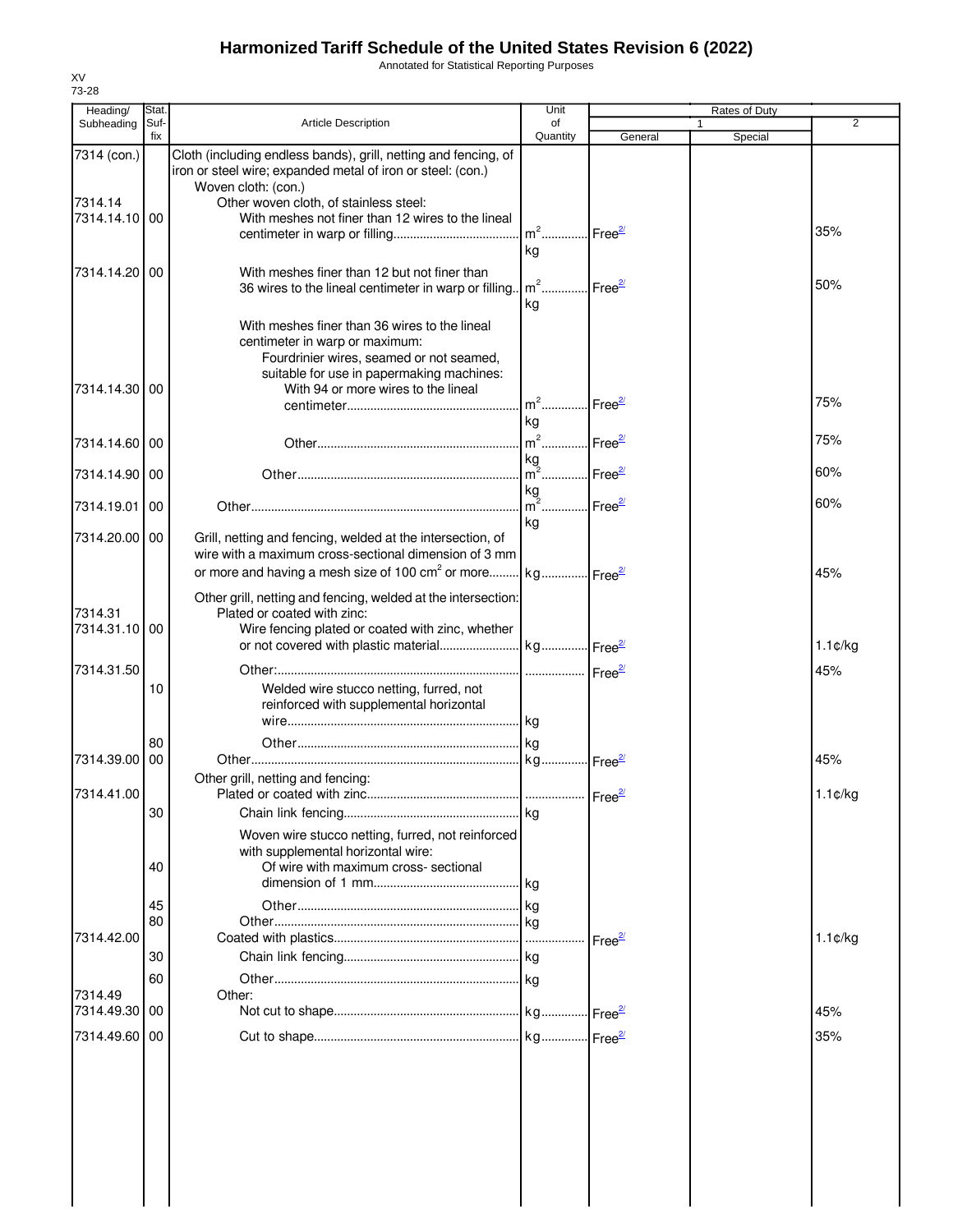Annotated for Statistical Reporting Purposes

| Heading/      | Stat.       |                                                                                                                                | Unit                     |                       | Rates of Duty           |                   |
|---------------|-------------|--------------------------------------------------------------------------------------------------------------------------------|--------------------------|-----------------------|-------------------------|-------------------|
| Subheading    | Suf-<br>fix | <b>Article Description</b>                                                                                                     | of<br>Quantity           | General               | $\mathbf{1}$<br>Special | $\overline{2}$    |
| 7314 (con.)   |             | Cloth (including endless bands), grill, netting and fencing, of<br>iron or steel wire; expanded metal of iron or steel: (con.) |                          |                       |                         |                   |
| 7314.14       |             | Woven cloth: (con.)<br>Other woven cloth, of stainless steel:                                                                  |                          |                       |                         |                   |
| 7314.14.10 00 |             | With meshes not finer than 12 wires to the lineal                                                                              |                          |                       |                         |                   |
|               |             |                                                                                                                                | $m2$                     | Free <sup>27</sup>    |                         | 35%               |
|               |             |                                                                                                                                | kg                       |                       |                         |                   |
| 7314.14.20 00 |             | With meshes finer than 12 but not finer than                                                                                   |                          |                       |                         |                   |
|               |             | 36 wires to the lineal centimeter in warp or filling.                                                                          | $m2$ Free $\frac{27}{2}$ |                       |                         | 50%               |
|               |             |                                                                                                                                | kg                       |                       |                         |                   |
|               |             | With meshes finer than 36 wires to the lineal                                                                                  |                          |                       |                         |                   |
|               |             | centimeter in warp or maximum:                                                                                                 |                          |                       |                         |                   |
|               |             | Fourdrinier wires, seamed or not seamed,                                                                                       |                          |                       |                         |                   |
|               |             | suitable for use in papermaking machines:                                                                                      |                          |                       |                         |                   |
| 7314.14.30 00 |             | With 94 or more wires to the lineal                                                                                            | $m^2$                    | Free <sup>27</sup>    |                         | 75%               |
|               |             |                                                                                                                                | kg                       |                       |                         |                   |
| 7314.14.60 00 |             |                                                                                                                                | $m^2$                    | Free <sup>2/</sup>    |                         | 75%               |
|               |             |                                                                                                                                | kg                       |                       |                         |                   |
| 7314.14.90 00 |             |                                                                                                                                | $m^2$ Free <sup>2/</sup> |                       |                         | 60%               |
|               |             |                                                                                                                                | kg                       |                       |                         |                   |
| 7314.19.01 00 |             |                                                                                                                                | $m2$ .                   | Free <sup>2/</sup>    |                         | 60%               |
| 7314.20.00 00 |             | Grill, netting and fencing, welded at the intersection, of                                                                     | kg                       |                       |                         |                   |
|               |             | wire with a maximum cross-sectional dimension of 3 mm                                                                          |                          |                       |                         |                   |
|               |             | or more and having a mesh size of 100 cm <sup>2</sup> or more kg Free <sup>27</sup>                                            |                          |                       |                         | 45%               |
|               |             |                                                                                                                                |                          |                       |                         |                   |
| 7314.31       |             | Other grill, netting and fencing, welded at the intersection:<br>Plated or coated with zinc:                                   |                          |                       |                         |                   |
| 7314.31.10 00 |             | Wire fencing plated or coated with zinc, whether                                                                               |                          |                       |                         |                   |
|               |             |                                                                                                                                |                          |                       |                         | $1.1 \text{C/kg}$ |
| 7314.31.50    |             |                                                                                                                                |                          |                       |                         | 45%               |
|               | 10          | Welded wire stucco netting, furred, not                                                                                        |                          |                       |                         |                   |
|               |             | reinforced with supplemental horizontal                                                                                        |                          |                       |                         |                   |
|               |             |                                                                                                                                |                          |                       |                         |                   |
|               | 80          |                                                                                                                                |                          |                       |                         |                   |
| 7314.39.00 00 |             |                                                                                                                                |                          |                       |                         | 45%               |
|               |             | Other grill, netting and fencing:                                                                                              |                          |                       |                         |                   |
| 7314.41.00    |             |                                                                                                                                |                          |                       |                         | $1.1 \text{C/kg}$ |
|               | 30          |                                                                                                                                | kg                       |                       |                         |                   |
|               |             | Woven wire stucco netting, furred, not reinforced                                                                              |                          |                       |                         |                   |
|               |             | with supplemental horizontal wire:                                                                                             |                          |                       |                         |                   |
|               | 40          | Of wire with maximum cross- sectional                                                                                          | kg                       |                       |                         |                   |
|               |             |                                                                                                                                |                          |                       |                         |                   |
|               | 45<br>80    |                                                                                                                                | kg                       |                       |                         |                   |
| 7314.42.00    |             |                                                                                                                                |                          | $r = e^{\frac{2}{3}}$ |                         | $1.1 \text{C/kg}$ |
|               | 30          |                                                                                                                                |                          |                       |                         |                   |
|               | 60          |                                                                                                                                |                          |                       |                         |                   |
| 7314.49       |             | Other:                                                                                                                         |                          |                       |                         |                   |
| 7314.49.30 00 |             |                                                                                                                                |                          |                       |                         | 45%               |
| 7314.49.60 00 |             |                                                                                                                                |                          |                       |                         | 35%               |
|               |             |                                                                                                                                |                          |                       |                         |                   |
|               |             |                                                                                                                                |                          |                       |                         |                   |
|               |             |                                                                                                                                |                          |                       |                         |                   |
|               |             |                                                                                                                                |                          |                       |                         |                   |
|               |             |                                                                                                                                |                          |                       |                         |                   |
|               |             |                                                                                                                                |                          |                       |                         |                   |
|               |             |                                                                                                                                |                          |                       |                         |                   |
|               |             |                                                                                                                                |                          |                       |                         |                   |

XV 73-28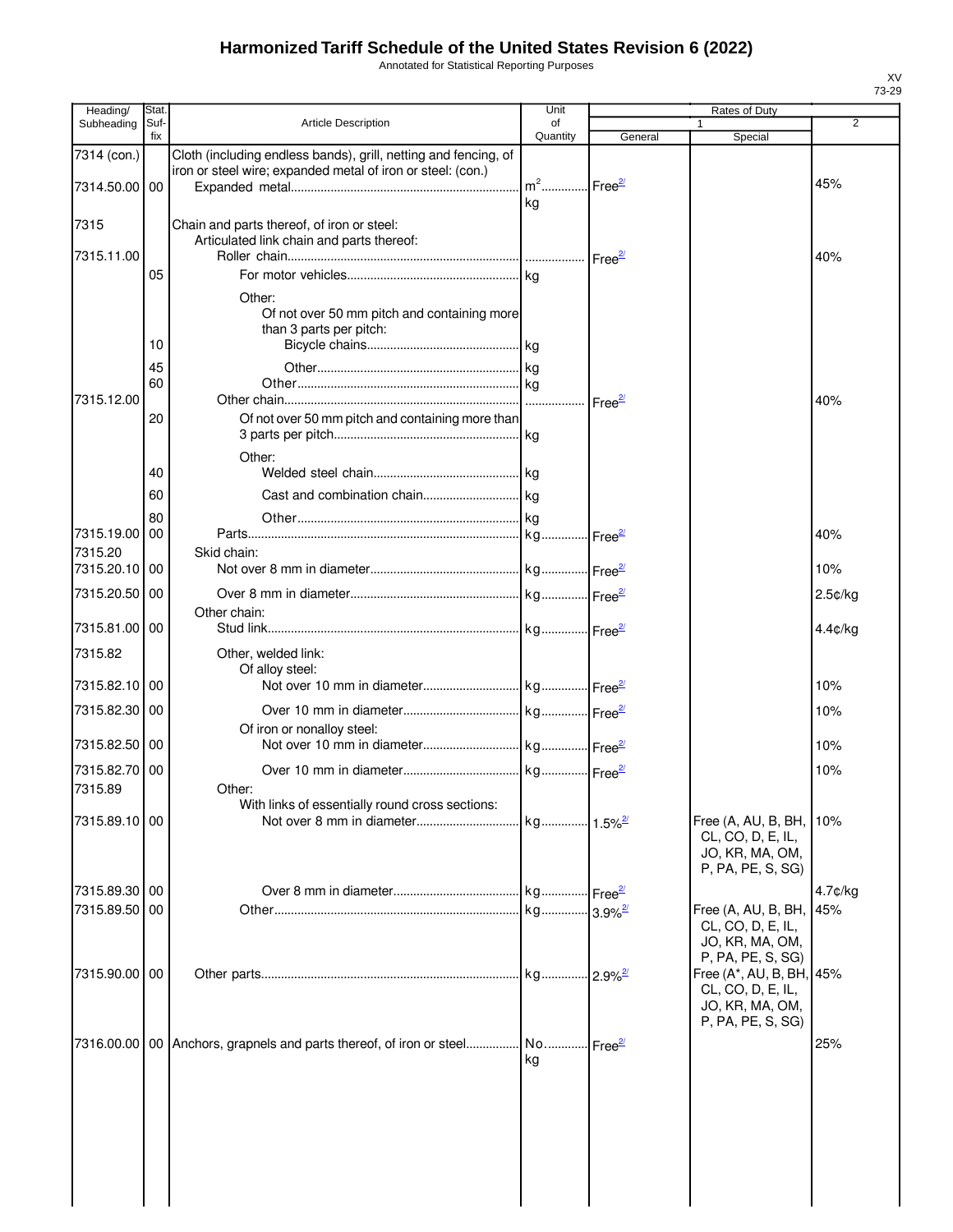Annotated for Statistical Reporting Purposes

| Heading/      | Stat.       |                                                                                           | Unit           |         | Rates of Duty                            |                |
|---------------|-------------|-------------------------------------------------------------------------------------------|----------------|---------|------------------------------------------|----------------|
| Subheading    | Suf-<br>fix | <b>Article Description</b>                                                                | of<br>Quantity |         | 1                                        | $\overline{2}$ |
|               |             | Cloth (including endless bands), grill, netting and fencing, of                           |                | General | Special                                  |                |
| 7314 (con.)   |             | iron or steel wire; expanded metal of iron or steel: (con.)                               |                |         |                                          |                |
| 7314.50.00    | 00          |                                                                                           |                |         |                                          | 45%            |
|               |             |                                                                                           | kg             |         |                                          |                |
| 7315          |             | Chain and parts thereof, of iron or steel:                                                |                |         |                                          |                |
|               |             | Articulated link chain and parts thereof:                                                 |                |         |                                          |                |
| 7315.11.00    |             |                                                                                           |                |         |                                          | 40%            |
|               | 05          |                                                                                           |                |         |                                          |                |
|               |             | Other:                                                                                    |                |         |                                          |                |
|               |             | Of not over 50 mm pitch and containing more                                               |                |         |                                          |                |
|               |             | than 3 parts per pitch:                                                                   |                |         |                                          |                |
|               | 10          |                                                                                           |                |         |                                          |                |
|               | 45          |                                                                                           |                |         |                                          |                |
|               | 60          |                                                                                           |                |         |                                          |                |
| 7315.12.00    |             |                                                                                           |                |         |                                          | 40%            |
|               | 20          | Of not over 50 mm pitch and containing more than                                          |                |         |                                          |                |
|               |             |                                                                                           |                |         |                                          |                |
|               |             | Other:                                                                                    |                |         |                                          |                |
|               | 40          |                                                                                           |                |         |                                          |                |
|               | 60          |                                                                                           |                |         |                                          |                |
|               | 80          |                                                                                           |                |         |                                          |                |
| 7315.19.00    | 00          |                                                                                           |                |         |                                          | 40%            |
| 7315.20       |             | Skid chain:                                                                               |                |         |                                          |                |
| 7315.20.10    | 00          |                                                                                           |                |         |                                          | 10%            |
| 7315.20.50 00 |             |                                                                                           |                |         |                                          | $2.5$ ¢/kg     |
|               |             | Other chain:                                                                              |                |         |                                          |                |
| 7315.81.00 00 |             |                                                                                           |                |         |                                          | $4.4$ ¢/kg     |
| 7315.82       |             |                                                                                           |                |         |                                          |                |
|               |             | Other, welded link:<br>Of alloy steel:                                                    |                |         |                                          |                |
| 7315.82.10 00 |             |                                                                                           |                |         |                                          | 10%            |
|               |             |                                                                                           |                |         |                                          |                |
| 7315.82.30    | 00          |                                                                                           |                |         |                                          | 10%            |
| 7315.82.50 00 |             | Of iron or nonalloy steel:                                                                |                |         |                                          | 10%            |
|               |             |                                                                                           |                |         |                                          |                |
| 7315.82.70 00 |             |                                                                                           |                |         |                                          | 10%            |
| 7315.89       |             | Other:                                                                                    |                |         |                                          |                |
| 7315.89.10 00 |             | With links of essentially round cross sections:                                           |                |         |                                          |                |
|               |             |                                                                                           |                |         | Free (A, AU, B, BH,<br>CL, CO, D, E, IL, | 10%            |
|               |             |                                                                                           |                |         | JO, KR, MA, OM,                          |                |
|               |             |                                                                                           |                |         | P, PA, PE, S, SG)                        |                |
| 7315.89.30 00 |             |                                                                                           |                |         |                                          | 4.7¢/kg        |
| 7315.89.50 00 |             |                                                                                           |                |         | Free (A, AU, B, BH,                      | 45%            |
|               |             |                                                                                           |                |         | CL, CO, D, E, IL,                        |                |
|               |             |                                                                                           |                |         | JO, KR, MA, OM,                          |                |
|               |             |                                                                                           |                |         | P, PA, PE, S, SG)                        |                |
| 7315.90.00 00 |             |                                                                                           |                |         | Free (A*, AU, B, BH, 45%                 |                |
|               |             |                                                                                           |                |         | CL, CO, D, E, IL,                        |                |
|               |             |                                                                                           |                |         | JO, KR, MA, OM,<br>P, PA, PE, S, SG)     |                |
|               |             |                                                                                           |                |         |                                          |                |
|               |             | 7316.00.00 00 Anchors, grapnels and parts thereof, of iron or steel No Free <sup>21</sup> |                |         |                                          | 25%            |
|               |             |                                                                                           | ka             |         |                                          |                |
|               |             |                                                                                           |                |         |                                          |                |
|               |             |                                                                                           |                |         |                                          |                |
|               |             |                                                                                           |                |         |                                          |                |
|               |             |                                                                                           |                |         |                                          |                |
|               |             |                                                                                           |                |         |                                          |                |
|               |             |                                                                                           |                |         |                                          |                |
|               |             |                                                                                           |                |         |                                          |                |
|               |             |                                                                                           |                |         |                                          |                |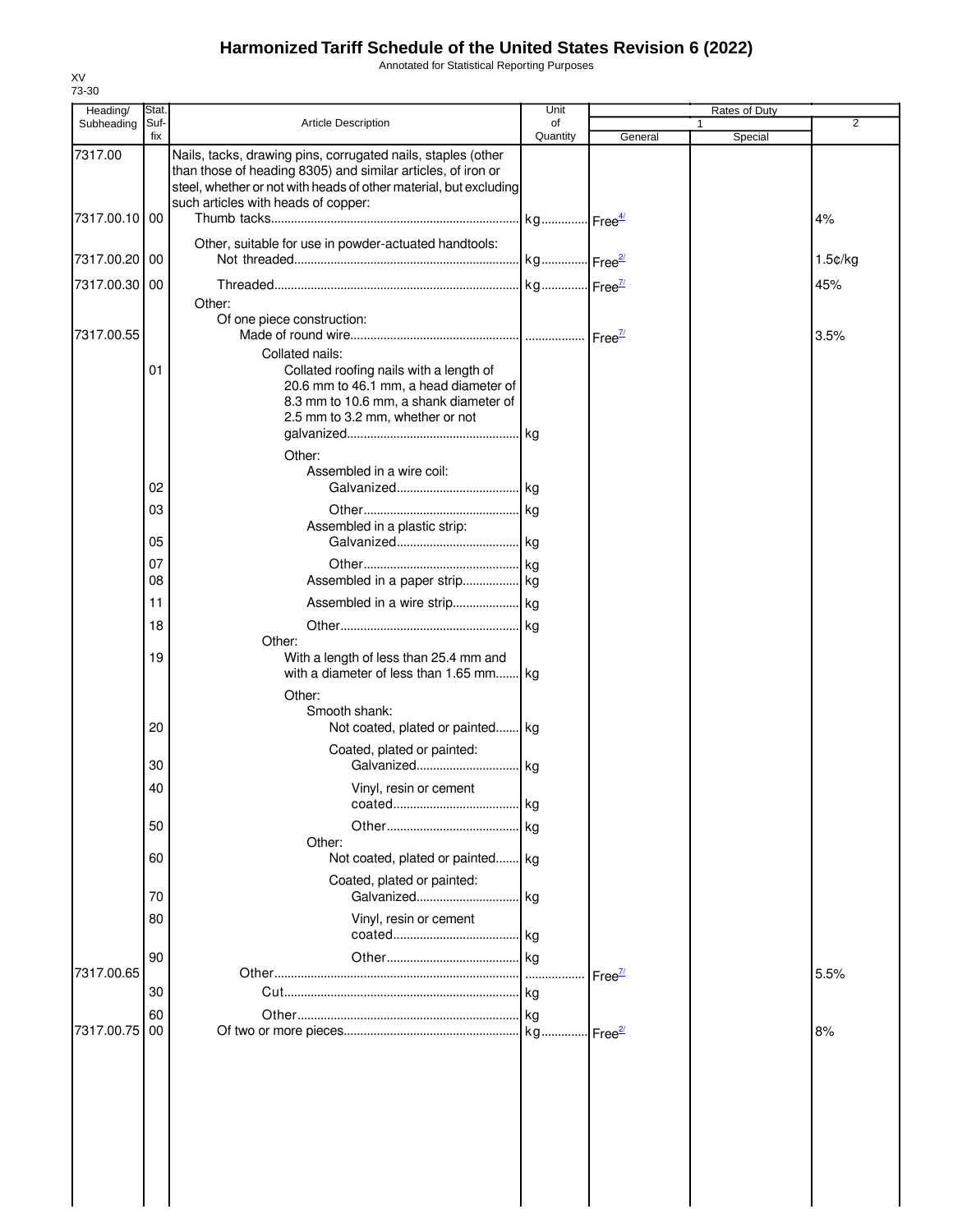Annotated for Statistical Reporting Purposes

| Heading/      | Stat.       |                                                                                                                                                                                                                                          | Unit                  |                      | <b>Rates of Duty</b> |                |
|---------------|-------------|------------------------------------------------------------------------------------------------------------------------------------------------------------------------------------------------------------------------------------------|-----------------------|----------------------|----------------------|----------------|
| Subheading    | Suf-<br>fix | Article Description                                                                                                                                                                                                                      | of<br>Quantity        | General              | 1<br>Special         | $\overline{2}$ |
| 7317.00       |             | Nails, tacks, drawing pins, corrugated nails, staples (other<br>than those of heading 8305) and similar articles, of iron or<br>steel, whether or not with heads of other material, but excluding<br>such articles with heads of copper: |                       |                      |                      |                |
| 7317.00.10    | 00          | Other, suitable for use in powder-actuated handtools:                                                                                                                                                                                    | kg Free <sup>4/</sup> |                      |                      | 4%             |
| 7317.00.20 00 |             |                                                                                                                                                                                                                                          | kg Free <sup>2/</sup> |                      |                      | 1.5¢/kg        |
| 7317.00.30 00 |             |                                                                                                                                                                                                                                          |                       |                      |                      | 45%            |
| 7317.00.55    | 01          | Other:<br>Of one piece construction:<br>Collated nails:<br>Collated roofing nails with a length of<br>20.6 mm to 46.1 mm, a head diameter of<br>8.3 mm to 10.6 mm, a shank diameter of<br>2.5 mm to 3.2 mm, whether or not<br>Other:     |                       |                      |                      | 3.5%           |
|               |             | Assembled in a wire coil:                                                                                                                                                                                                                |                       |                      |                      |                |
|               | 02          |                                                                                                                                                                                                                                          |                       |                      |                      |                |
|               | 03          | Assembled in a plastic strip:                                                                                                                                                                                                            |                       |                      |                      |                |
|               | 05<br>07    |                                                                                                                                                                                                                                          |                       |                      |                      |                |
|               | 08          |                                                                                                                                                                                                                                          |                       |                      |                      |                |
|               | 11          | Assembled in a wire strip kg                                                                                                                                                                                                             |                       |                      |                      |                |
|               | 18          | Other:                                                                                                                                                                                                                                   | kg                    |                      |                      |                |
|               | 19          | With a length of less than 25.4 mm and<br>with a diameter of less than 1.65 mm<br>Other:                                                                                                                                                 | l kg                  |                      |                      |                |
|               | 20          | Smooth shank:<br>Not coated, plated or painted kg                                                                                                                                                                                        |                       |                      |                      |                |
|               | 30          | Coated, plated or painted:<br>Galvanized                                                                                                                                                                                                 | kg                    |                      |                      |                |
|               | 40          | Vinyl, resin or cement                                                                                                                                                                                                                   | kg                    |                      |                      |                |
|               | 50          |                                                                                                                                                                                                                                          | kg                    |                      |                      |                |
|               | 60          | Other:<br>Not coated, plated or painted kg                                                                                                                                                                                               |                       |                      |                      |                |
|               | 70          | Coated, plated or painted:<br>Galvanized                                                                                                                                                                                                 | kg                    |                      |                      |                |
|               | 80          | Vinyl, resin or cement                                                                                                                                                                                                                   | kg                    |                      |                      |                |
|               | 90          |                                                                                                                                                                                                                                          | <b>kg</b>             |                      |                      |                |
| 7317.00.65    | 30          |                                                                                                                                                                                                                                          | $\cdots$<br>  kg      | Free $\frac{\pi}{2}$ |                      | 5.5%           |
|               | 60          |                                                                                                                                                                                                                                          | l ka                  |                      |                      |                |
| 7317.00.75    | 00          |                                                                                                                                                                                                                                          |                       | Free <sup>2/</sup>   |                      | 8%             |
|               |             |                                                                                                                                                                                                                                          |                       |                      |                      |                |

XV 73-30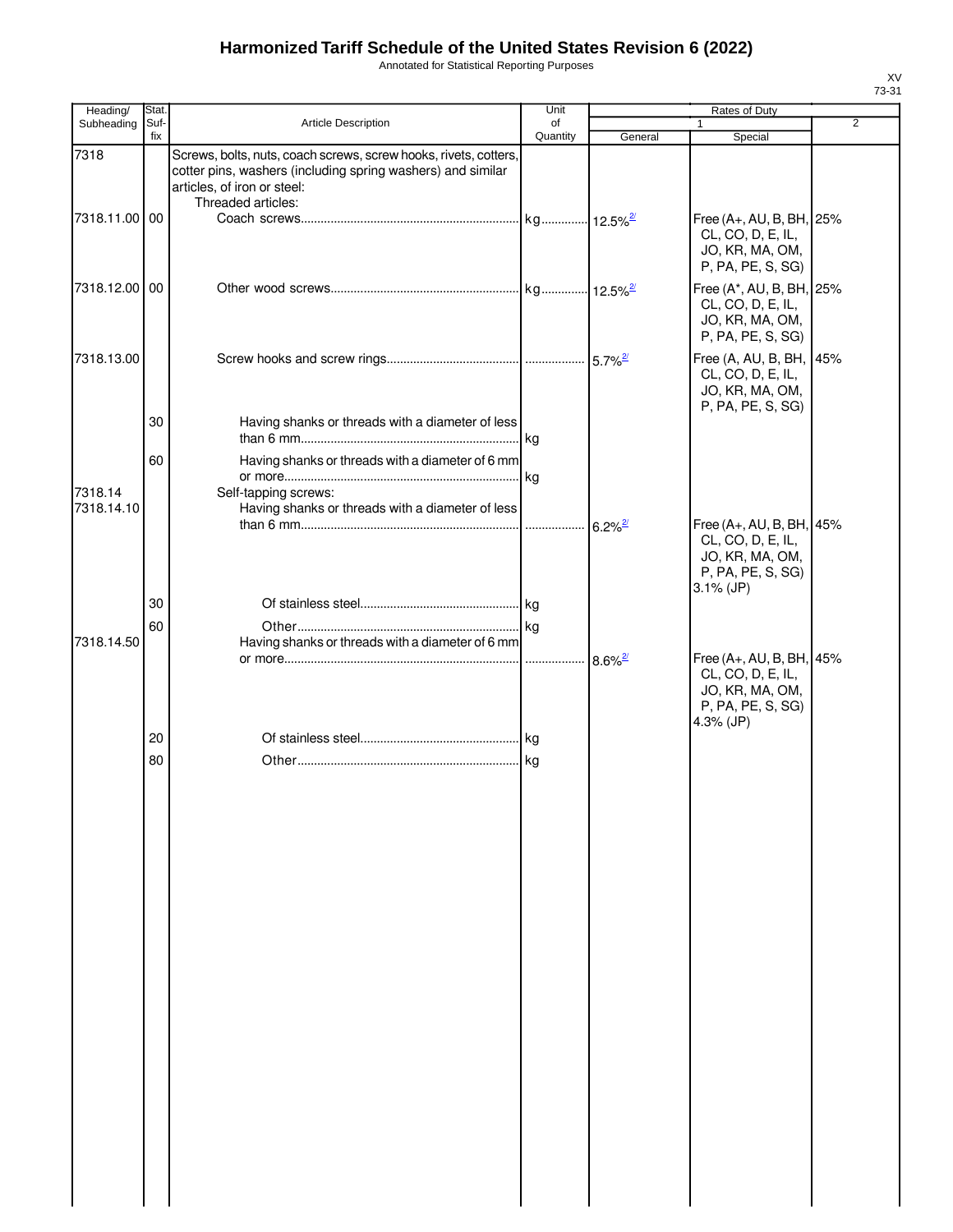Annotated for Statistical Reporting Purposes

| Heading/              | Stat.       |                                                                                                                                                                                      | Unit           |                       | Rates of Duty                                                                                         |                |
|-----------------------|-------------|--------------------------------------------------------------------------------------------------------------------------------------------------------------------------------------|----------------|-----------------------|-------------------------------------------------------------------------------------------------------|----------------|
| Subheading            | Suf-<br>fix | Article Description                                                                                                                                                                  | of<br>Quantity | General               | $\mathbf{1}$<br>Special                                                                               | $\overline{2}$ |
| 7318                  |             | Screws, bolts, nuts, coach screws, screw hooks, rivets, cotters,<br>cotter pins, washers (including spring washers) and similar<br>articles, of iron or steel:<br>Threaded articles: |                |                       |                                                                                                       |                |
| 7318.11.00 00         |             |                                                                                                                                                                                      |                |                       | Free (A+, AU, B, BH, 25%<br>CL, CO, D, E, IL,<br>JO, KR, MA, OM,<br>P, PA, PE, S, SG)                 |                |
| 7318.12.00 00         |             |                                                                                                                                                                                      |                |                       | Free (A*, AU, B, BH, 25%<br>CL, CO, D, E, IL,<br>JO, KR, MA, OM,<br>P, PA, PE, S, SG)                 |                |
| 7318.13.00            |             |                                                                                                                                                                                      |                |                       | Free (A, AU, B, BH, 45%<br>CL, CO, D, E, IL,<br>JO, KR, MA, OM,<br>P, PA, PE, S, SG)                  |                |
|                       | 30          | Having shanks or threads with a diameter of less                                                                                                                                     |                |                       |                                                                                                       |                |
|                       | 60          | Having shanks or threads with a diameter of 6 mm                                                                                                                                     |                |                       |                                                                                                       |                |
| 7318.14<br>7318.14.10 |             | Self-tapping screws:<br>Having shanks or threads with a diameter of less                                                                                                             |                |                       |                                                                                                       |                |
|                       |             |                                                                                                                                                                                      |                | $6.2\%$ <sup>2/</sup> | Free (A+, AU, B, BH, 45%<br>CL, CO, D, E, IL,<br>JO, KR, MA, OM,<br>P, PA, PE, S, SG)<br>$3.1\%$ (JP) |                |
|                       | 30          |                                                                                                                                                                                      |                |                       |                                                                                                       |                |
| 7318.14.50            | 60          | Having shanks or threads with a diameter of 6 mm                                                                                                                                     |                |                       |                                                                                                       |                |
|                       |             |                                                                                                                                                                                      |                |                       | Free (A+, AU, B, BH, 45%<br>CL, CO, D, E, IL,<br>JO, KR, MA, OM,<br>P, PA, PE, S, SG)<br>4.3% (JP)    |                |
|                       | 20          |                                                                                                                                                                                      |                |                       |                                                                                                       |                |
|                       | 80          |                                                                                                                                                                                      |                |                       |                                                                                                       |                |
|                       |             |                                                                                                                                                                                      |                |                       |                                                                                                       |                |
|                       |             |                                                                                                                                                                                      |                |                       |                                                                                                       |                |
|                       |             |                                                                                                                                                                                      |                |                       |                                                                                                       |                |
|                       |             |                                                                                                                                                                                      |                |                       |                                                                                                       |                |
|                       |             |                                                                                                                                                                                      |                |                       |                                                                                                       |                |
|                       |             |                                                                                                                                                                                      |                |                       |                                                                                                       |                |
|                       |             |                                                                                                                                                                                      |                |                       |                                                                                                       |                |
|                       |             |                                                                                                                                                                                      |                |                       |                                                                                                       |                |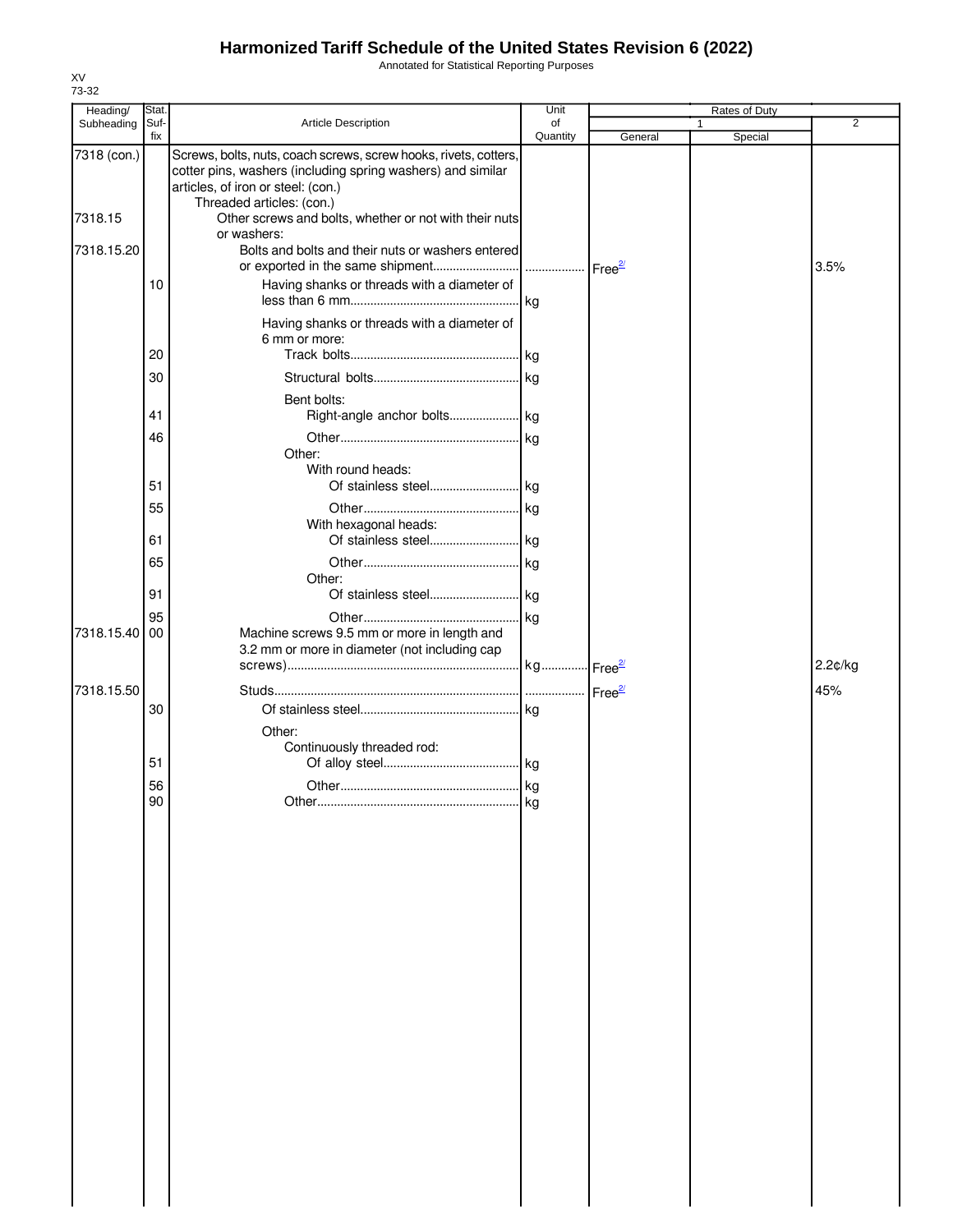Annotated for Statistical Reporting Purposes

| Heading/    | Stat.       |                                                                                                                                                                                                    | Unit           |         | <b>Rates of Duty</b>    |                |
|-------------|-------------|----------------------------------------------------------------------------------------------------------------------------------------------------------------------------------------------------|----------------|---------|-------------------------|----------------|
| Subheading  | Suf-<br>fix | Article Description                                                                                                                                                                                | of<br>Quantity | General | $\mathbf{1}$<br>Special | $\overline{2}$ |
| 7318 (con.) |             | Screws, bolts, nuts, coach screws, screw hooks, rivets, cotters,<br>cotter pins, washers (including spring washers) and similar<br>articles, of iron or steel: (con.)<br>Threaded articles: (con.) |                |         |                         |                |
| 7318.15     |             | Other screws and bolts, whether or not with their nuts<br>or washers:                                                                                                                              |                |         |                         |                |
| 7318.15.20  |             | Bolts and bolts and their nuts or washers entered                                                                                                                                                  |                |         |                         | 3.5%           |
|             | 10          | Having shanks or threads with a diameter of                                                                                                                                                        |                |         |                         |                |
|             | 20          | Having shanks or threads with a diameter of<br>6 mm or more:                                                                                                                                       |                |         |                         |                |
|             | 30          |                                                                                                                                                                                                    |                |         |                         |                |
|             | 41          | Bent bolts:                                                                                                                                                                                        |                |         |                         |                |
|             | 46          | Other:<br>With round heads:                                                                                                                                                                        |                |         |                         |                |
|             | 51          |                                                                                                                                                                                                    |                |         |                         |                |
|             | 55          | With hexagonal heads:                                                                                                                                                                              |                |         |                         |                |
|             | 61          |                                                                                                                                                                                                    |                |         |                         |                |
|             | 65          | Other:                                                                                                                                                                                             |                |         |                         |                |
|             | 91          |                                                                                                                                                                                                    |                |         |                         |                |
| 7318.15.40  | 95<br>00    | Machine screws 9.5 mm or more in length and<br>3.2 mm or more in diameter (not including cap                                                                                                       |                |         |                         |                |
|             |             |                                                                                                                                                                                                    |                |         |                         | 2.2¢/kg        |
| 7318.15.50  | 30          |                                                                                                                                                                                                    |                |         |                         | 45%            |
|             |             | Other:<br>Continuously threaded rod:                                                                                                                                                               |                |         |                         |                |
|             | 51          |                                                                                                                                                                                                    |                |         |                         |                |
|             | 56          |                                                                                                                                                                                                    |                |         |                         |                |
|             | 90          |                                                                                                                                                                                                    |                |         |                         |                |
|             |             |                                                                                                                                                                                                    |                |         |                         |                |
|             |             |                                                                                                                                                                                                    |                |         |                         |                |
|             |             |                                                                                                                                                                                                    |                |         |                         |                |
|             |             |                                                                                                                                                                                                    |                |         |                         |                |
|             |             |                                                                                                                                                                                                    |                |         |                         |                |
|             |             |                                                                                                                                                                                                    |                |         |                         |                |
|             |             |                                                                                                                                                                                                    |                |         |                         |                |
|             |             |                                                                                                                                                                                                    |                |         |                         |                |
|             |             |                                                                                                                                                                                                    |                |         |                         |                |
|             |             |                                                                                                                                                                                                    |                |         |                         |                |
|             |             |                                                                                                                                                                                                    |                |         |                         |                |
|             |             |                                                                                                                                                                                                    |                |         |                         |                |
|             |             |                                                                                                                                                                                                    |                |         |                         |                |
|             |             |                                                                                                                                                                                                    |                |         |                         |                |
|             |             |                                                                                                                                                                                                    |                |         |                         |                |
|             |             |                                                                                                                                                                                                    |                |         |                         |                |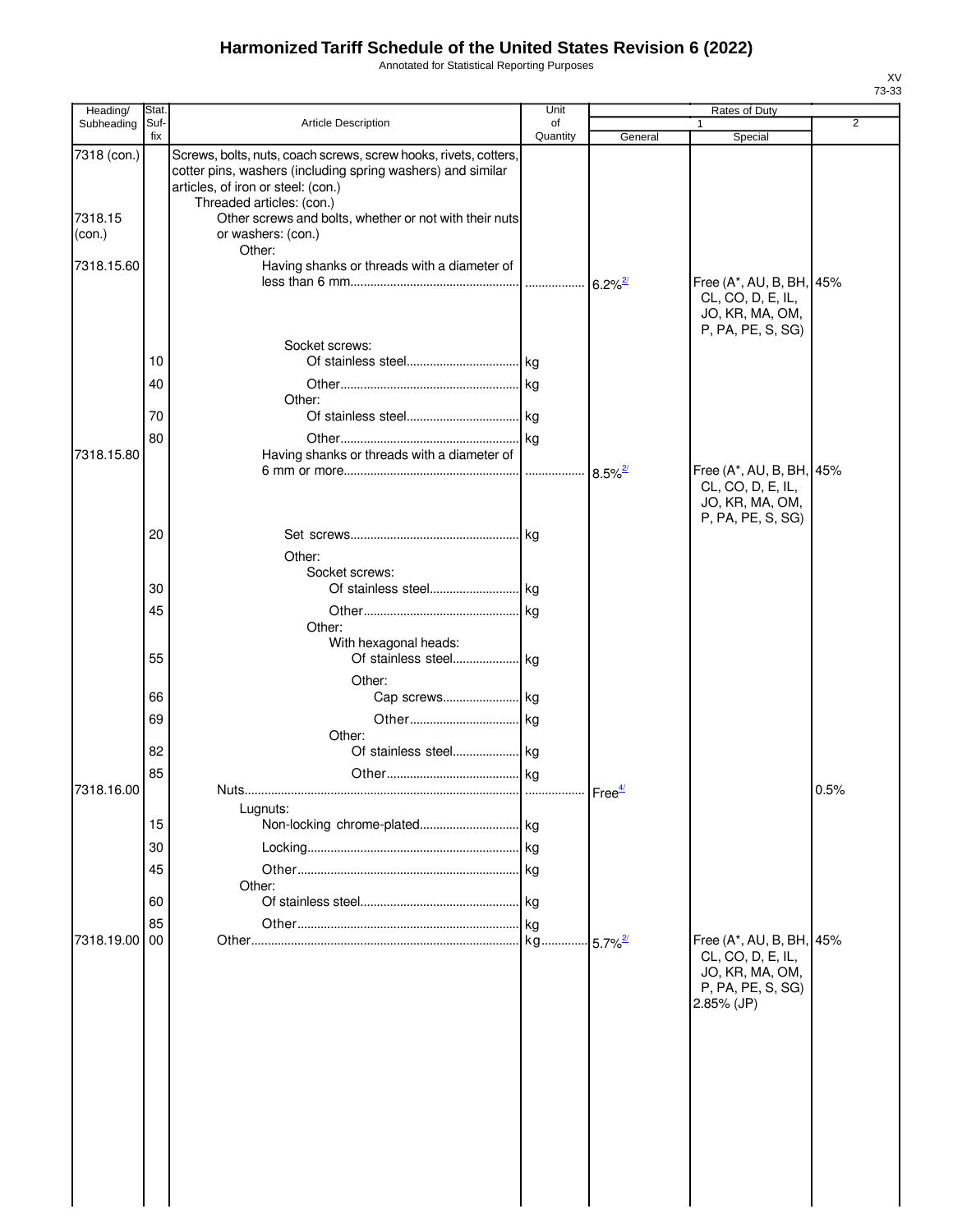Annotated for Statistical Reporting Purposes

| Heading/      | Stat.       |                                                                                                                                                                       | Unit               |                        | Rates of Duty                                                                                         |                |
|---------------|-------------|-----------------------------------------------------------------------------------------------------------------------------------------------------------------------|--------------------|------------------------|-------------------------------------------------------------------------------------------------------|----------------|
| Subheading    | Suf-<br>fix | Article Description                                                                                                                                                   | of<br>Quantity     | General                | Special                                                                                               | $\overline{2}$ |
| 7318 (con.)   |             | Screws, bolts, nuts, coach screws, screw hooks, rivets, cotters,<br>cotter pins, washers (including spring washers) and similar<br>articles, of iron or steel: (con.) |                    |                        |                                                                                                       |                |
|               |             | Threaded articles: (con.)                                                                                                                                             |                    |                        |                                                                                                       |                |
| 7318.15       |             | Other screws and bolts, whether or not with their nuts<br>or washers: (con.)                                                                                          |                    |                        |                                                                                                       |                |
| (con.)        |             | Other:                                                                                                                                                                |                    |                        |                                                                                                       |                |
| 7318.15.60    |             | Having shanks or threads with a diameter of                                                                                                                           |                    | $6.2\%$ <sup>2/</sup>  | Free (A*, AU, B, BH, 45%                                                                              |                |
|               |             |                                                                                                                                                                       |                    |                        | CL, CO, D, E, IL,<br>JO, KR, MA, OM,<br>P, PA, PE, S, SG)                                             |                |
|               |             | Socket screws:                                                                                                                                                        |                    |                        |                                                                                                       |                |
|               | 10          |                                                                                                                                                                       |                    |                        |                                                                                                       |                |
|               | 40          |                                                                                                                                                                       |                    |                        |                                                                                                       |                |
|               |             | Other:                                                                                                                                                                |                    |                        |                                                                                                       |                |
|               | 70          |                                                                                                                                                                       |                    |                        |                                                                                                       |                |
|               | 80          |                                                                                                                                                                       |                    |                        |                                                                                                       |                |
| 7318.15.80    |             | Having shanks or threads with a diameter of                                                                                                                           |                    |                        |                                                                                                       |                |
|               |             |                                                                                                                                                                       |                    | $8.5\%$ <sup>2</sup>   | Free (A*, AU, B, BH, 45%<br>CL, CO, D, E, IL,<br>JO, KR, MA, OM,<br>P, PA, PE, S, SG)                 |                |
|               | 20          |                                                                                                                                                                       |                    |                        |                                                                                                       |                |
|               |             |                                                                                                                                                                       |                    |                        |                                                                                                       |                |
|               |             | Other:<br>Socket screws:                                                                                                                                              |                    |                        |                                                                                                       |                |
|               | 30          | Of stainless steel kg                                                                                                                                                 |                    |                        |                                                                                                       |                |
|               |             |                                                                                                                                                                       |                    |                        |                                                                                                       |                |
|               | 45          |                                                                                                                                                                       |                    |                        |                                                                                                       |                |
|               |             | Other:                                                                                                                                                                |                    |                        |                                                                                                       |                |
|               |             | With hexagonal heads:                                                                                                                                                 |                    |                        |                                                                                                       |                |
|               | 55          |                                                                                                                                                                       |                    |                        |                                                                                                       |                |
|               |             | Other:                                                                                                                                                                |                    |                        |                                                                                                       |                |
|               | 66          |                                                                                                                                                                       |                    |                        |                                                                                                       |                |
|               | 69          |                                                                                                                                                                       |                    |                        |                                                                                                       |                |
|               |             | Other:                                                                                                                                                                |                    |                        |                                                                                                       |                |
|               | 82          |                                                                                                                                                                       |                    |                        |                                                                                                       |                |
|               | 85          |                                                                                                                                                                       |                    |                        |                                                                                                       |                |
| 7318.16.00    |             | Nuts                                                                                                                                                                  | Free <sup>4/</sup> |                        |                                                                                                       | 0.5%           |
|               |             | Lugnuts:                                                                                                                                                              |                    |                        |                                                                                                       |                |
|               | 15          |                                                                                                                                                                       |                    |                        |                                                                                                       |                |
|               |             |                                                                                                                                                                       |                    |                        |                                                                                                       |                |
|               | 30          |                                                                                                                                                                       | . kg               |                        |                                                                                                       |                |
|               | 45          |                                                                                                                                                                       |                    |                        |                                                                                                       |                |
|               |             | Other:                                                                                                                                                                |                    |                        |                                                                                                       |                |
|               | 60          |                                                                                                                                                                       | kg                 |                        |                                                                                                       |                |
|               | 85          |                                                                                                                                                                       | <b>kg</b>          |                        |                                                                                                       |                |
| 7318.19.00 00 |             |                                                                                                                                                                       | . kg               | $-5.7\%$ <sup>2/</sup> | Free (A*, AU, B, BH, 45%<br>CL, CO, D, E, IL,<br>JO, KR, MA, OM,<br>P, PA, PE, S, SG)<br>$2.85%$ (JP) |                |
|               |             |                                                                                                                                                                       |                    |                        |                                                                                                       |                |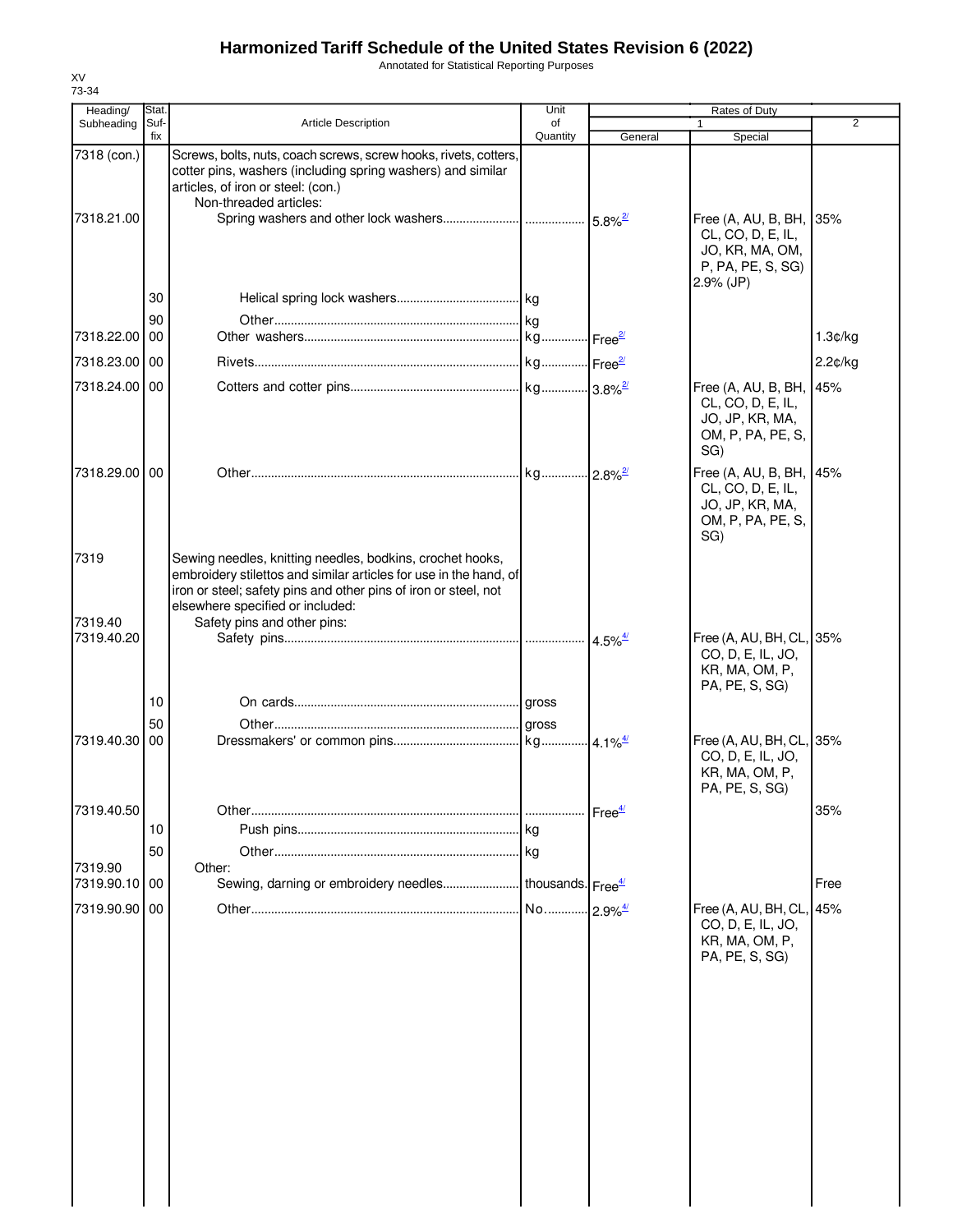Annotated for Statistical Reporting Purposes

| Heading/                  | Stat |                                                                                                                                                                                                                                       | Unit                          |                                             | Rates of Duty                                                                               |         |
|---------------------------|------|---------------------------------------------------------------------------------------------------------------------------------------------------------------------------------------------------------------------------------------|-------------------------------|---------------------------------------------|---------------------------------------------------------------------------------------------|---------|
| Subheading                | Suf- | <b>Article Description</b>                                                                                                                                                                                                            | of                            |                                             | 1                                                                                           | 2       |
|                           | fix  |                                                                                                                                                                                                                                       | Quantity                      | General                                     | Special                                                                                     |         |
| 7318 (con.)<br>7318.21.00 |      | Screws, bolts, nuts, coach screws, screw hooks, rivets, cotters,<br>cotter pins, washers (including spring washers) and similar<br>articles, of iron or steel: (con.)<br>Non-threaded articles:                                       |                               |                                             | Free (A, AU, B, BH, 35%<br>CL, CO, D, E, IL,<br>JO, KR, MA, OM,                             |         |
|                           | 30   |                                                                                                                                                                                                                                       |                               |                                             | P, PA, PE, S, SG)<br>$2.9\%$ (JP)                                                           |         |
|                           | 90   |                                                                                                                                                                                                                                       |                               |                                             |                                                                                             |         |
| 7318.22.00 00             |      |                                                                                                                                                                                                                                       |                               |                                             |                                                                                             | 1.3¢/kg |
| 7318.23.00 00             |      |                                                                                                                                                                                                                                       |                               |                                             |                                                                                             | 2.2¢/kg |
| 7318.24.00 00             |      |                                                                                                                                                                                                                                       |                               |                                             | Free (A, AU, B, BH, 45%                                                                     |         |
|                           |      |                                                                                                                                                                                                                                       |                               |                                             | CL, CO, D, E, IL,<br>JO, JP, KR, MA,<br>OM, P, PA, PE, S,<br>SG)                            |         |
| 7318.29.00 00             |      |                                                                                                                                                                                                                                       |                               |                                             | Free (A, AU, B, BH, 45%<br>CL, CO, D, E, IL,<br>JO, JP, KR, MA,<br>OM, P, PA, PE, S,<br>SG) |         |
| 7319                      |      | Sewing needles, knitting needles, bodkins, crochet hooks,<br>embroidery stilettos and similar articles for use in the hand, of<br>iron or steel; safety pins and other pins of iron or steel, not<br>elsewhere specified or included: |                               |                                             |                                                                                             |         |
| 7319.40<br>7319.40.20     |      | Safety pins and other pins:                                                                                                                                                                                                           |                               | $4.5\%$ <sup><math>\frac{4}{3}</math></sup> | Free (A, AU, BH, CL, 35%<br>CO, D, E, IL, JO,<br>KR, MA, OM, P,<br>PA, PE, S, SG)           |         |
|                           | 10   |                                                                                                                                                                                                                                       |                               |                                             |                                                                                             |         |
|                           | 50   |                                                                                                                                                                                                                                       |                               |                                             |                                                                                             |         |
| 7319.40.30                | 00   |                                                                                                                                                                                                                                       |                               |                                             | Free (A, AU, BH, CL, 35%<br>CO, D, E, IL, JO,<br>KR, MA, OM, P,<br>PA, PE, S, SG)           |         |
| 7319.40.50                |      |                                                                                                                                                                                                                                       |                               | Free <sup>4/</sup>                          |                                                                                             | 35%     |
|                           | 10   |                                                                                                                                                                                                                                       |                               |                                             |                                                                                             |         |
|                           | 50   |                                                                                                                                                                                                                                       |                               |                                             |                                                                                             |         |
| 7319.90                   |      | Other:                                                                                                                                                                                                                                |                               |                                             |                                                                                             |         |
| 7319.90.10                | 00   | Sewing, darning or embroidery needles                                                                                                                                                                                                 | thousands. Free <sup>4/</sup> |                                             |                                                                                             | Free    |
| 7319.90.90 00             |      |                                                                                                                                                                                                                                       | No 2.9% <sup>4/</sup>         |                                             | Free (A, AU, BH, CL, 45%<br>CO, D, E, IL, JO,<br>KR, MA, OM, P,<br>PA, PE, S, SG)           |         |
|                           |      |                                                                                                                                                                                                                                       |                               |                                             |                                                                                             |         |
|                           |      |                                                                                                                                                                                                                                       |                               |                                             |                                                                                             |         |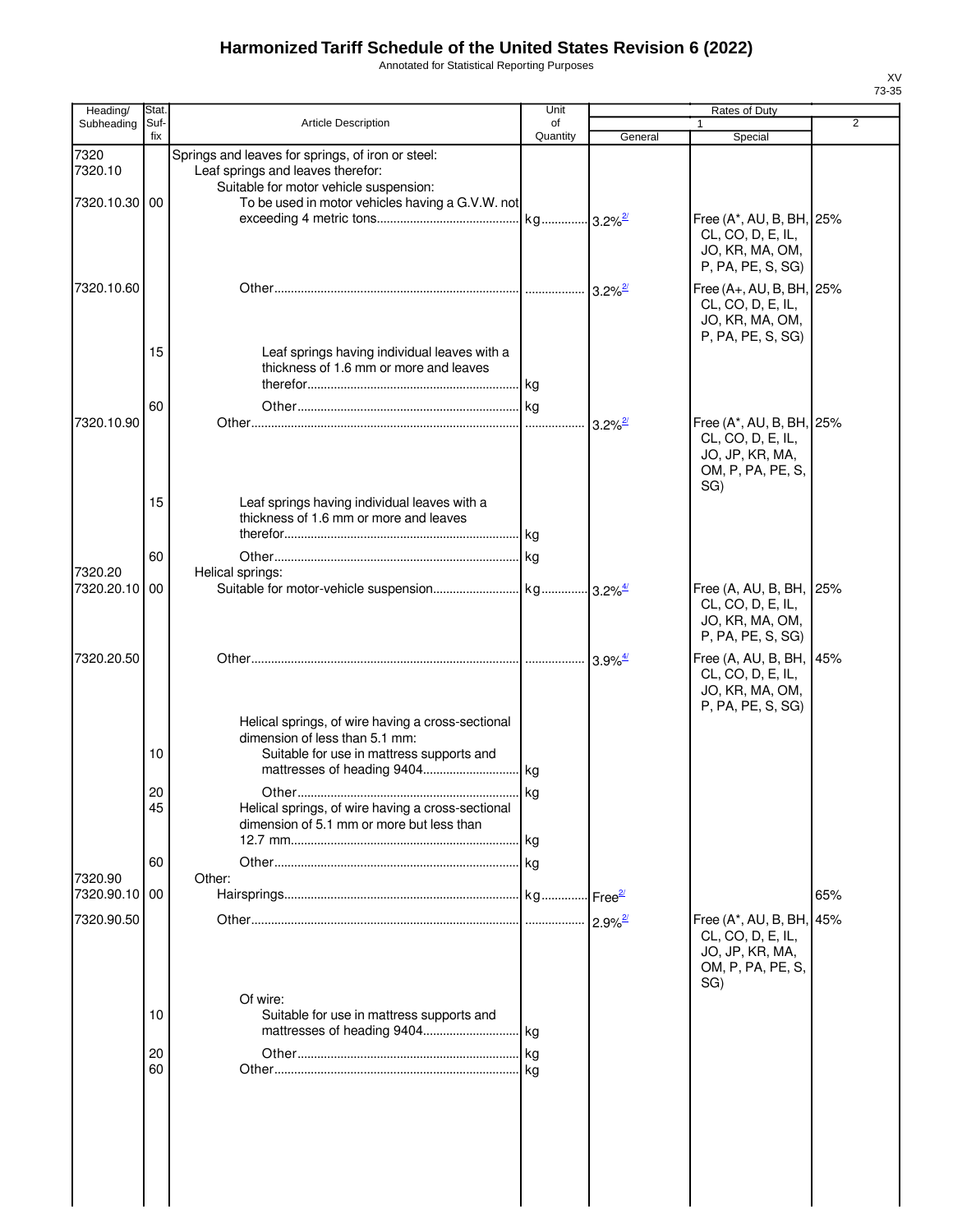Annotated for Statistical Reporting Purposes

| Heading/        | Stat.       |                                                                                                                                  | Unit           |                       | Rates of Duty                                                                                                                 |                |
|-----------------|-------------|----------------------------------------------------------------------------------------------------------------------------------|----------------|-----------------------|-------------------------------------------------------------------------------------------------------------------------------|----------------|
| Subheading      | Suf-<br>fix | <b>Article Description</b>                                                                                                       | of<br>Quantity | General               | Special                                                                                                                       | $\overline{2}$ |
| 7320<br>7320.10 |             | Springs and leaves for springs, of iron or steel:<br>Leaf springs and leaves therefor:<br>Suitable for motor vehicle suspension: |                |                       |                                                                                                                               |                |
| 7320.10.30 00   |             | To be used in motor vehicles having a G.V.W. not                                                                                 |                |                       | Free (A*, AU, B, BH, 25%<br>CL, CO, D, E, IL,                                                                                 |                |
| 7320.10.60      |             |                                                                                                                                  |                |                       | JO, KR, MA, OM,<br>P, PA, PE, S, SG)<br>Free (A+, AU, B, BH, 25%<br>CL, CO, D, E, IL,<br>JO, KR, MA, OM,<br>P, PA, PE, S, SG) |                |
|                 | 15          | Leaf springs having individual leaves with a<br>thickness of 1.6 mm or more and leaves                                           |                |                       |                                                                                                                               |                |
|                 | 60          |                                                                                                                                  |                |                       |                                                                                                                               |                |
| 7320.10.90      |             |                                                                                                                                  |                | $3.2\%$ <sup>2/</sup> | Free (A*, AU, B, BH, 25%<br>CL, CO, D, E, IL,<br>JO, JP, KR, MA,<br>OM, P, PA, PE, S,<br>SG)                                  |                |
|                 | 15          | Leaf springs having individual leaves with a<br>thickness of 1.6 mm or more and leaves                                           |                |                       |                                                                                                                               |                |
| 7320.20         | 60          |                                                                                                                                  |                |                       |                                                                                                                               |                |
| 7320.20.10      | 00          | Helical springs:                                                                                                                 |                |                       | Free (A, AU, B, BH, 25%<br>CL, CO, D, E, IL,<br>JO, KR, MA, OM,<br>P, PA, PE, S, SG)                                          |                |
| 7320.20.50      |             |                                                                                                                                  |                | $3.9\%$ <sup>4/</sup> | Free (A, AU, B, BH, 45%<br>CL, CO, D, E, IL,<br>JO, KR, MA, OM,                                                               |                |
|                 | 10          | Helical springs, of wire having a cross-sectional<br>dimension of less than 5.1 mm:<br>Suitable for use in mattress supports and |                |                       | P, PA, PE, S, SG)                                                                                                             |                |
|                 |             |                                                                                                                                  |                |                       |                                                                                                                               |                |
|                 | 20<br>45    | Helical springs, of wire having a cross-sectional<br>dimension of 5.1 mm or more but less than                                   | kg             |                       |                                                                                                                               |                |
|                 | 60          |                                                                                                                                  |                |                       |                                                                                                                               |                |
| 7320.90         |             | Other:                                                                                                                           |                |                       |                                                                                                                               |                |
| 7320.90.10      | 00          |                                                                                                                                  |                |                       |                                                                                                                               | 65%            |
| 7320.90.50      |             |                                                                                                                                  |                | $2.9\%$ <sup>2/</sup> | Free (A*, AU, B, BH, 45%<br>CL, CO, D, E, IL,<br>JO, JP, KR, MA,<br>OM, P, PA, PE, S,<br>SG)                                  |                |
|                 | 10          | Of wire:<br>Suitable for use in mattress supports and                                                                            |                |                       |                                                                                                                               |                |
|                 | 20<br>60    |                                                                                                                                  |                |                       |                                                                                                                               |                |
|                 |             |                                                                                                                                  |                |                       |                                                                                                                               |                |

 $\begin{array}{c} \hline \end{array}$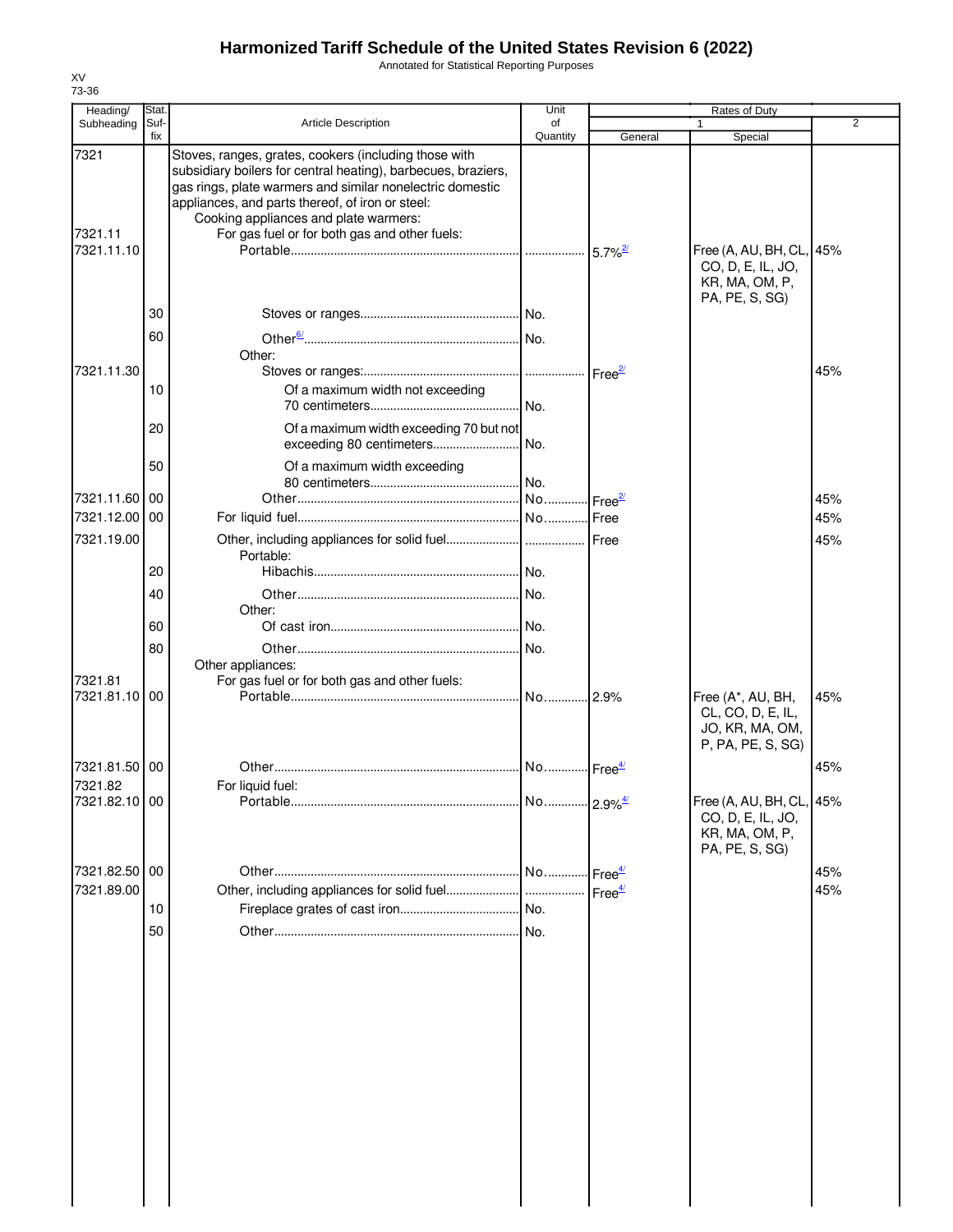Annotated for Statistical Reporting Purposes

| Heading/                      | Stat.       |                                                                                                                                                                                                                                                                                                                                   | Unit           |                     | Rates of Duty                                                                     |                |
|-------------------------------|-------------|-----------------------------------------------------------------------------------------------------------------------------------------------------------------------------------------------------------------------------------------------------------------------------------------------------------------------------------|----------------|---------------------|-----------------------------------------------------------------------------------|----------------|
| Subheading                    | Suf-<br>fix | <b>Article Description</b>                                                                                                                                                                                                                                                                                                        | of<br>Quantity | General             | Special                                                                           | $\overline{2}$ |
| 7321<br>7321.11<br>7321.11.10 |             | Stoves, ranges, grates, cookers (including those with<br>subsidiary boilers for central heating), barbecues, braziers,<br>gas rings, plate warmers and similar nonelectric domestic<br>appliances, and parts thereof, of iron or steel:<br>Cooking appliances and plate warmers:<br>For gas fuel or for both gas and other fuels: |                |                     | Free (A, AU, BH, CL,<br>CO, D, E, IL, JO,<br>KR, MA, OM, P,                       | 45%            |
|                               |             |                                                                                                                                                                                                                                                                                                                                   |                |                     | PA, PE, S, SG)                                                                    |                |
|                               | 30          |                                                                                                                                                                                                                                                                                                                                   |                |                     |                                                                                   |                |
|                               | 60          |                                                                                                                                                                                                                                                                                                                                   |                |                     |                                                                                   |                |
|                               |             | Other:                                                                                                                                                                                                                                                                                                                            |                |                     |                                                                                   |                |
| 7321.11.30                    | 10          | Of a maximum width not exceeding                                                                                                                                                                                                                                                                                                  |                |                     |                                                                                   | 45%            |
|                               |             |                                                                                                                                                                                                                                                                                                                                   |                |                     |                                                                                   |                |
|                               | 20          | Of a maximum width exceeding 70 but not                                                                                                                                                                                                                                                                                           |                |                     |                                                                                   |                |
|                               | 50          | Of a maximum width exceeding                                                                                                                                                                                                                                                                                                      |                |                     |                                                                                   |                |
| 7321.11.60 00                 |             |                                                                                                                                                                                                                                                                                                                                   |                |                     |                                                                                   | 45%            |
| 7321.12.00 00                 |             |                                                                                                                                                                                                                                                                                                                                   |                |                     |                                                                                   | 45%            |
| 7321.19.00                    |             |                                                                                                                                                                                                                                                                                                                                   |                |                     |                                                                                   | 45%            |
|                               | 20          | Portable:                                                                                                                                                                                                                                                                                                                         |                |                     |                                                                                   |                |
|                               | 40          |                                                                                                                                                                                                                                                                                                                                   |                |                     |                                                                                   |                |
|                               |             | Other:                                                                                                                                                                                                                                                                                                                            |                |                     |                                                                                   |                |
|                               | 60          |                                                                                                                                                                                                                                                                                                                                   |                |                     |                                                                                   |                |
|                               | 80          |                                                                                                                                                                                                                                                                                                                                   |                |                     |                                                                                   |                |
| 7321.81<br>7321.81.10 00      |             | Other appliances:<br>For gas fuel or for both gas and other fuels:                                                                                                                                                                                                                                                                |                |                     |                                                                                   |                |
|                               |             |                                                                                                                                                                                                                                                                                                                                   |                |                     | Free (A*, AU, BH,<br>CL, CO, D, E, IL,<br>JO, KR, MA, OM,<br>P, PA, PE, S, SG)    | 45%            |
| 7321.81.50 00                 |             |                                                                                                                                                                                                                                                                                                                                   |                |                     |                                                                                   | 45%            |
| 7321.82                       |             | For liquid fuel:                                                                                                                                                                                                                                                                                                                  |                |                     |                                                                                   |                |
| 7321.82.10 00                 |             |                                                                                                                                                                                                                                                                                                                                   |                |                     | Free (A, AU, BH, CL, 45%<br>CO, D, E, IL, JO,<br>KR, MA, OM, P,<br>PA, PE, S, SG) |                |
| 7321.82.50 00                 |             |                                                                                                                                                                                                                                                                                                                                   |                | -Free <sup>4/</sup> |                                                                                   | 45%            |
| 7321.89.00                    |             |                                                                                                                                                                                                                                                                                                                                   |                | Free <sup>4/</sup>  |                                                                                   | 45%            |
|                               | 10          |                                                                                                                                                                                                                                                                                                                                   |                |                     |                                                                                   |                |
|                               | 50          |                                                                                                                                                                                                                                                                                                                                   |                |                     |                                                                                   |                |
|                               |             |                                                                                                                                                                                                                                                                                                                                   |                |                     |                                                                                   |                |
|                               |             |                                                                                                                                                                                                                                                                                                                                   |                |                     |                                                                                   |                |
|                               |             |                                                                                                                                                                                                                                                                                                                                   |                |                     |                                                                                   |                |
|                               |             |                                                                                                                                                                                                                                                                                                                                   |                |                     |                                                                                   |                |
|                               |             |                                                                                                                                                                                                                                                                                                                                   |                |                     |                                                                                   |                |
|                               |             |                                                                                                                                                                                                                                                                                                                                   |                |                     |                                                                                   |                |
|                               |             |                                                                                                                                                                                                                                                                                                                                   |                |                     |                                                                                   |                |
|                               |             |                                                                                                                                                                                                                                                                                                                                   |                |                     |                                                                                   |                |
|                               |             |                                                                                                                                                                                                                                                                                                                                   |                |                     |                                                                                   |                |
|                               |             |                                                                                                                                                                                                                                                                                                                                   |                |                     |                                                                                   |                |
|                               |             |                                                                                                                                                                                                                                                                                                                                   |                |                     |                                                                                   |                |
|                               |             |                                                                                                                                                                                                                                                                                                                                   |                |                     |                                                                                   |                |
|                               |             |                                                                                                                                                                                                                                                                                                                                   |                |                     |                                                                                   |                |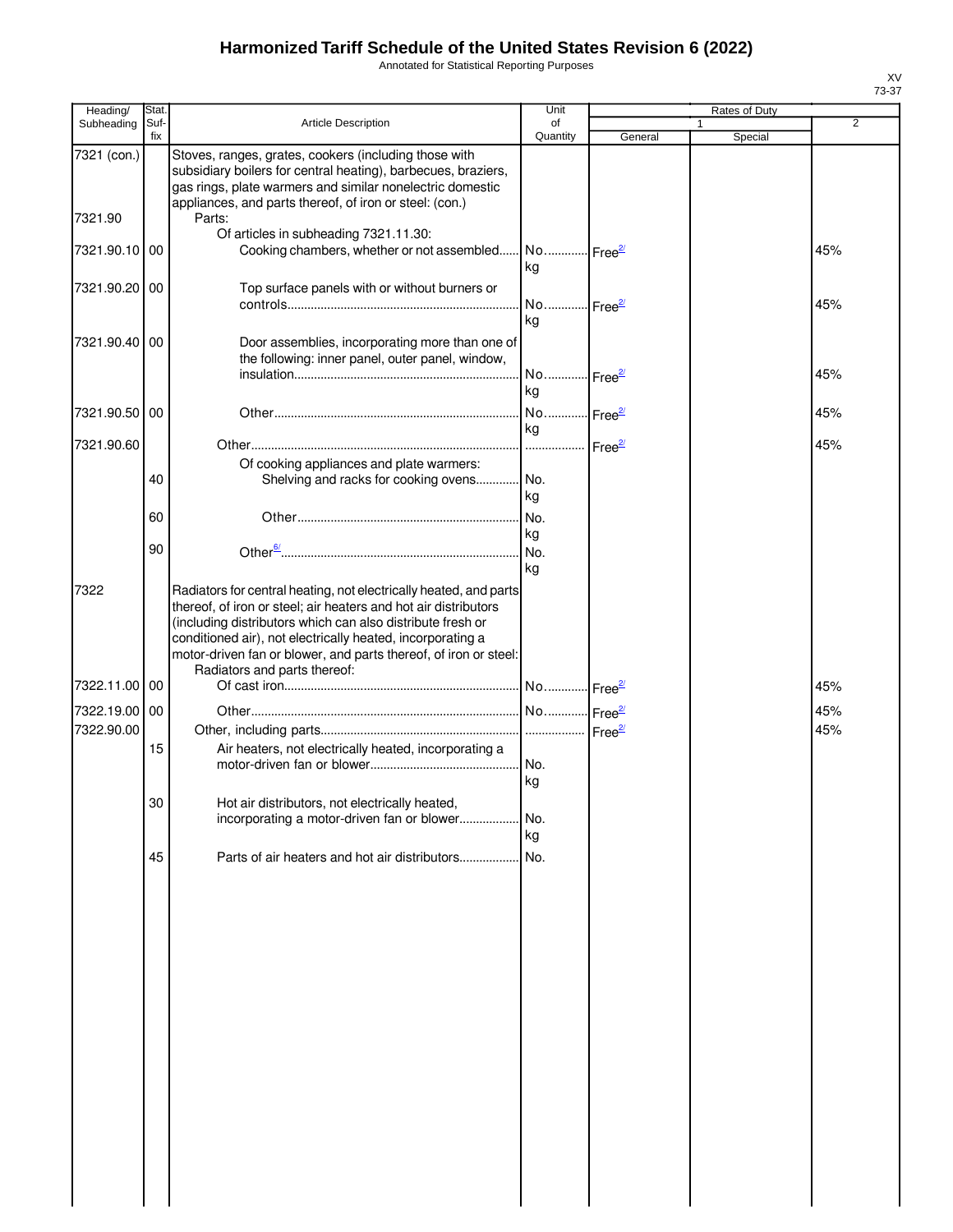Annotated for Statistical Reporting Purposes

| Heading/      | Stat.       |                                                                                                                                                                                                                                                                                                                                      | Unit                        |         | Rates of Duty |                |
|---------------|-------------|--------------------------------------------------------------------------------------------------------------------------------------------------------------------------------------------------------------------------------------------------------------------------------------------------------------------------------------|-----------------------------|---------|---------------|----------------|
| Subheading    | Suf-<br>fix | Article Description                                                                                                                                                                                                                                                                                                                  | of<br>Quantity              | General | 1<br>Special  | $\overline{2}$ |
| 7321 (con.)   |             | Stoves, ranges, grates, cookers (including those with<br>subsidiary boilers for central heating), barbecues, braziers,<br>gas rings, plate warmers and similar nonelectric domestic<br>appliances, and parts thereof, of iron or steel: (con.)                                                                                       |                             |         |               |                |
| 7321.90       |             | Parts:<br>Of articles in subheading 7321.11.30:                                                                                                                                                                                                                                                                                      |                             |         |               |                |
| 7321.90.10    | 00          | Cooking chambers, whether or not assembled No Free <sup>27</sup>                                                                                                                                                                                                                                                                     | kg                          |         |               | 45%            |
| 7321.90.20 00 |             | Top surface panels with or without burners or                                                                                                                                                                                                                                                                                        | No Free <sup>2/</sup>       |         |               | 45%            |
| 7321.90.40    | 00          | Door assemblies, incorporating more than one of<br>the following: inner panel, outer panel, window,                                                                                                                                                                                                                                  | kg<br>No Free <sup>2/</sup> |         |               | 45%            |
|               |             |                                                                                                                                                                                                                                                                                                                                      | kg                          |         |               |                |
| 7321.90.50 00 |             |                                                                                                                                                                                                                                                                                                                                      | No Free <sup>2/</sup><br>kg |         |               | 45%            |
| 7321.90.60    |             | Of cooking appliances and plate warmers:                                                                                                                                                                                                                                                                                             |                             |         |               | 45%            |
|               | 40          | Shelving and racks for cooking ovens No.                                                                                                                                                                                                                                                                                             | kg                          |         |               |                |
|               | 60          |                                                                                                                                                                                                                                                                                                                                      | No.<br>kg                   |         |               |                |
|               | 90          |                                                                                                                                                                                                                                                                                                                                      |                             |         |               |                |
| 7322          |             | Radiators for central heating, not electrically heated, and parts<br>thereof, of iron or steel; air heaters and hot air distributors<br>(including distributors which can also distribute fresh or<br>conditioned air), not electrically heated, incorporating a<br>motor-driven fan or blower, and parts thereof, of iron or steel: | kg                          |         |               |                |
| 7322.11.00 00 |             | Radiators and parts thereof:                                                                                                                                                                                                                                                                                                         |                             |         |               | 45%            |
| 7322.19.00 00 |             |                                                                                                                                                                                                                                                                                                                                      |                             |         |               | 45%            |
| 7322.90.00    |             |                                                                                                                                                                                                                                                                                                                                      |                             |         |               | 45%            |
|               | 15          | Air heaters, not electrically heated, incorporating a                                                                                                                                                                                                                                                                                | No.<br>kg                   |         |               |                |
|               | 30          | Hot air distributors, not electrically heated,<br>incorporating a motor-driven fan or blower                                                                                                                                                                                                                                         | No.<br>kg                   |         |               |                |
|               | 45          | Parts of air heaters and hot air distributors                                                                                                                                                                                                                                                                                        | No.                         |         |               |                |
|               |             |                                                                                                                                                                                                                                                                                                                                      |                             |         |               |                |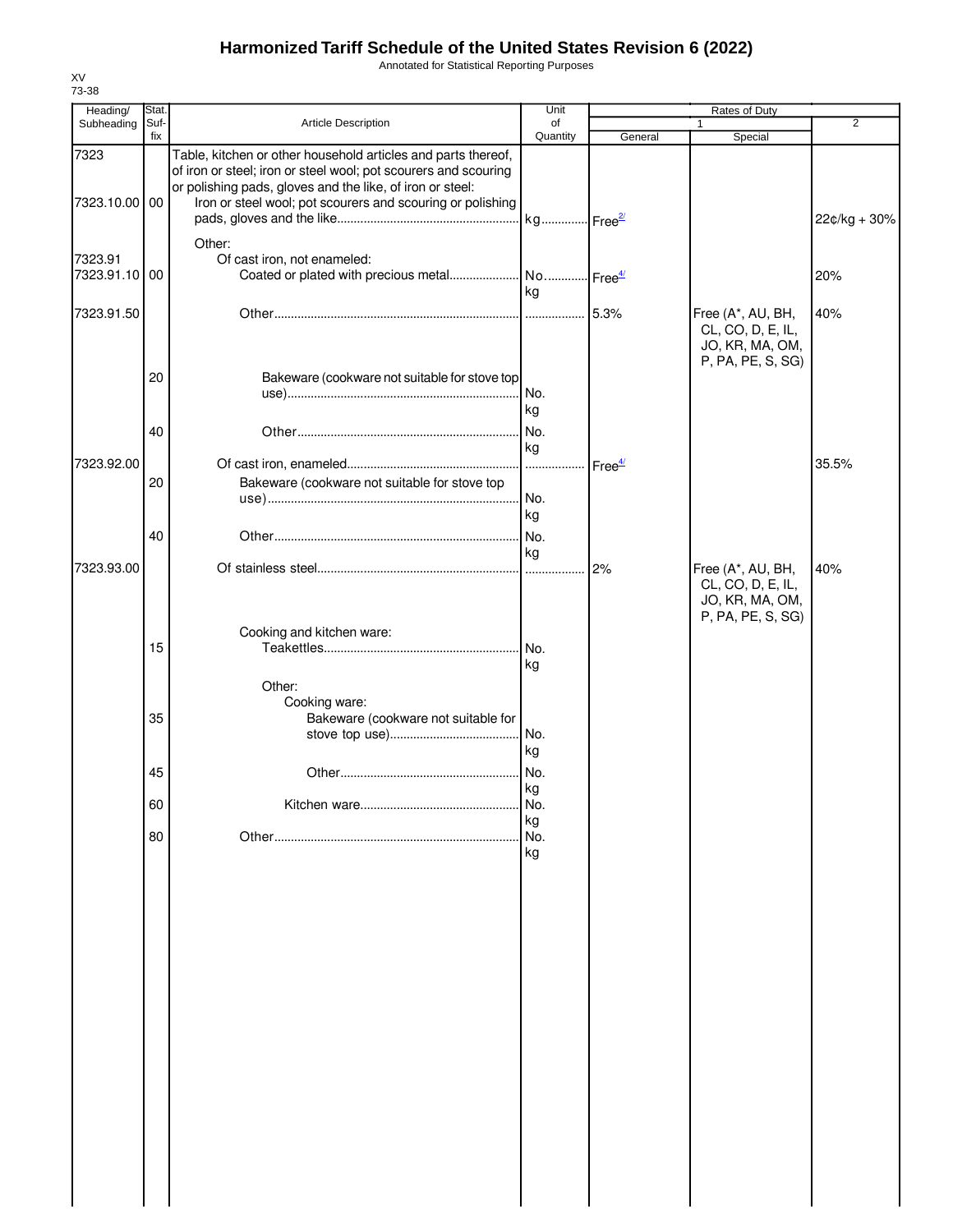Annotated for Statistical Reporting Purposes

| Heading/      | Stat. |                                                                 | Unit                  |                    | Rates of Duty     |                |
|---------------|-------|-----------------------------------------------------------------|-----------------------|--------------------|-------------------|----------------|
| Subheading    | Suf-  | Article Description                                             | of                    |                    | 1                 | $\overline{2}$ |
| 7323          | fix   | Table, kitchen or other household articles and parts thereof,   | Quantity              | General            | Special           |                |
|               |       | of iron or steel; iron or steel wool; pot scourers and scouring |                       |                    |                   |                |
| 7323.10.00 00 |       | or polishing pads, gloves and the like, of iron or steel:       |                       |                    |                   |                |
|               |       | Iron or steel wool; pot scourers and scouring or polishing      |                       |                    |                   | 22¢/kg + 30%   |
|               |       |                                                                 | kg Free <sup>2/</sup> |                    |                   |                |
|               |       | Other:                                                          |                       |                    |                   |                |
| 7323.91       |       | Of cast iron, not enameled:                                     |                       |                    |                   |                |
| 7323.91.10 00 |       | Coated or plated with precious metal                            | No Free <sup>4/</sup> |                    |                   | 20%            |
|               |       |                                                                 | kg                    |                    |                   |                |
| 7323.91.50    |       |                                                                 |                       | 5.3%               | Free (A*, AU, BH, | 40%            |
|               |       |                                                                 |                       |                    | CL, CO, D, E, IL, |                |
|               |       |                                                                 |                       |                    | JO, KR, MA, OM,   |                |
|               |       |                                                                 |                       |                    | P, PA, PE, S, SG) |                |
|               | 20    | Bakeware (cookware not suitable for stove top                   |                       |                    |                   |                |
|               |       |                                                                 | I No.                 |                    |                   |                |
|               |       |                                                                 | kg                    |                    |                   |                |
|               |       |                                                                 |                       |                    |                   |                |
|               | 40    |                                                                 | No.                   |                    |                   |                |
|               |       |                                                                 | kg                    |                    |                   |                |
| 7323.92.00    |       |                                                                 | .                     | Free <sup>4/</sup> |                   | 35.5%          |
|               | 20    | Bakeware (cookware not suitable for stove top                   |                       |                    |                   |                |
|               |       |                                                                 | No.                   |                    |                   |                |
|               |       |                                                                 | kg                    |                    |                   |                |
|               | 40    |                                                                 | No.                   |                    |                   |                |
|               |       |                                                                 | kg                    |                    |                   |                |
| 7323.93.00    |       |                                                                 | I                     | 2%                 | Free (A*, AU, BH, | 40%            |
|               |       |                                                                 |                       |                    | CL, CO, D, E, IL, |                |
|               |       |                                                                 |                       |                    | JO, KR, MA, OM,   |                |
|               |       |                                                                 |                       |                    | P, PA, PE, S, SG) |                |
|               |       | Cooking and kitchen ware:                                       |                       |                    |                   |                |
|               | 15    |                                                                 | No.                   |                    |                   |                |
|               |       |                                                                 | kg                    |                    |                   |                |
|               |       | Other:                                                          |                       |                    |                   |                |
|               |       | Cooking ware:                                                   |                       |                    |                   |                |
|               | 35    | Bakeware (cookware not suitable for                             |                       |                    |                   |                |
|               |       |                                                                 |                       |                    |                   |                |
|               |       |                                                                 | kg                    |                    |                   |                |
|               |       |                                                                 |                       |                    |                   |                |
|               | 45    |                                                                 | No.                   |                    |                   |                |
|               |       |                                                                 | kg                    |                    |                   |                |
|               | 60    |                                                                 | No.                   |                    |                   |                |
|               |       |                                                                 | kg                    |                    |                   |                |
|               | 80    |                                                                 | No.                   |                    |                   |                |
|               |       |                                                                 | kg                    |                    |                   |                |
|               |       |                                                                 |                       |                    |                   |                |
|               |       |                                                                 |                       |                    |                   |                |
|               |       |                                                                 |                       |                    |                   |                |
|               |       |                                                                 |                       |                    |                   |                |
|               |       |                                                                 |                       |                    |                   |                |
|               |       |                                                                 |                       |                    |                   |                |
|               |       |                                                                 |                       |                    |                   |                |
|               |       |                                                                 |                       |                    |                   |                |
|               |       |                                                                 |                       |                    |                   |                |
|               |       |                                                                 |                       |                    |                   |                |
|               |       |                                                                 |                       |                    |                   |                |
|               |       |                                                                 |                       |                    |                   |                |
|               |       |                                                                 |                       |                    |                   |                |
|               |       |                                                                 |                       |                    |                   |                |
|               |       |                                                                 |                       |                    |                   |                |
|               |       |                                                                 |                       |                    |                   |                |
|               |       |                                                                 |                       |                    |                   |                |
|               |       |                                                                 |                       |                    |                   |                |
|               |       |                                                                 |                       |                    |                   |                |
|               |       |                                                                 |                       |                    |                   |                |
|               |       |                                                                 |                       |                    |                   |                |
|               |       |                                                                 |                       |                    |                   |                |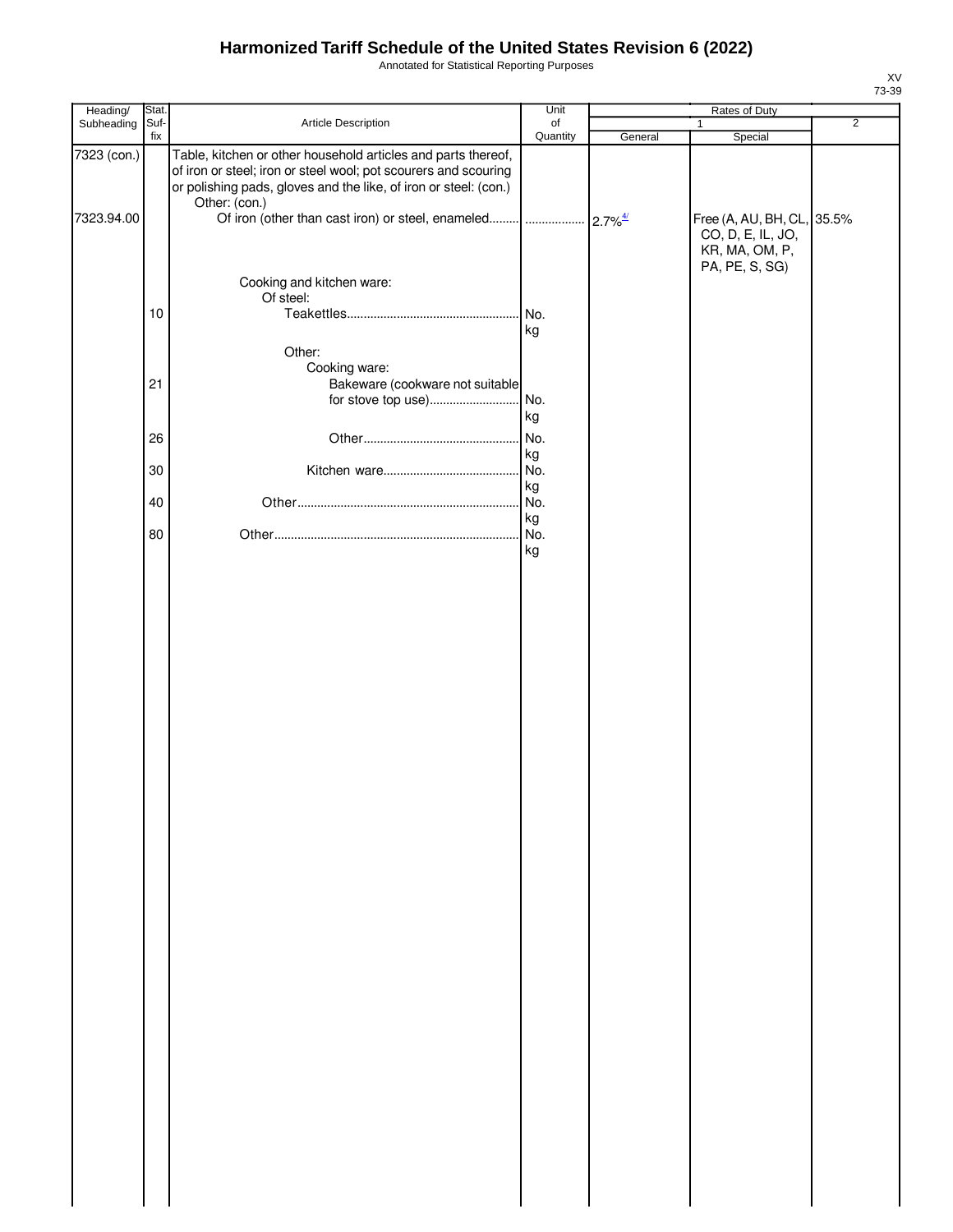Annotated for Statistical Reporting Purposes

| Heading/           | Stat.                                                                                                                                                                                                                 | Unit     |         | Rates of Duty                                                                       |                |
|--------------------|-----------------------------------------------------------------------------------------------------------------------------------------------------------------------------------------------------------------------|----------|---------|-------------------------------------------------------------------------------------|----------------|
| Subheading<br>Suf- | Article Description                                                                                                                                                                                                   | of       |         | $\mathbf{1}$                                                                        | $\overline{2}$ |
| fix                |                                                                                                                                                                                                                       | Quantity | General | Special                                                                             |                |
| 7323 (con.)        | Table, kitchen or other household articles and parts thereof,<br>of iron or steel; iron or steel wool; pot scourers and scouring<br>or polishing pads, gloves and the like, of iron or steel: (con.)<br>Other: (con.) |          |         |                                                                                     |                |
| 7323.94.00         |                                                                                                                                                                                                                       |          |         | Free (A, AU, BH, CL, 35.5%<br>CO, D, E, IL, JO,<br>KR, MA, OM, P,<br>PA, PE, S, SG) |                |
| 10                 | Cooking and kitchen ware:<br>Of steel:                                                                                                                                                                                |          |         |                                                                                     |                |
|                    | Other:                                                                                                                                                                                                                | kg       |         |                                                                                     |                |
| 21                 | Cooking ware:<br>Bakeware (cookware not suitable                                                                                                                                                                      |          |         |                                                                                     |                |
|                    |                                                                                                                                                                                                                       | kg       |         |                                                                                     |                |
|                    |                                                                                                                                                                                                                       |          |         |                                                                                     |                |
| 26                 |                                                                                                                                                                                                                       | No.      |         |                                                                                     |                |
|                    |                                                                                                                                                                                                                       | kg       |         |                                                                                     |                |
| 30                 |                                                                                                                                                                                                                       | No.      |         |                                                                                     |                |
|                    |                                                                                                                                                                                                                       | kg       |         |                                                                                     |                |
| 40                 |                                                                                                                                                                                                                       | No.      |         |                                                                                     |                |
|                    |                                                                                                                                                                                                                       | kg       |         |                                                                                     |                |
| 80                 |                                                                                                                                                                                                                       | kg       |         |                                                                                     |                |
|                    |                                                                                                                                                                                                                       |          |         |                                                                                     |                |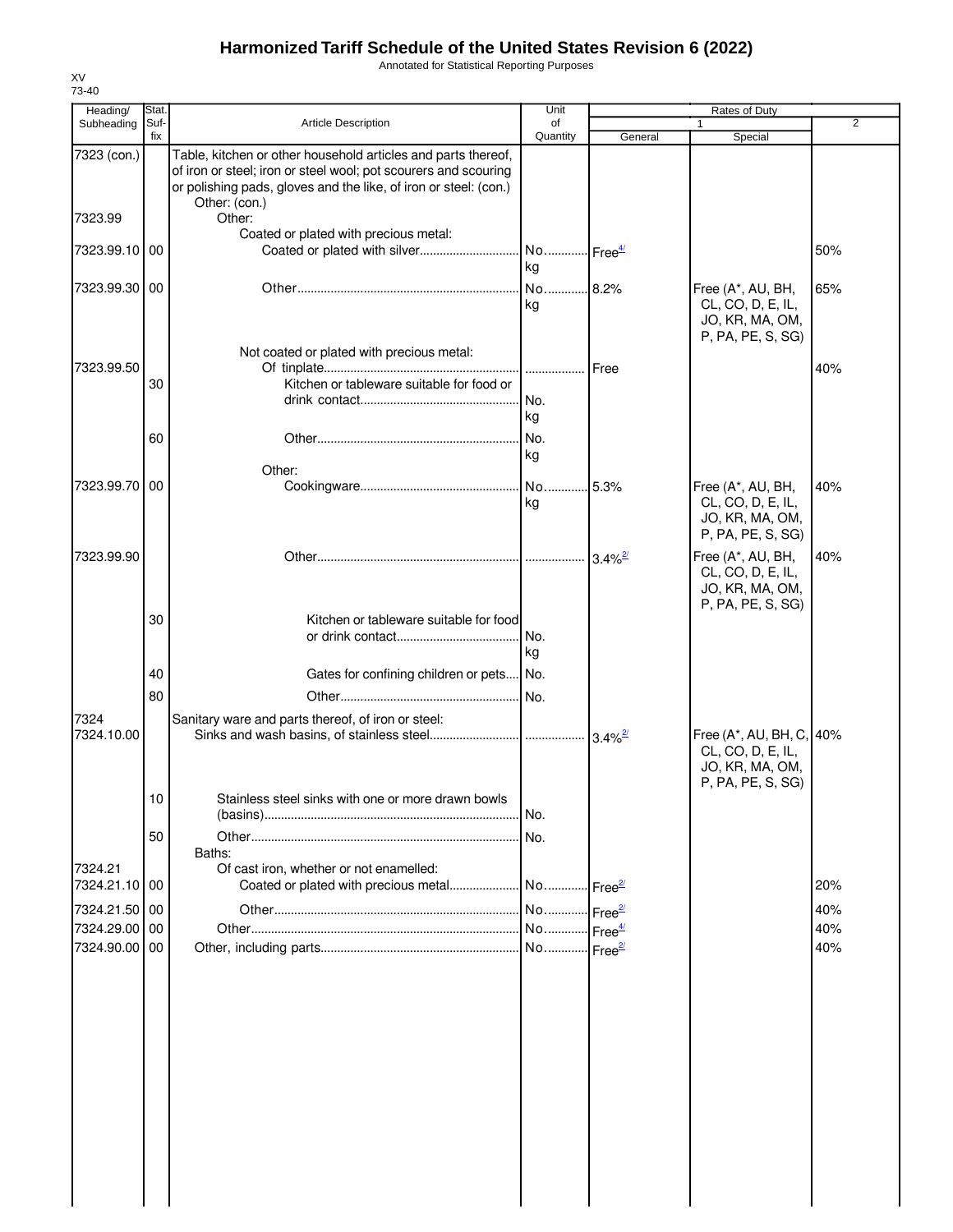Annotated for Statistical Reporting Purposes

| Heading/<br>Subheading   | Stat.<br>Suf- | Article Description                                                                                                                                                                                                   | Unit<br>of                  |                       | Rates of Duty<br>1                                                                    | $\overline{2}$ |
|--------------------------|---------------|-----------------------------------------------------------------------------------------------------------------------------------------------------------------------------------------------------------------------|-----------------------------|-----------------------|---------------------------------------------------------------------------------------|----------------|
|                          | fix           |                                                                                                                                                                                                                       | Quantity                    | General               | Special                                                                               |                |
| 7323 (con.)              |               | Table, kitchen or other household articles and parts thereof,<br>of iron or steel; iron or steel wool; pot scourers and scouring<br>or polishing pads, gloves and the like, of iron or steel: (con.)<br>Other: (con.) |                             |                       |                                                                                       |                |
| 7323.99                  |               | Other:<br>Coated or plated with precious metal:                                                                                                                                                                       |                             |                       |                                                                                       |                |
| 7323.99.10 00            |               | Coated or plated with silver                                                                                                                                                                                          | No Free <sup>4/</sup><br>kg |                       |                                                                                       | 50%            |
| 7323.99.30 00            |               |                                                                                                                                                                                                                       | No 8.2%<br>kg               |                       | Free (A*, AU, BH,<br>CL, CO, D, E, IL,<br>JO, KR, MA, OM,<br>P, PA, PE, S, SG)        | 65%            |
| 7323.99.50               |               | Not coated or plated with precious metal:                                                                                                                                                                             |                             | <b>I</b> Free         |                                                                                       | 40%            |
|                          | 30            | Kitchen or tableware suitable for food or                                                                                                                                                                             | I No.<br>kg                 |                       |                                                                                       |                |
|                          | 60            |                                                                                                                                                                                                                       | No.<br>kg                   |                       |                                                                                       |                |
| 7323.99.70               | 00            | Other:                                                                                                                                                                                                                | No<br>kg                    | 5.3%                  | Free (A*, AU, BH,<br>CL, CO, D, E, IL,<br>JO, KR, MA, OM,<br>P, PA, PE, S, SG)        | 40%            |
| 7323.99.90               |               |                                                                                                                                                                                                                       |                             | $3.4\%$ <sup>2/</sup> | Free (A*, AU, BH,<br>CL, CO, D, E, IL,<br>JO, KR, MA, OM,                             | 40%            |
|                          | 30            | Kitchen or tableware suitable for food                                                                                                                                                                                | No.<br>kg                   |                       | P, PA, PE, S, SG)                                                                     |                |
|                          | 40            | Gates for confining children or pets No.                                                                                                                                                                              |                             |                       |                                                                                       |                |
|                          | 80            |                                                                                                                                                                                                                       | No.                         |                       |                                                                                       |                |
| 7324<br>7324.10.00       |               | Sanitary ware and parts thereof, of iron or steel:                                                                                                                                                                    |                             |                       | Free (A*, AU, BH, C, 40%<br>CL, CO, D, E, IL,<br>JO, KR, MA, OM,<br>P, PA, PE, S, SG) |                |
|                          | 10            | Stainless steel sinks with one or more drawn bowls                                                                                                                                                                    |                             |                       |                                                                                       |                |
|                          | 50            | Baths:                                                                                                                                                                                                                | .I No.<br>No.               |                       |                                                                                       |                |
| 7324.21<br>7324.21.10 00 |               | Of cast iron, whether or not enamelled:<br>Coated or plated with precious metal                                                                                                                                       | No Free <sup>2/</sup>       |                       |                                                                                       | 20%            |
| 7324.21.50               | 00            |                                                                                                                                                                                                                       |                             |                       |                                                                                       | 40%            |
| 7324.29.00               | 00            |                                                                                                                                                                                                                       |                             |                       |                                                                                       | 40%            |
| 7324.90.00               | 00            |                                                                                                                                                                                                                       |                             |                       |                                                                                       | 40%            |

XV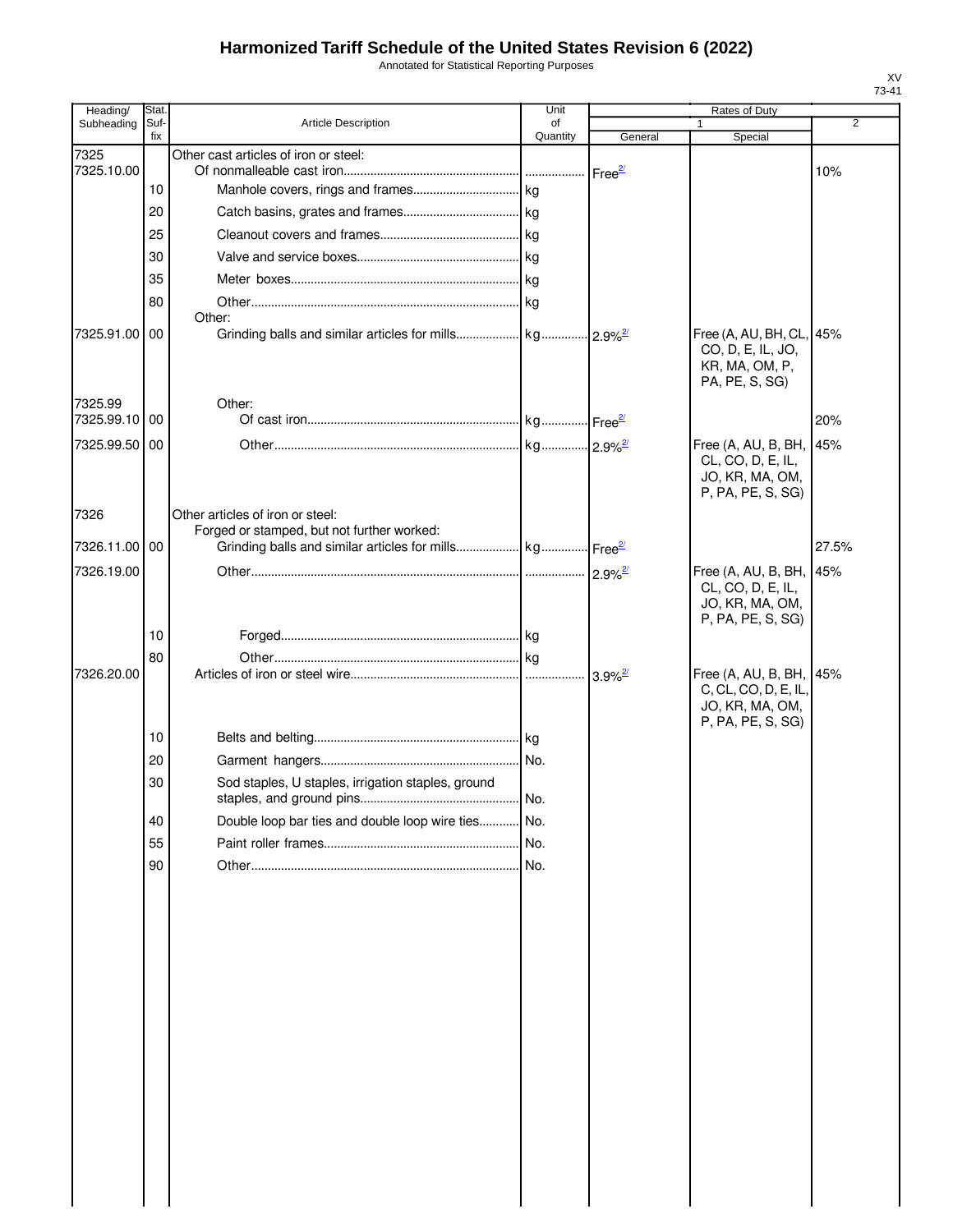Annotated for Statistical Reporting Purposes

| Heading/              | Stat        |                                                                                | Unit           |                       | Rates of Duty                                                                           |                |
|-----------------------|-------------|--------------------------------------------------------------------------------|----------------|-----------------------|-----------------------------------------------------------------------------------------|----------------|
| Subheading            | Suf-<br>fix | Article Description                                                            | of<br>Quantity | General               | Special                                                                                 | $\overline{2}$ |
| 7325                  |             | Other cast articles of iron or steel:                                          |                |                       |                                                                                         |                |
| 7325.10.00            |             |                                                                                |                | Free <sup>2/</sup>    |                                                                                         | 10%            |
|                       | 10          |                                                                                |                |                       |                                                                                         |                |
|                       | 20          |                                                                                |                |                       |                                                                                         |                |
|                       | 25          |                                                                                |                |                       |                                                                                         |                |
|                       | 30          |                                                                                |                |                       |                                                                                         |                |
|                       | 35          |                                                                                |                |                       |                                                                                         |                |
|                       | 80          | Other:                                                                         |                |                       |                                                                                         |                |
| 7325.91.00            | 00          |                                                                                |                |                       | Free (A, AU, BH, CL, 45%<br>CO, D, E, IL, JO,<br>KR, MA, OM, P,<br>PA, PE, S, SG)       |                |
| 7325.99<br>7325.99.10 | 00          | Other:                                                                         |                |                       |                                                                                         | 20%            |
| 7325.99.50            | 00          |                                                                                |                |                       |                                                                                         |                |
|                       |             |                                                                                |                |                       | Free (A, AU, B, BH, 145%<br>CL, CO, D, E, IL,<br>JO, KR, MA, OM,<br>P, PA, PE, S, SG)   |                |
| 7326                  |             | Other articles of iron or steel:<br>Forged or stamped, but not further worked: |                |                       |                                                                                         |                |
| 7326.11.00 00         |             |                                                                                |                |                       |                                                                                         | 27.5%          |
| 7326.19.00            |             |                                                                                |                |                       | Free (A, AU, B, BH, 45%                                                                 |                |
|                       | 10          |                                                                                |                |                       | CL, CO, D, E, IL,<br>JO, KR, MA, OM,<br>P, PA, PE, S, SG)                               |                |
|                       | 80          |                                                                                |                |                       |                                                                                         |                |
| 7326.20.00            | 10          |                                                                                |                | $3.9\%$ <sup>2/</sup> | Free (A, AU, B, BH, 45%<br>C, CL, CO, D, E, IL,<br>JO, KR, MA, OM,<br>P, PA, PE, S, SG) |                |
|                       | 20          |                                                                                |                |                       |                                                                                         |                |
|                       | 30          | Sod staples, U staples, irrigation staples, ground                             |                |                       |                                                                                         |                |
|                       |             |                                                                                | . No.          |                       |                                                                                         |                |
|                       | 40          | Double loop bar ties and double loop wire ties No.                             |                |                       |                                                                                         |                |
|                       | 55          |                                                                                | No.            |                       |                                                                                         |                |
|                       | 90          |                                                                                |                |                       |                                                                                         |                |
|                       |             |                                                                                |                |                       |                                                                                         |                |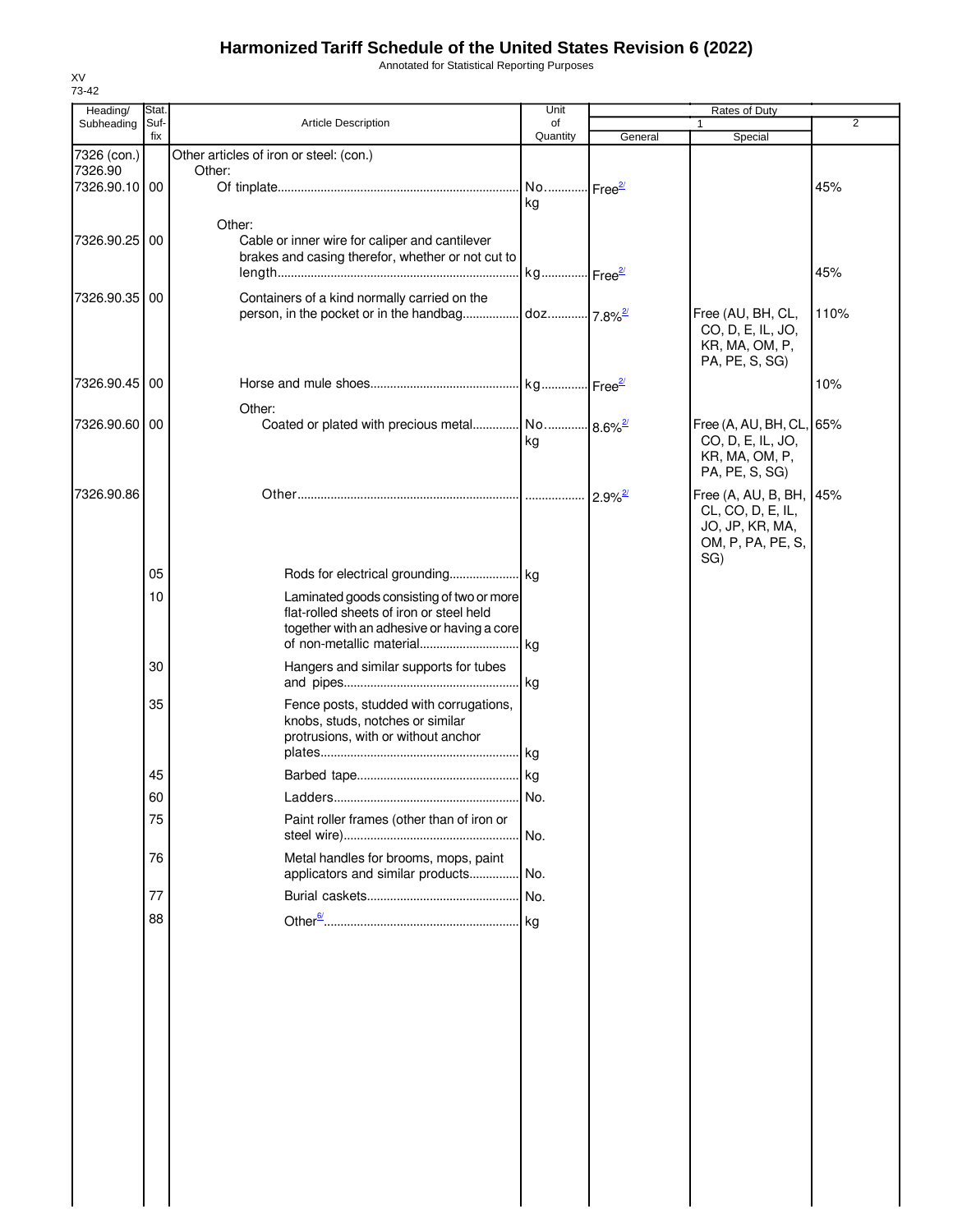Annotated for Statistical Reporting Purposes

| Heading/        | Stat.       |                                                                                        | Unit                   | Rates of Duty         |                                              |      |
|-----------------|-------------|----------------------------------------------------------------------------------------|------------------------|-----------------------|----------------------------------------------|------|
| Subheading      | Suf-<br>fix | Article Description                                                                    | of<br>Quantity         | General               | 1<br>Special                                 | 2    |
| 7326 (con.)     |             | Other articles of iron or steel: (con.)                                                |                        |                       |                                              |      |
| 7326.90         |             | Other:                                                                                 |                        |                       |                                              |      |
| 7326.90.10 00   |             |                                                                                        | kg                     |                       |                                              | 45%  |
|                 |             | Other:                                                                                 |                        |                       |                                              |      |
| 7326.90.25 00   |             | Cable or inner wire for caliper and cantilever                                         |                        |                       |                                              |      |
|                 |             | brakes and casing therefor, whether or not cut to                                      |                        |                       |                                              |      |
|                 |             |                                                                                        |                        |                       |                                              | 45%  |
| 7326.90.35 00   |             | Containers of a kind normally carried on the                                           |                        |                       |                                              |      |
|                 |             | person, in the pocket or in the handbag                                                | doz 7.8% <sup>2/</sup> |                       | Free (AU, BH, CL,                            | 110% |
|                 |             |                                                                                        |                        |                       | CO, D, E, IL, JO,<br>KR, MA, OM, P,          |      |
|                 |             |                                                                                        |                        |                       | PA, PE, S, SG)                               |      |
| 7326.90.45 00   |             |                                                                                        |                        |                       |                                              | 10%  |
|                 |             | Other:                                                                                 |                        |                       |                                              |      |
| 7326.90.60   00 |             | Coated or plated with precious metal No 8.6% <sup>2</sup>                              |                        |                       | Free (A, AU, BH, CL, 65%                     |      |
|                 |             |                                                                                        | kg                     |                       | CO, D, E, IL, JO,                            |      |
|                 |             |                                                                                        |                        |                       | KR, MA, OM, P,                               |      |
|                 |             |                                                                                        |                        |                       | PA, PE, S, SG)                               |      |
| 7326.90.86      |             |                                                                                        |                        | $2.9\%$ <sup>2/</sup> | Free (A, AU, B, BH, 45%<br>CL, CO, D, E, IL, |      |
|                 |             |                                                                                        |                        |                       | JO, JP, KR, MA,                              |      |
|                 |             |                                                                                        |                        |                       | OM, P, PA, PE, S,                            |      |
|                 |             |                                                                                        |                        |                       | SG)                                          |      |
|                 | 05          |                                                                                        |                        |                       |                                              |      |
|                 | 10          | Laminated goods consisting of two or more                                              |                        |                       |                                              |      |
|                 |             | flat-rolled sheets of iron or steel held<br>together with an adhesive or having a core |                        |                       |                                              |      |
|                 |             |                                                                                        |                        |                       |                                              |      |
|                 | 30          | Hangers and similar supports for tubes                                                 |                        |                       |                                              |      |
|                 |             |                                                                                        |                        |                       |                                              |      |
|                 | 35          | Fence posts, studded with corrugations,                                                |                        |                       |                                              |      |
|                 |             | knobs, studs, notches or similar                                                       |                        |                       |                                              |      |
|                 |             | protrusions, with or without anchor                                                    |                        |                       |                                              |      |
|                 |             |                                                                                        |                        |                       |                                              |      |
|                 | 45          |                                                                                        |                        |                       |                                              |      |
|                 | ου          |                                                                                        | No.                    |                       |                                              |      |
|                 | 75          | Paint roller frames (other than of iron or                                             |                        |                       |                                              |      |
|                 |             |                                                                                        |                        |                       |                                              |      |
|                 | 76          | Metal handles for brooms, mops, paint<br>applicators and similar products No.          |                        |                       |                                              |      |
|                 | 77          |                                                                                        |                        |                       |                                              |      |
|                 |             |                                                                                        |                        |                       |                                              |      |
|                 | 88          |                                                                                        |                        |                       |                                              |      |
|                 |             |                                                                                        |                        |                       |                                              |      |
|                 |             |                                                                                        |                        |                       |                                              |      |
|                 |             |                                                                                        |                        |                       |                                              |      |
|                 |             |                                                                                        |                        |                       |                                              |      |
|                 |             |                                                                                        |                        |                       |                                              |      |
|                 |             |                                                                                        |                        |                       |                                              |      |
|                 |             |                                                                                        |                        |                       |                                              |      |
|                 |             |                                                                                        |                        |                       |                                              |      |
|                 |             |                                                                                        |                        |                       |                                              |      |
|                 |             |                                                                                        |                        |                       |                                              |      |
|                 |             |                                                                                        |                        |                       |                                              |      |
|                 |             |                                                                                        |                        |                       |                                              |      |
|                 |             |                                                                                        |                        |                       |                                              |      |
|                 |             |                                                                                        |                        |                       |                                              |      |